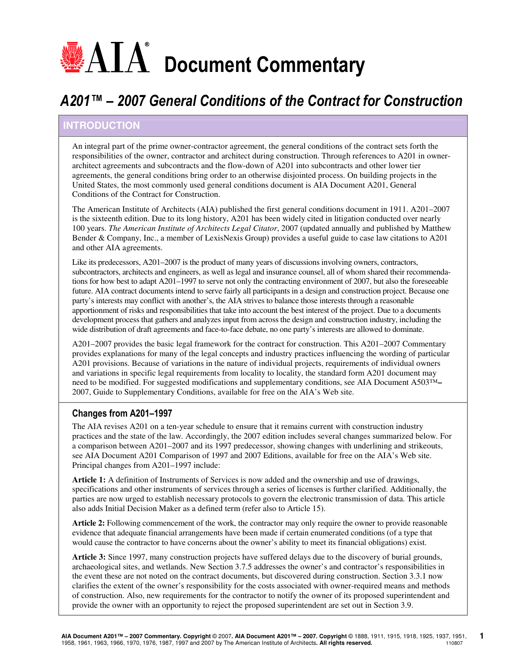# $\mathbf{AIA}^*$  Document Commentary

# A201™ – 2007 General Conditions of the Contract for Construction

## **INTRODUCTION**

An integral part of the prime owner-contractor agreement, the general conditions of the contract sets forth the responsibilities of the owner, contractor and architect during construction. Through references to A201 in ownerarchitect agreements and subcontracts and the flow-down of A201 into subcontracts and other lower tier agreements, the general conditions bring order to an otherwise disjointed process. On building projects in the United States, the most commonly used general conditions document is AIA Document A201, General Conditions of the Contract for Construction.

The American Institute of Architects (AIA) published the first general conditions document in 1911. A201–2007 is the sixteenth edition. Due to its long history, A201 has been widely cited in litigation conducted over nearly 100 years. *The American Institute of Architects Legal Citator*, 2007 (updated annually and published by Matthew Bender & Company, Inc., a member of LexisNexis Group) provides a useful guide to case law citations to A201 and other AIA agreements.

Like its predecessors, A201–2007 is the product of many years of discussions involving owners, contractors, subcontractors, architects and engineers, as well as legal and insurance counsel, all of whom shared their recommendations for how best to adapt A201–1997 to serve not only the contracting environment of 2007, but also the foreseeable future. AIA contract documents intend to serve fairly all participants in a design and construction project. Because one party's interests may conflict with another's, the AIA strives to balance those interests through a reasonable apportionment of risks and responsibilities that take into account the best interest of the project. Due to a documents development process that gathers and analyzes input from across the design and construction industry, including the wide distribution of draft agreements and face-to-face debate, no one party's interests are allowed to dominate.

A201–2007 provides the basic legal framework for the contract for construction. This A201–2007 Commentary provides explanations for many of the legal concepts and industry practices influencing the wording of particular A201 provisions. Because of variations in the nature of individual projects, requirements of individual owners and variations in specific legal requirements from locality to locality, the standard form A201 document may need to be modified. For suggested modifications and supplementary conditions, see AIA Document A503™**–** 2007, Guide to Supplementary Conditions, available for free on the AIA's Web site.

#### Changes from A201–1997

The AIA revises A201 on a ten-year schedule to ensure that it remains current with construction industry practices and the state of the law. Accordingly, the 2007 edition includes several changes summarized below. For a comparison between A201–2007 and its 1997 predecessor, showing changes with underlining and strikeouts, see AIA Document A201 Comparison of 1997 and 2007 Editions, available for free on the AIA's Web site. Principal changes from A201–1997 include:

**Article 1:** A definition of Instruments of Services is now added and the ownership and use of drawings, specifications and other instruments of services through a series of licenses is further clarified. Additionally, the parties are now urged to establish necessary protocols to govern the electronic transmission of data. This article also adds Initial Decision Maker as a defined term (refer also to Article 15).

**Article 2:** Following commencement of the work, the contractor may only require the owner to provide reasonable evidence that adequate financial arrangements have been made if certain enumerated conditions (of a type that would cause the contractor to have concerns about the owner's ability to meet its financial obligations) exist.

**Article 3:** Since 1997, many construction projects have suffered delays due to the discovery of burial grounds, archaeological sites, and wetlands. New Section 3.7.5 addresses the owner's and contractor's responsibilities in the event these are not noted on the contract documents, but discovered during construction. Section 3.3.1 now clarifies the extent of the owner's responsibility for the costs associated with owner-required means and methods of construction. Also, new requirements for the contractor to notify the owner of its proposed superintendent and provide the owner with an opportunity to reject the proposed superintendent are set out in Section 3.9.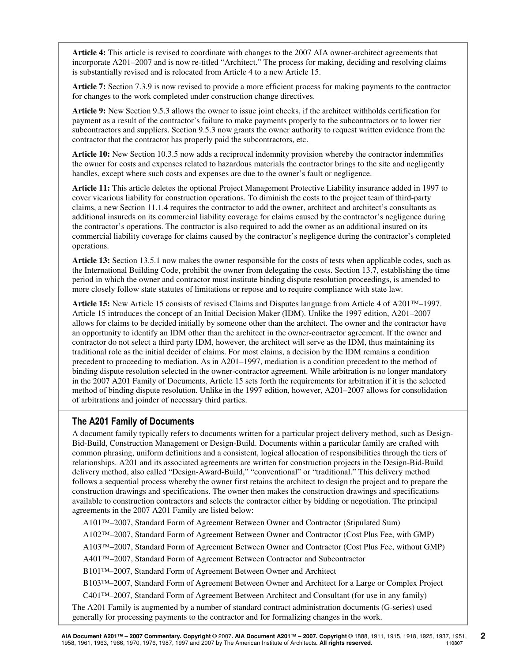**Article 4:** This article is revised to coordinate with changes to the 2007 AIA owner-architect agreements that incorporate A201–2007 and is now re-titled "Architect." The process for making, deciding and resolving claims is substantially revised and is relocated from Article 4 to a new Article 15.

**Article 7:** Section 7.3.9 is now revised to provide a more efficient process for making payments to the contractor for changes to the work completed under construction change directives.

**Article 9:** New Section 9.5.3 allows the owner to issue joint checks, if the architect withholds certification for payment as a result of the contractor's failure to make payments properly to the subcontractors or to lower tier subcontractors and suppliers. Section 9.5.3 now grants the owner authority to request written evidence from the contractor that the contractor has properly paid the subcontractors, etc.

**Article 10:** New Section 10.3.5 now adds a reciprocal indemnity provision whereby the contractor indemnifies the owner for costs and expenses related to hazardous materials the contractor brings to the site and negligently handles, except where such costs and expenses are due to the owner's fault or negligence.

**Article 11:** This article deletes the optional Project Management Protective Liability insurance added in 1997 to cover vicarious liability for construction operations. To diminish the costs to the project team of third-party claims, a new Section 11.1.4 requires the contractor to add the owner, architect and architect's consultants as additional insureds on its commercial liability coverage for claims caused by the contractor's negligence during the contractor's operations. The contractor is also required to add the owner as an additional insured on its commercial liability coverage for claims caused by the contractor's negligence during the contractor's completed operations.

**Article 13:** Section 13.5.1 now makes the owner responsible for the costs of tests when applicable codes, such as the International Building Code, prohibit the owner from delegating the costs. Section 13.7, establishing the time period in which the owner and contractor must institute binding dispute resolution proceedings, is amended to more closely follow state statutes of limitations or repose and to require compliance with state law.

**Article 15:** New Article 15 consists of revised Claims and Disputes language from Article 4 of A201™–1997. Article 15 introduces the concept of an Initial Decision Maker (IDM). Unlike the 1997 edition, A201–2007 allows for claims to be decided initially by someone other than the architect. The owner and the contractor have an opportunity to identify an IDM other than the architect in the owner-contractor agreement. If the owner and contractor do not select a third party IDM, however, the architect will serve as the IDM, thus maintaining its traditional role as the initial decider of claims. For most claims, a decision by the IDM remains a condition precedent to proceeding to mediation. As in A201–1997, mediation is a condition precedent to the method of binding dispute resolution selected in the owner-contractor agreement. While arbitration is no longer mandatory in the 2007 A201 Family of Documents, Article 15 sets forth the requirements for arbitration if it is the selected method of binding dispute resolution. Unlike in the 1997 edition, however, A201–2007 allows for consolidation of arbitrations and joinder of necessary third parties.

#### The A201 Family of Documents

A document family typically refers to documents written for a particular project delivery method, such as Design-Bid-Build, Construction Management or Design-Build. Documents within a particular family are crafted with common phrasing, uniform definitions and a consistent, logical allocation of responsibilities through the tiers of relationships. A201 and its associated agreements are written for construction projects in the Design-Bid-Build delivery method, also called "Design-Award-Build," "conventional" or "traditional." This delivery method follows a sequential process whereby the owner first retains the architect to design the project and to prepare the construction drawings and specifications. The owner then makes the construction drawings and specifications available to construction contractors and selects the contractor either by bidding or negotiation. The principal agreements in the 2007 A201 Family are listed below:

A101™–2007, Standard Form of Agreement Between Owner and Contractor (Stipulated Sum)

A102™–2007, Standard Form of Agreement Between Owner and Contractor (Cost Plus Fee, with GMP)

A103™–2007, Standard Form of Agreement Between Owner and Contractor (Cost Plus Fee, without GMP)

A401™–2007, Standard Form of Agreement Between Contractor and Subcontractor

B101™–2007, Standard Form of Agreement Between Owner and Architect

B103™–2007, Standard Form of Agreement Between Owner and Architect for a Large or Complex Project

C401™–2007, Standard Form of Agreement Between Architect and Consultant (for use in any family)

The A201 Family is augmented by a number of standard contract administration documents (G-series) used generally for processing payments to the contractor and for formalizing changes in the work.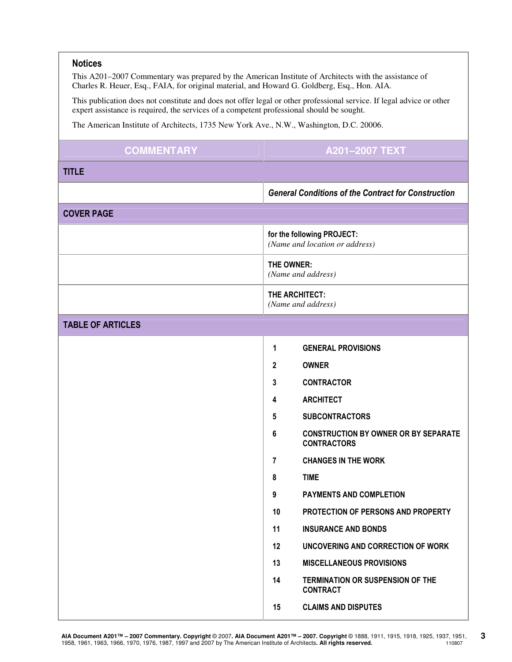#### Notices

This A201–2007 Commentary was prepared by the American Institute of Architects with the assistance of Charles R. Heuer, Esq., FAIA, for original material, and Howard G. Goldberg, Esq., Hon. AIA.

This publication does not constitute and does not offer legal or other professional service. If legal advice or other expert assistance is required, the services of a competent professional should be sought.

The American Institute of Architects, 1735 New York Ave., N.W., Washington, D.C. 20006.

| <b>COMMENTARY</b>        | A201-2007 TEXT                                                                                                                                                                                                                                                                                                                                                                                                                                                                                                                                                                                                |  |
|--------------------------|---------------------------------------------------------------------------------------------------------------------------------------------------------------------------------------------------------------------------------------------------------------------------------------------------------------------------------------------------------------------------------------------------------------------------------------------------------------------------------------------------------------------------------------------------------------------------------------------------------------|--|
| <b>TITLE</b>             |                                                                                                                                                                                                                                                                                                                                                                                                                                                                                                                                                                                                               |  |
|                          | <b>General Conditions of the Contract for Construction</b>                                                                                                                                                                                                                                                                                                                                                                                                                                                                                                                                                    |  |
| <b>COVER PAGE</b>        |                                                                                                                                                                                                                                                                                                                                                                                                                                                                                                                                                                                                               |  |
|                          | for the following PROJECT:<br>(Name and location or address)                                                                                                                                                                                                                                                                                                                                                                                                                                                                                                                                                  |  |
|                          | THE OWNER:<br>(Name and address)                                                                                                                                                                                                                                                                                                                                                                                                                                                                                                                                                                              |  |
|                          | THE ARCHITECT:<br>(Name and address)                                                                                                                                                                                                                                                                                                                                                                                                                                                                                                                                                                          |  |
| <b>TABLE OF ARTICLES</b> |                                                                                                                                                                                                                                                                                                                                                                                                                                                                                                                                                                                                               |  |
|                          | 1<br><b>GENERAL PROVISIONS</b><br><b>OWNER</b><br>$\mathbf{2}$<br>$\mathbf{3}$<br><b>CONTRACTOR</b><br><b>ARCHITECT</b><br>4<br><b>SUBCONTRACTORS</b><br>5<br>6<br><b>CONSTRUCTION BY OWNER OR BY SEPARATE</b><br><b>CONTRACTORS</b><br>$\overline{7}$<br><b>CHANGES IN THE WORK</b><br><b>TIME</b><br>8<br>9<br>PAYMENTS AND COMPLETION<br>PROTECTION OF PERSONS AND PROPERTY<br>10<br>11<br><b>INSURANCE AND BONDS</b><br>UNCOVERING AND CORRECTION OF WORK<br>12<br>13<br><b>MISCELLANEOUS PROVISIONS</b><br>TERMINATION OR SUSPENSION OF THE<br>14<br><b>CONTRACT</b><br><b>CLAIMS AND DISPUTES</b><br>15 |  |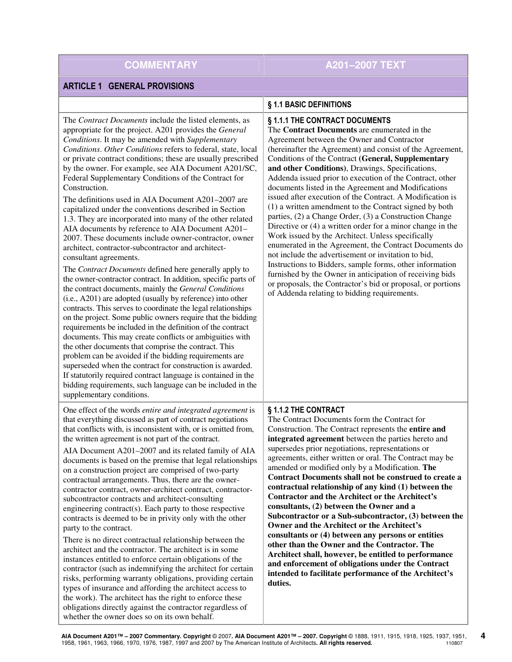# **COMMENTARY A201–2007 TEXT**

#### ARTICLE 1 GENERAL PROVISIONS

|                                                                                                                                                                                                                                                                                                                                                                                                                                                                                                                                                                                                                                                                                                                                                                                                                                                                                                                                                                                                                                                                                                                                                                                                                                                                                                                                                                                                                                                                                                                                                                                                                                                                       | § 1.1 BASIC DEFINITIONS                                                                                                                                                                                                                                                                                                                                                                                                                                                                                                                                                                                                                                                                                                                                                                                                                                                                                                                                                                                                                                                                   |
|-----------------------------------------------------------------------------------------------------------------------------------------------------------------------------------------------------------------------------------------------------------------------------------------------------------------------------------------------------------------------------------------------------------------------------------------------------------------------------------------------------------------------------------------------------------------------------------------------------------------------------------------------------------------------------------------------------------------------------------------------------------------------------------------------------------------------------------------------------------------------------------------------------------------------------------------------------------------------------------------------------------------------------------------------------------------------------------------------------------------------------------------------------------------------------------------------------------------------------------------------------------------------------------------------------------------------------------------------------------------------------------------------------------------------------------------------------------------------------------------------------------------------------------------------------------------------------------------------------------------------------------------------------------------------|-------------------------------------------------------------------------------------------------------------------------------------------------------------------------------------------------------------------------------------------------------------------------------------------------------------------------------------------------------------------------------------------------------------------------------------------------------------------------------------------------------------------------------------------------------------------------------------------------------------------------------------------------------------------------------------------------------------------------------------------------------------------------------------------------------------------------------------------------------------------------------------------------------------------------------------------------------------------------------------------------------------------------------------------------------------------------------------------|
|                                                                                                                                                                                                                                                                                                                                                                                                                                                                                                                                                                                                                                                                                                                                                                                                                                                                                                                                                                                                                                                                                                                                                                                                                                                                                                                                                                                                                                                                                                                                                                                                                                                                       |                                                                                                                                                                                                                                                                                                                                                                                                                                                                                                                                                                                                                                                                                                                                                                                                                                                                                                                                                                                                                                                                                           |
| The Contract Documents include the listed elements, as<br>appropriate for the project. A201 provides the General<br>Conditions. It may be amended with Supplementary<br>Conditions. Other Conditions refers to federal, state, local<br>or private contract conditions; these are usually prescribed<br>by the owner. For example, see AIA Document A201/SC,<br>Federal Supplementary Conditions of the Contract for<br>Construction.<br>The definitions used in AIA Document A201-2007 are<br>capitalized under the conventions described in Section<br>1.3. They are incorporated into many of the other related<br>AIA documents by reference to AIA Document A201-<br>2007. These documents include owner-contractor, owner<br>architect, contractor-subcontractor and architect-<br>consultant agreements.<br>The Contract Documents defined here generally apply to<br>the owner-contractor contract. In addition, specific parts of<br>the contract documents, mainly the General Conditions<br>(i.e., A201) are adopted (usually by reference) into other<br>contracts. This serves to coordinate the legal relationships<br>on the project. Some public owners require that the bidding<br>requirements be included in the definition of the contract<br>documents. This may create conflicts or ambiguities with<br>the other documents that comprise the contract. This<br>problem can be avoided if the bidding requirements are<br>superseded when the contract for construction is awarded.<br>If statutorily required contract language is contained in the<br>bidding requirements, such language can be included in the<br>supplementary conditions. | § 1.1.1 THE CONTRACT DOCUMENTS<br>The <b>Contract Documents</b> are enumerated in the<br>Agreement between the Owner and Contractor<br>(hereinafter the Agreement) and consist of the Agreement,<br>Conditions of the Contract (General, Supplementary<br>and other Conditions), Drawings, Specifications,<br>Addenda issued prior to execution of the Contract, other<br>documents listed in the Agreement and Modifications<br>issued after execution of the Contract. A Modification is<br>(1) a written amendment to the Contract signed by both<br>parties, (2) a Change Order, (3) a Construction Change<br>Directive or (4) a written order for a minor change in the<br>Work issued by the Architect. Unless specifically<br>enumerated in the Agreement, the Contract Documents do<br>not include the advertisement or invitation to bid,<br>Instructions to Bidders, sample forms, other information<br>furnished by the Owner in anticipation of receiving bids<br>or proposals, the Contractor's bid or proposal, or portions<br>of Addenda relating to bidding requirements. |
| One effect of the words entire and integrated agreement is<br>that everything discussed as part of contract negotiations<br>that conflicts with, is inconsistent with, or is omitted from,<br>the written agreement is not part of the contract.<br>AIA Document A201-2007 and its related family of AIA<br>documents is based on the premise that legal relationships<br>on a construction project are comprised of two-party<br>contractual arrangements. Thus, there are the owner-<br>contractor contract, owner-architect contract, contractor-<br>subcontractor contracts and architect-consulting<br>engineering contract(s). Each party to those respective<br>contracts is deemed to be in privity only with the other<br>party to the contract.<br>There is no direct contractual relationship between the<br>architect and the contractor. The architect is in some<br>instances entitled to enforce certain obligations of the<br>contractor (such as indemnifying the architect for certain<br>risks, performing warranty obligations, providing certain<br>types of insurance and affording the architect access to<br>the work). The architect has the right to enforce these<br>obligations directly against the contractor regardless of<br>whether the owner does so on its own behalf.                                                                                                                                                                                                                                                                                                                                                             | § 1.1.2 THE CONTRACT<br>The Contract Documents form the Contract for<br>Construction. The Contract represents the entire and<br>integrated agreement between the parties hereto and<br>supersedes prior negotiations, representations or<br>agreements, either written or oral. The Contract may be<br>amended or modified only by a Modification. The<br>Contract Documents shall not be construed to create a<br>contractual relationship of any kind (1) between the<br>Contractor and the Architect or the Architect's<br>consultants, (2) between the Owner and a<br>Subcontractor or a Sub-subcontractor, (3) between the<br>Owner and the Architect or the Architect's<br>consultants or (4) between any persons or entities<br>other than the Owner and the Contractor. The<br>Architect shall, however, be entitled to performance<br>and enforcement of obligations under the Contract<br>intended to facilitate performance of the Architect's<br>duties.                                                                                                                      |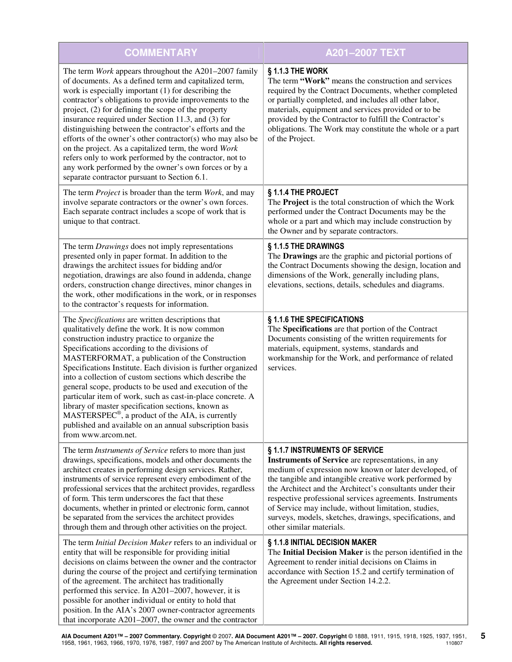| <b>COMMENTARY</b>                                                                                                                                                                                                                                                                                                                                                                                                                                                                                                                                                                                                                                                                                          | A201-2007 TEXT                                                                                                                                                                                                                                                                                                                                                                                                                                                                   |
|------------------------------------------------------------------------------------------------------------------------------------------------------------------------------------------------------------------------------------------------------------------------------------------------------------------------------------------------------------------------------------------------------------------------------------------------------------------------------------------------------------------------------------------------------------------------------------------------------------------------------------------------------------------------------------------------------------|----------------------------------------------------------------------------------------------------------------------------------------------------------------------------------------------------------------------------------------------------------------------------------------------------------------------------------------------------------------------------------------------------------------------------------------------------------------------------------|
| The term Work appears throughout the A201-2007 family<br>of documents. As a defined term and capitalized term,<br>work is especially important (1) for describing the<br>contractor's obligations to provide improvements to the<br>project, (2) for defining the scope of the property<br>insurance required under Section 11.3, and (3) for<br>distinguishing between the contractor's efforts and the<br>efforts of the owner's other contractor(s) who may also be<br>on the project. As a capitalized term, the word Work<br>refers only to work performed by the contractor, not to<br>any work performed by the owner's own forces or by a<br>separate contractor pursuant to Section 6.1.          | § 1.1.3 THE WORK<br>The term "Work" means the construction and services<br>required by the Contract Documents, whether completed<br>or partially completed, and includes all other labor,<br>materials, equipment and services provided or to be<br>provided by the Contractor to fulfill the Contractor's<br>obligations. The Work may constitute the whole or a part<br>of the Project.                                                                                        |
| The term <i>Project</i> is broader than the term <i>Work</i> , and may<br>involve separate contractors or the owner's own forces.<br>Each separate contract includes a scope of work that is<br>unique to that contract.                                                                                                                                                                                                                                                                                                                                                                                                                                                                                   | §1.1.4 THE PROJECT<br>The Project is the total construction of which the Work<br>performed under the Contract Documents may be the<br>whole or a part and which may include construction by<br>the Owner and by separate contractors.                                                                                                                                                                                                                                            |
| The term Drawings does not imply representations<br>presented only in paper format. In addition to the<br>drawings the architect issues for bidding and/or<br>negotiation, drawings are also found in addenda, change<br>orders, construction change directives, minor changes in<br>the work, other modifications in the work, or in responses<br>to the contractor's requests for information.                                                                                                                                                                                                                                                                                                           | § 1.1.5 THE DRAWINGS<br>The Drawings are the graphic and pictorial portions of<br>the Contract Documents showing the design, location and<br>dimensions of the Work, generally including plans,<br>elevations, sections, details, schedules and diagrams.                                                                                                                                                                                                                        |
| The Specifications are written descriptions that<br>qualitatively define the work. It is now common<br>construction industry practice to organize the<br>Specifications according to the divisions of<br>MASTERFORMAT, a publication of the Construction<br>Specifications Institute. Each division is further organized<br>into a collection of custom sections which describe the<br>general scope, products to be used and execution of the<br>particular item of work, such as cast-in-place concrete. A<br>library of master specification sections, known as<br>$MASTERSPEC®$ , a product of the AIA, is currently<br>published and available on an annual subscription basis<br>from www.arcom.net. | § 1.1.6 THE SPECIFICATIONS<br>The Specifications are that portion of the Contract<br>Documents consisting of the written requirements for<br>materials, equipment, systems, standards and<br>workmanship for the Work, and performance of related<br>services.                                                                                                                                                                                                                   |
| The term <i>Instruments of Service</i> refers to more than just<br>drawings, specifications, models and other documents the<br>architect creates in performing design services. Rather,<br>instruments of service represent every embodiment of the<br>professional services that the architect provides, regardless<br>of form. This term underscores the fact that these<br>documents, whether in printed or electronic form, cannot<br>be separated from the services the architect provides<br>through them and through other activities on the project.                                                                                                                                               | § 1.1.7 INSTRUMENTS OF SERVICE<br>Instruments of Service are representations, in any<br>medium of expression now known or later developed, of<br>the tangible and intangible creative work performed by<br>the Architect and the Architect's consultants under their<br>respective professional services agreements. Instruments<br>of Service may include, without limitation, studies,<br>surveys, models, sketches, drawings, specifications, and<br>other similar materials. |
| The term <i>Initial Decision Maker</i> refers to an individual or<br>entity that will be responsible for providing initial<br>decisions on claims between the owner and the contractor<br>during the course of the project and certifying termination<br>of the agreement. The architect has traditionally<br>performed this service. In A201-2007, however, it is<br>possible for another individual or entity to hold that<br>position. In the AIA's 2007 owner-contractor agreements<br>that incorporate A201-2007, the owner and the contractor                                                                                                                                                        | § 1.1.8 INITIAL DECISION MAKER<br>The Initial Decision Maker is the person identified in the<br>Agreement to render initial decisions on Claims in<br>accordance with Section 15.2 and certify termination of<br>the Agreement under Section 14.2.2.                                                                                                                                                                                                                             |

**5**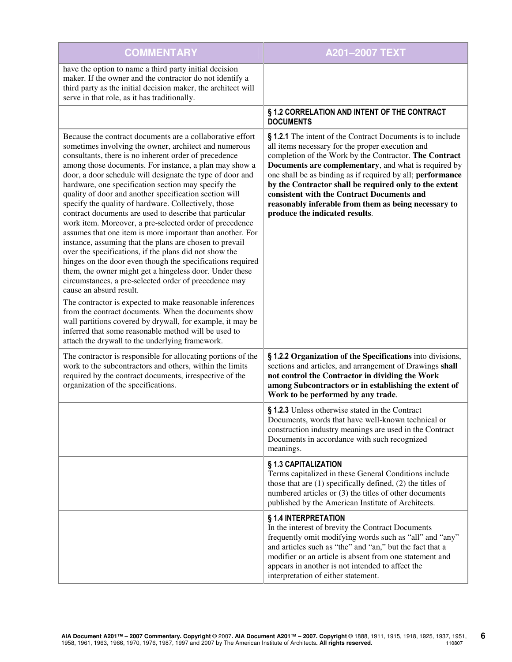| <b>COMMENTARY</b>                                                                                                                                                                                                                                                                                                                                                                                                                                                                                                                                                                                                                                                                                                                                                                                                                                                                                                                                                                                                                                                                                                                                                                                                                                                                             | A201-2007 TEXT                                                                                                                                                                                                                                                                                                                                                                                                                                                                                   |
|-----------------------------------------------------------------------------------------------------------------------------------------------------------------------------------------------------------------------------------------------------------------------------------------------------------------------------------------------------------------------------------------------------------------------------------------------------------------------------------------------------------------------------------------------------------------------------------------------------------------------------------------------------------------------------------------------------------------------------------------------------------------------------------------------------------------------------------------------------------------------------------------------------------------------------------------------------------------------------------------------------------------------------------------------------------------------------------------------------------------------------------------------------------------------------------------------------------------------------------------------------------------------------------------------|--------------------------------------------------------------------------------------------------------------------------------------------------------------------------------------------------------------------------------------------------------------------------------------------------------------------------------------------------------------------------------------------------------------------------------------------------------------------------------------------------|
| have the option to name a third party initial decision<br>maker. If the owner and the contractor do not identify a<br>third party as the initial decision maker, the architect will<br>serve in that role, as it has traditionally.                                                                                                                                                                                                                                                                                                                                                                                                                                                                                                                                                                                                                                                                                                                                                                                                                                                                                                                                                                                                                                                           |                                                                                                                                                                                                                                                                                                                                                                                                                                                                                                  |
|                                                                                                                                                                                                                                                                                                                                                                                                                                                                                                                                                                                                                                                                                                                                                                                                                                                                                                                                                                                                                                                                                                                                                                                                                                                                                               | § 1.2 CORRELATION AND INTENT OF THE CONTRACT<br><b>DOCUMENTS</b>                                                                                                                                                                                                                                                                                                                                                                                                                                 |
| Because the contract documents are a collaborative effort<br>sometimes involving the owner, architect and numerous<br>consultants, there is no inherent order of precedence<br>among those documents. For instance, a plan may show a<br>door, a door schedule will designate the type of door and<br>hardware, one specification section may specify the<br>quality of door and another specification section will<br>specify the quality of hardware. Collectively, those<br>contract documents are used to describe that particular<br>work item. Moreover, a pre-selected order of precedence<br>assumes that one item is more important than another. For<br>instance, assuming that the plans are chosen to prevail<br>over the specifications, if the plans did not show the<br>hinges on the door even though the specifications required<br>them, the owner might get a hingeless door. Under these<br>circumstances, a pre-selected order of precedence may<br>cause an absurd result.<br>The contractor is expected to make reasonable inferences<br>from the contract documents. When the documents show<br>wall partitions covered by drywall, for example, it may be<br>inferred that some reasonable method will be used to<br>attach the drywall to the underlying framework. | § 1.2.1 The intent of the Contract Documents is to include<br>all items necessary for the proper execution and<br>completion of the Work by the Contractor. The Contract<br>Documents are complementary, and what is required by<br>one shall be as binding as if required by all; performance<br>by the Contractor shall be required only to the extent<br>consistent with the Contract Documents and<br>reasonably inferable from them as being necessary to<br>produce the indicated results. |
| The contractor is responsible for allocating portions of the<br>work to the subcontractors and others, within the limits<br>required by the contract documents, irrespective of the<br>organization of the specifications.                                                                                                                                                                                                                                                                                                                                                                                                                                                                                                                                                                                                                                                                                                                                                                                                                                                                                                                                                                                                                                                                    | §1.2.2 Organization of the Specifications into divisions,<br>sections and articles, and arrangement of Drawings shall<br>not control the Contractor in dividing the Work<br>among Subcontractors or in establishing the extent of<br>Work to be performed by any trade.                                                                                                                                                                                                                          |
|                                                                                                                                                                                                                                                                                                                                                                                                                                                                                                                                                                                                                                                                                                                                                                                                                                                                                                                                                                                                                                                                                                                                                                                                                                                                                               | §1.2.3 Unless otherwise stated in the Contract<br>Documents, words that have well-known technical or<br>construction industry meanings are used in the Contract<br>Documents in accordance with such recognized<br>meanings.                                                                                                                                                                                                                                                                     |
|                                                                                                                                                                                                                                                                                                                                                                                                                                                                                                                                                                                                                                                                                                                                                                                                                                                                                                                                                                                                                                                                                                                                                                                                                                                                                               | § 1.3 CAPITALIZATION<br>Terms capitalized in these General Conditions include<br>those that are $(1)$ specifically defined, $(2)$ the titles of<br>numbered articles or (3) the titles of other documents<br>published by the American Institute of Architects.                                                                                                                                                                                                                                  |
|                                                                                                                                                                                                                                                                                                                                                                                                                                                                                                                                                                                                                                                                                                                                                                                                                                                                                                                                                                                                                                                                                                                                                                                                                                                                                               | § 1.4 INTERPRETATION<br>In the interest of brevity the Contract Documents<br>frequently omit modifying words such as "all" and "any"<br>and articles such as "the" and "an," but the fact that a<br>modifier or an article is absent from one statement and<br>appears in another is not intended to affect the<br>interpretation of either statement.                                                                                                                                           |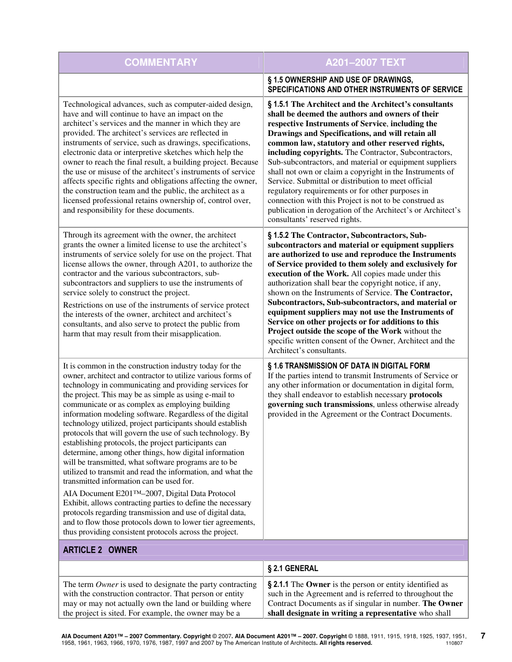| <b>COMMENTARY</b>                                                                                                                                                                                                                                                                                                                                                                                                                                                                                                                                                                                                                                                                                                                                                                                                                                                                                                                                                                                                                                                                | A201-2007 TEXT                                                                                                                                                                                                                                                                                                                                                                                                                                                                                                                                                                                                                                                                                                            |
|----------------------------------------------------------------------------------------------------------------------------------------------------------------------------------------------------------------------------------------------------------------------------------------------------------------------------------------------------------------------------------------------------------------------------------------------------------------------------------------------------------------------------------------------------------------------------------------------------------------------------------------------------------------------------------------------------------------------------------------------------------------------------------------------------------------------------------------------------------------------------------------------------------------------------------------------------------------------------------------------------------------------------------------------------------------------------------|---------------------------------------------------------------------------------------------------------------------------------------------------------------------------------------------------------------------------------------------------------------------------------------------------------------------------------------------------------------------------------------------------------------------------------------------------------------------------------------------------------------------------------------------------------------------------------------------------------------------------------------------------------------------------------------------------------------------------|
|                                                                                                                                                                                                                                                                                                                                                                                                                                                                                                                                                                                                                                                                                                                                                                                                                                                                                                                                                                                                                                                                                  | § 1.5 OWNERSHIP AND USE OF DRAWINGS,<br>SPECIFICATIONS AND OTHER INSTRUMENTS OF SERVICE                                                                                                                                                                                                                                                                                                                                                                                                                                                                                                                                                                                                                                   |
| Technological advances, such as computer-aided design,<br>have and will continue to have an impact on the<br>architect's services and the manner in which they are<br>provided. The architect's services are reflected in<br>instruments of service, such as drawings, specifications,<br>electronic data or interpretive sketches which help the<br>owner to reach the final result, a building project. Because<br>the use or misuse of the architect's instruments of service<br>affects specific rights and obligations affecting the owner,<br>the construction team and the public, the architect as a<br>licensed professional retains ownership of, control over,<br>and responsibility for these documents.                                                                                                                                                                                                                                                                                                                                                             | § 1.5.1 The Architect and the Architect's consultants<br>shall be deemed the authors and owners of their<br>respective Instruments of Service, including the<br>Drawings and Specifications, and will retain all<br>common law, statutory and other reserved rights,<br>including copyrights. The Contractor, Subcontractors,<br>Sub-subcontractors, and material or equipment suppliers<br>shall not own or claim a copyright in the Instruments of<br>Service. Submittal or distribution to meet official<br>regulatory requirements or for other purposes in<br>connection with this Project is not to be construed as<br>publication in derogation of the Architect's or Architect's<br>consultants' reserved rights. |
| Through its agreement with the owner, the architect<br>grants the owner a limited license to use the architect's<br>instruments of service solely for use on the project. That<br>license allows the owner, through A201, to authorize the<br>contractor and the various subcontractors, sub-<br>subcontractors and suppliers to use the instruments of<br>service solely to construct the project.<br>Restrictions on use of the instruments of service protect<br>the interests of the owner, architect and architect's<br>consultants, and also serve to protect the public from<br>harm that may result from their misapplication.                                                                                                                                                                                                                                                                                                                                                                                                                                           | §1.5.2 The Contractor, Subcontractors, Sub-<br>subcontractors and material or equipment suppliers<br>are authorized to use and reproduce the Instruments<br>of Service provided to them solely and exclusively for<br>execution of the Work. All copies made under this<br>authorization shall bear the copyright notice, if any,<br>shown on the Instruments of Service. The Contractor,<br>Subcontractors, Sub-subcontractors, and material or<br>equipment suppliers may not use the Instruments of<br>Service on other projects or for additions to this<br>Project outside the scope of the Work without the<br>specific written consent of the Owner, Architect and the<br>Architect's consultants.                 |
| It is common in the construction industry today for the<br>owner, architect and contractor to utilize various forms of<br>technology in communicating and providing services for<br>the project. This may be as simple as using e-mail to<br>communicate or as complex as employing building<br>information modeling software. Regardless of the digital<br>technology utilized, project participants should establish<br>protocols that will govern the use of such technology. By<br>establishing protocols, the project participants can<br>determine, among other things, how digital information<br>will be transmitted, what software programs are to be<br>utilized to transmit and read the information, and what the<br>transmitted information can be used for.<br>AIA Document E201™-2007, Digital Data Protocol<br>Exhibit, allows contracting parties to define the necessary<br>protocols regarding transmission and use of digital data,<br>and to flow those protocols down to lower tier agreements,<br>thus providing consistent protocols across the project. | § 1.6 TRANSMISSION OF DATA IN DIGITAL FORM<br>If the parties intend to transmit Instruments of Service or<br>any other information or documentation in digital form,<br>they shall endeavor to establish necessary protocols<br>governing such transmissions, unless otherwise already<br>provided in the Agreement or the Contract Documents.                                                                                                                                                                                                                                                                                                                                                                            |
| <b>ARTICLE 2 OWNER</b>                                                                                                                                                                                                                                                                                                                                                                                                                                                                                                                                                                                                                                                                                                                                                                                                                                                                                                                                                                                                                                                           |                                                                                                                                                                                                                                                                                                                                                                                                                                                                                                                                                                                                                                                                                                                           |
|                                                                                                                                                                                                                                                                                                                                                                                                                                                                                                                                                                                                                                                                                                                                                                                                                                                                                                                                                                                                                                                                                  | § 2.1 GENERAL                                                                                                                                                                                                                                                                                                                                                                                                                                                                                                                                                                                                                                                                                                             |
| The term Owner is used to designate the party contracting<br>with the construction contractor. That person or entity<br>may or may not actually own the land or building where                                                                                                                                                                                                                                                                                                                                                                                                                                                                                                                                                                                                                                                                                                                                                                                                                                                                                                   | § 2.1.1 The Owner is the person or entity identified as<br>such in the Agreement and is referred to throughout the<br>Contract Documents as if singular in number. The Owner                                                                                                                                                                                                                                                                                                                                                                                                                                                                                                                                              |

**shall designate in writing a representative** who shall

the project is sited. For example, the owner may be a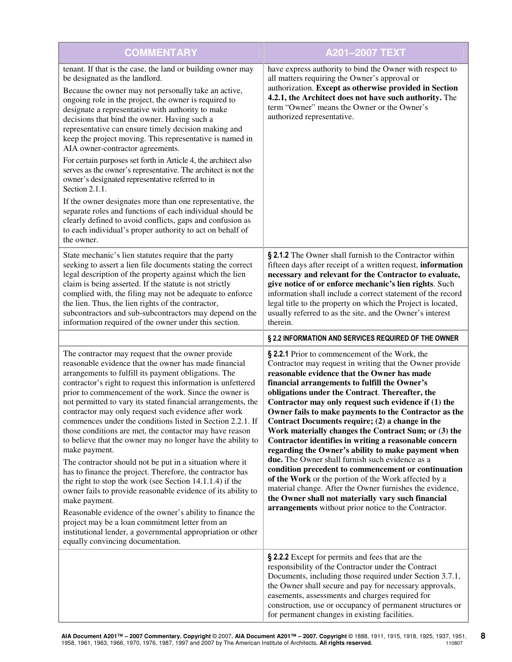| <b>COMMENTARY</b>                                                                                                                                                                                                                                                                                                                                                                                                                                                                                                                                                                                                                                                                                                                                                                                                                                                                                                                                                                                                                                                                                                      | A201-2007 TEXT                                                                                                                                                                                                                                                                                                                                                                                                                                                                                                                                                                                                                                                                                                                                                                                                                                                                                                                                              |
|------------------------------------------------------------------------------------------------------------------------------------------------------------------------------------------------------------------------------------------------------------------------------------------------------------------------------------------------------------------------------------------------------------------------------------------------------------------------------------------------------------------------------------------------------------------------------------------------------------------------------------------------------------------------------------------------------------------------------------------------------------------------------------------------------------------------------------------------------------------------------------------------------------------------------------------------------------------------------------------------------------------------------------------------------------------------------------------------------------------------|-------------------------------------------------------------------------------------------------------------------------------------------------------------------------------------------------------------------------------------------------------------------------------------------------------------------------------------------------------------------------------------------------------------------------------------------------------------------------------------------------------------------------------------------------------------------------------------------------------------------------------------------------------------------------------------------------------------------------------------------------------------------------------------------------------------------------------------------------------------------------------------------------------------------------------------------------------------|
| tenant. If that is the case, the land or building owner may<br>be designated as the landlord.<br>Because the owner may not personally take an active,<br>ongoing role in the project, the owner is required to<br>designate a representative with authority to make<br>decisions that bind the owner. Having such a<br>representative can ensure timely decision making and<br>keep the project moving. This representative is named in<br>AIA owner-contractor agreements.<br>For certain purposes set forth in Article 4, the architect also<br>serves as the owner's representative. The architect is not the<br>owner's designated representative referred to in<br>Section 2.1.1.<br>If the owner designates more than one representative, the<br>separate roles and functions of each individual should be<br>clearly defined to avoid conflicts, gaps and confusion as<br>to each individual's proper authority to act on behalf of<br>the owner.                                                                                                                                                               | have express authority to bind the Owner with respect to<br>all matters requiring the Owner's approval or<br>authorization. Except as otherwise provided in Section<br>4.2.1, the Architect does not have such authority. The<br>term "Owner" means the Owner or the Owner's<br>authorized representative.                                                                                                                                                                                                                                                                                                                                                                                                                                                                                                                                                                                                                                                  |
| State mechanic's lien statutes require that the party<br>seeking to assert a lien file documents stating the correct<br>legal description of the property against which the lien<br>claim is being asserted. If the statute is not strictly<br>complied with, the filing may not be adequate to enforce<br>the lien. Thus, the lien rights of the contractor,<br>subcontractors and sub-subcontractors may depend on the<br>information required of the owner under this section.                                                                                                                                                                                                                                                                                                                                                                                                                                                                                                                                                                                                                                      | § 2.1.2 The Owner shall furnish to the Contractor within<br>fifteen days after receipt of a written request, information<br>necessary and relevant for the Contractor to evaluate,<br>give notice of or enforce mechanic's lien rights. Such<br>information shall include a correct statement of the record<br>legal title to the property on which the Project is located,<br>usually referred to as the site, and the Owner's interest<br>therein.                                                                                                                                                                                                                                                                                                                                                                                                                                                                                                        |
|                                                                                                                                                                                                                                                                                                                                                                                                                                                                                                                                                                                                                                                                                                                                                                                                                                                                                                                                                                                                                                                                                                                        | § 2.2 INFORMATION AND SERVICES REQUIRED OF THE OWNER                                                                                                                                                                                                                                                                                                                                                                                                                                                                                                                                                                                                                                                                                                                                                                                                                                                                                                        |
| The contractor may request that the owner provide<br>reasonable evidence that the owner has made financial<br>arrangements to fulfill its payment obligations. The<br>contractor's right to request this information is unfettered<br>prior to commencement of the work. Since the owner is<br>not permitted to vary its stated financial arrangements, the<br>contractor may only request such evidence after work<br>commences under the conditions listed in Section 2.2.1. If<br>those conditions are met, the contactor may have reason<br>to believe that the owner may no longer have the ability to<br>make payment.<br>The contractor should not be put in a situation where it<br>has to finance the project. Therefore, the contractor has<br>the right to stop the work (see Section 14.1.1.4) if the<br>owner fails to provide reasonable evidence of its ability to<br>make payment.<br>Reasonable evidence of the owner's ability to finance the<br>project may be a loan commitment letter from an<br>institutional lender, a governmental appropriation or other<br>equally convincing documentation. | § 2.2.1 Prior to commencement of the Work, the<br>Contractor may request in writing that the Owner provide<br>reasonable evidence that the Owner has made<br>financial arrangements to fulfill the Owner's<br>obligations under the Contract. Thereafter, the<br>Contractor may only request such evidence if (1) the<br>Owner fails to make payments to the Contractor as the<br>Contract Documents require; (2) a change in the<br>Work materially changes the Contract Sum; or (3) the<br>Contractor identifies in writing a reasonable concern<br>regarding the Owner's ability to make payment when<br><b>due.</b> The Owner shall furnish such evidence as a<br>condition precedent to commencement or continuation<br>of the Work or the portion of the Work affected by a<br>material change. After the Owner furnishes the evidence,<br>the Owner shall not materially vary such financial<br>arrangements without prior notice to the Contractor. |
|                                                                                                                                                                                                                                                                                                                                                                                                                                                                                                                                                                                                                                                                                                                                                                                                                                                                                                                                                                                                                                                                                                                        | § 2.2.2 Except for permits and fees that are the<br>responsibility of the Contractor under the Contract<br>Documents, including those required under Section 3.7.1,<br>the Owner shall secure and pay for necessary approvals,<br>easements, assessments and charges required for<br>construction, use or occupancy of permanent structures or<br>for permanent changes in existing facilities.                                                                                                                                                                                                                                                                                                                                                                                                                                                                                                                                                             |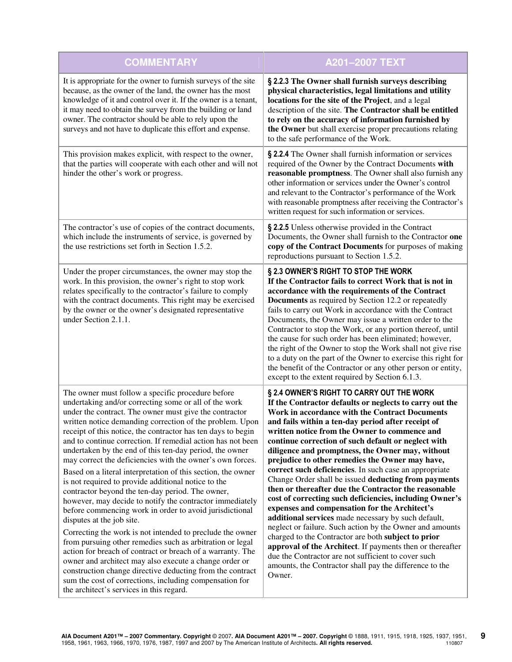| <b>COMMENTARY</b>                                                                                                                                                                                                                                                                                                                                                                                                                                                                                                                                                                                                                                                                                                                                                                                                                                                                                                                                                                                                                                                                                                                                                                                                                            | A201-2007 TEXT                                                                                                                                                                                                                                                                                                                                                                                                                                                                                                                                                                                                                                                                                                                                                                                                                                                                                                                                                                                                                                                                       |
|----------------------------------------------------------------------------------------------------------------------------------------------------------------------------------------------------------------------------------------------------------------------------------------------------------------------------------------------------------------------------------------------------------------------------------------------------------------------------------------------------------------------------------------------------------------------------------------------------------------------------------------------------------------------------------------------------------------------------------------------------------------------------------------------------------------------------------------------------------------------------------------------------------------------------------------------------------------------------------------------------------------------------------------------------------------------------------------------------------------------------------------------------------------------------------------------------------------------------------------------|--------------------------------------------------------------------------------------------------------------------------------------------------------------------------------------------------------------------------------------------------------------------------------------------------------------------------------------------------------------------------------------------------------------------------------------------------------------------------------------------------------------------------------------------------------------------------------------------------------------------------------------------------------------------------------------------------------------------------------------------------------------------------------------------------------------------------------------------------------------------------------------------------------------------------------------------------------------------------------------------------------------------------------------------------------------------------------------|
| It is appropriate for the owner to furnish surveys of the site<br>because, as the owner of the land, the owner has the most<br>knowledge of it and control over it. If the owner is a tenant,<br>it may need to obtain the survey from the building or land<br>owner. The contractor should be able to rely upon the<br>surveys and not have to duplicate this effort and expense.                                                                                                                                                                                                                                                                                                                                                                                                                                                                                                                                                                                                                                                                                                                                                                                                                                                           | § 2.2.3 The Owner shall furnish surveys describing<br>physical characteristics, legal limitations and utility<br>locations for the site of the Project, and a legal<br>description of the site. The Contractor shall be entitled<br>to rely on the accuracy of information furnished by<br>the Owner but shall exercise proper precautions relating<br>to the safe performance of the Work.                                                                                                                                                                                                                                                                                                                                                                                                                                                                                                                                                                                                                                                                                          |
| This provision makes explicit, with respect to the owner,<br>that the parties will cooperate with each other and will not<br>hinder the other's work or progress.                                                                                                                                                                                                                                                                                                                                                                                                                                                                                                                                                                                                                                                                                                                                                                                                                                                                                                                                                                                                                                                                            | § 2.2.4 The Owner shall furnish information or services<br>required of the Owner by the Contract Documents with<br>reasonable promptness. The Owner shall also furnish any<br>other information or services under the Owner's control<br>and relevant to the Contractor's performance of the Work<br>with reasonable promptness after receiving the Contractor's<br>written request for such information or services.                                                                                                                                                                                                                                                                                                                                                                                                                                                                                                                                                                                                                                                                |
| The contractor's use of copies of the contract documents,<br>which include the instruments of service, is governed by<br>the use restrictions set forth in Section 1.5.2.                                                                                                                                                                                                                                                                                                                                                                                                                                                                                                                                                                                                                                                                                                                                                                                                                                                                                                                                                                                                                                                                    | § 2.2.5 Unless otherwise provided in the Contract<br>Documents, the Owner shall furnish to the Contractor one<br>copy of the Contract Documents for purposes of making<br>reproductions pursuant to Section 1.5.2.                                                                                                                                                                                                                                                                                                                                                                                                                                                                                                                                                                                                                                                                                                                                                                                                                                                                   |
| Under the proper circumstances, the owner may stop the<br>work. In this provision, the owner's right to stop work<br>relates specifically to the contractor's failure to comply<br>with the contract documents. This right may be exercised<br>by the owner or the owner's designated representative<br>under Section 2.1.1.                                                                                                                                                                                                                                                                                                                                                                                                                                                                                                                                                                                                                                                                                                                                                                                                                                                                                                                 | § 2.3 OWNER'S RIGHT TO STOP THE WORK<br>If the Contractor fails to correct Work that is not in<br>accordance with the requirements of the Contract<br><b>Documents</b> as required by Section 12.2 or repeatedly<br>fails to carry out Work in accordance with the Contract<br>Documents, the Owner may issue a written order to the<br>Contractor to stop the Work, or any portion thereof, until<br>the cause for such order has been eliminated; however,<br>the right of the Owner to stop the Work shall not give rise<br>to a duty on the part of the Owner to exercise this right for<br>the benefit of the Contractor or any other person or entity,<br>except to the extent required by Section 6.1.3.                                                                                                                                                                                                                                                                                                                                                                      |
| The owner must follow a specific procedure before<br>undertaking and/or correcting some or all of the work<br>under the contract. The owner must give the contractor<br>written notice demanding correction of the problem. Upon<br>receipt of this notice, the contractor has ten days to begin<br>and to continue correction. If remedial action has not been<br>undertaken by the end of this ten-day period, the owner<br>may correct the deficiencies with the owner's own forces.<br>Based on a literal interpretation of this section, the owner<br>is not required to provide additional notice to the<br>contractor beyond the ten-day period. The owner,<br>however, may decide to notify the contractor immediately<br>before commencing work in order to avoid jurisdictional<br>disputes at the job site.<br>Correcting the work is not intended to preclude the owner<br>from pursuing other remedies such as arbitration or legal<br>action for breach of contract or breach of a warranty. The<br>owner and architect may also execute a change order or<br>construction change directive deducting from the contract<br>sum the cost of corrections, including compensation for<br>the architect's services in this regard. | § 2.4 OWNER'S RIGHT TO CARRY OUT THE WORK<br>If the Contractor defaults or neglects to carry out the<br>Work in accordance with the Contract Documents<br>and fails within a ten-day period after receipt of<br>written notice from the Owner to commence and<br>continue correction of such default or neglect with<br>diligence and promptness, the Owner may, without<br>prejudice to other remedies the Owner may have,<br>correct such deficiencies. In such case an appropriate<br>Change Order shall be issued deducting from payments<br>then or thereafter due the Contractor the reasonable<br>cost of correcting such deficiencies, including Owner's<br>expenses and compensation for the Architect's<br>additional services made necessary by such default,<br>neglect or failure. Such action by the Owner and amounts<br>charged to the Contractor are both subject to prior<br>approval of the Architect. If payments then or thereafter<br>due the Contractor are not sufficient to cover such<br>amounts, the Contractor shall pay the difference to the<br>Owner. |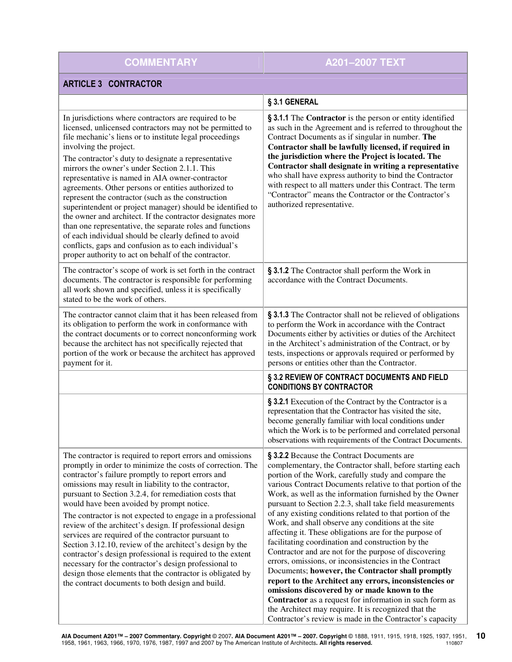# **COMMENTARY A201–2007 TEXT**

#### ARTICLE 3 CONTRACTOR

|                                                                                                                                                                                                                                                                                                                                                                                                                                                                                                                                                                                                                                                                                                                                                                                                                                                   | § 3.1 GENERAL                                                                                                                                                                                                                                                                                                                                                                                                                                                                                                                                                                                                                                                                                                                                                                                                                                                                                                                                                                                                                                                 |
|---------------------------------------------------------------------------------------------------------------------------------------------------------------------------------------------------------------------------------------------------------------------------------------------------------------------------------------------------------------------------------------------------------------------------------------------------------------------------------------------------------------------------------------------------------------------------------------------------------------------------------------------------------------------------------------------------------------------------------------------------------------------------------------------------------------------------------------------------|---------------------------------------------------------------------------------------------------------------------------------------------------------------------------------------------------------------------------------------------------------------------------------------------------------------------------------------------------------------------------------------------------------------------------------------------------------------------------------------------------------------------------------------------------------------------------------------------------------------------------------------------------------------------------------------------------------------------------------------------------------------------------------------------------------------------------------------------------------------------------------------------------------------------------------------------------------------------------------------------------------------------------------------------------------------|
| In jurisdictions where contractors are required to be<br>licensed, unlicensed contractors may not be permitted to<br>file mechanic's liens or to institute legal proceedings<br>involving the project.<br>The contractor's duty to designate a representative<br>mirrors the owner's under Section 2.1.1. This<br>representative is named in AIA owner-contractor<br>agreements. Other persons or entities authorized to<br>represent the contractor (such as the construction<br>superintendent or project manager) should be identified to<br>the owner and architect. If the contractor designates more<br>than one representative, the separate roles and functions<br>of each individual should be clearly defined to avoid<br>conflicts, gaps and confusion as to each individual's<br>proper authority to act on behalf of the contractor. | § 3.1.1 The Contractor is the person or entity identified<br>as such in the Agreement and is referred to throughout the<br>Contract Documents as if singular in number. The<br>Contractor shall be lawfully licensed, if required in<br>the jurisdiction where the Project is located. The<br>Contractor shall designate in writing a representative<br>who shall have express authority to bind the Contractor<br>with respect to all matters under this Contract. The term<br>"Contractor" means the Contractor or the Contractor's<br>authorized representative.                                                                                                                                                                                                                                                                                                                                                                                                                                                                                           |
| The contractor's scope of work is set forth in the contract<br>documents. The contractor is responsible for performing<br>all work shown and specified, unless it is specifically<br>stated to be the work of others.                                                                                                                                                                                                                                                                                                                                                                                                                                                                                                                                                                                                                             | § 3.1.2 The Contractor shall perform the Work in<br>accordance with the Contract Documents.                                                                                                                                                                                                                                                                                                                                                                                                                                                                                                                                                                                                                                                                                                                                                                                                                                                                                                                                                                   |
| The contractor cannot claim that it has been released from<br>its obligation to perform the work in conformance with<br>the contract documents or to correct nonconforming work<br>because the architect has not specifically rejected that<br>portion of the work or because the architect has approved<br>payment for it.                                                                                                                                                                                                                                                                                                                                                                                                                                                                                                                       | § 3.1.3 The Contractor shall not be relieved of obligations<br>to perform the Work in accordance with the Contract<br>Documents either by activities or duties of the Architect<br>in the Architect's administration of the Contract, or by<br>tests, inspections or approvals required or performed by<br>persons or entities other than the Contractor.                                                                                                                                                                                                                                                                                                                                                                                                                                                                                                                                                                                                                                                                                                     |
|                                                                                                                                                                                                                                                                                                                                                                                                                                                                                                                                                                                                                                                                                                                                                                                                                                                   | § 3.2 REVIEW OF CONTRACT DOCUMENTS AND FIELD<br><b>CONDITIONS BY CONTRACTOR</b>                                                                                                                                                                                                                                                                                                                                                                                                                                                                                                                                                                                                                                                                                                                                                                                                                                                                                                                                                                               |
|                                                                                                                                                                                                                                                                                                                                                                                                                                                                                                                                                                                                                                                                                                                                                                                                                                                   | § 3.2.1 Execution of the Contract by the Contractor is a<br>representation that the Contractor has visited the site,<br>become generally familiar with local conditions under<br>which the Work is to be performed and correlated personal<br>observations with requirements of the Contract Documents.                                                                                                                                                                                                                                                                                                                                                                                                                                                                                                                                                                                                                                                                                                                                                       |
| The contractor is required to report errors and omissions<br>promptly in order to minimize the costs of correction. The<br>contractor's failure promptly to report errors and<br>omissions may result in liability to the contractor,<br>pursuant to Section 3.2.4, for remediation costs that<br>would have been avoided by prompt notice.<br>The contractor is not expected to engage in a professional<br>review of the architect's design. If professional design<br>services are required of the contractor pursuant to<br>Section 3.12.10, review of the architect's design by the<br>contractor's design professional is required to the extent<br>necessary for the contractor's design professional to<br>design those elements that the contractor is obligated by<br>the contract documents to both design and build.                  | § 3.2.2 Because the Contract Documents are<br>complementary, the Contractor shall, before starting each<br>portion of the Work, carefully study and compare the<br>various Contract Documents relative to that portion of the<br>Work, as well as the information furnished by the Owner<br>pursuant to Section 2.2.3, shall take field measurements<br>of any existing conditions related to that portion of the<br>Work, and shall observe any conditions at the site<br>affecting it. These obligations are for the purpose of<br>facilitating coordination and construction by the<br>Contractor and are not for the purpose of discovering<br>errors, omissions, or inconsistencies in the Contract<br>Documents; however, the Contractor shall promptly<br>report to the Architect any errors, inconsistencies or<br>omissions discovered by or made known to the<br><b>Contractor</b> as a request for information in such form as<br>the Architect may require. It is recognized that the<br>Contractor's review is made in the Contractor's capacity |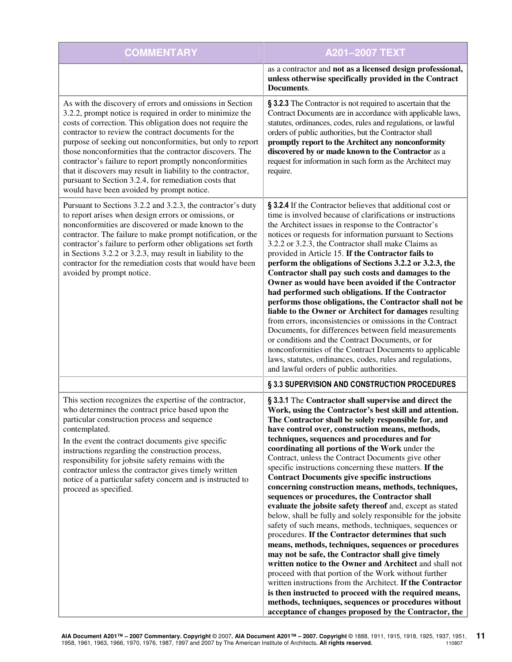| <b>COMMENTARY</b>                                                                                                                                                                                                                                                                                                                                                                                                                                                                                                                                                                                    | A201-2007 TEXT                                                                                                                                                                                                                                                                                                                                                                                                                                                                                                                                                                                                                                                                                                                                                                                                                                                                                                                                                                                                                                                                                                                                                                                                                                                                                                                      |
|------------------------------------------------------------------------------------------------------------------------------------------------------------------------------------------------------------------------------------------------------------------------------------------------------------------------------------------------------------------------------------------------------------------------------------------------------------------------------------------------------------------------------------------------------------------------------------------------------|-------------------------------------------------------------------------------------------------------------------------------------------------------------------------------------------------------------------------------------------------------------------------------------------------------------------------------------------------------------------------------------------------------------------------------------------------------------------------------------------------------------------------------------------------------------------------------------------------------------------------------------------------------------------------------------------------------------------------------------------------------------------------------------------------------------------------------------------------------------------------------------------------------------------------------------------------------------------------------------------------------------------------------------------------------------------------------------------------------------------------------------------------------------------------------------------------------------------------------------------------------------------------------------------------------------------------------------|
|                                                                                                                                                                                                                                                                                                                                                                                                                                                                                                                                                                                                      | as a contractor and not as a licensed design professional,<br>unless otherwise specifically provided in the Contract<br>Documents.                                                                                                                                                                                                                                                                                                                                                                                                                                                                                                                                                                                                                                                                                                                                                                                                                                                                                                                                                                                                                                                                                                                                                                                                  |
| As with the discovery of errors and omissions in Section<br>3.2.2, prompt notice is required in order to minimize the<br>costs of correction. This obligation does not require the<br>contractor to review the contract documents for the<br>purpose of seeking out nonconformities, but only to report<br>those nonconformities that the contractor discovers. The<br>contractor's failure to report promptly nonconformities<br>that it discovers may result in liability to the contractor,<br>pursuant to Section 3.2.4, for remediation costs that<br>would have been avoided by prompt notice. | § 3.2.3 The Contractor is not required to ascertain that the<br>Contract Documents are in accordance with applicable laws,<br>statutes, ordinances, codes, rules and regulations, or lawful<br>orders of public authorities, but the Contractor shall<br>promptly report to the Architect any nonconformity<br>discovered by or made known to the Contractor as a<br>request for information in such form as the Architect may<br>require.                                                                                                                                                                                                                                                                                                                                                                                                                                                                                                                                                                                                                                                                                                                                                                                                                                                                                          |
| Pursuant to Sections 3.2.2 and 3.2.3, the contractor's duty<br>to report arises when design errors or omissions, or<br>nonconformities are discovered or made known to the<br>contractor. The failure to make prompt notification, or the<br>contractor's failure to perform other obligations set forth<br>in Sections 3.2.2 or 3.2.3, may result in liability to the<br>contractor for the remediation costs that would have been<br>avoided by prompt notice.                                                                                                                                     | § 3.2.4 If the Contractor believes that additional cost or<br>time is involved because of clarifications or instructions<br>the Architect issues in response to the Contractor's<br>notices or requests for information pursuant to Sections<br>3.2.2 or 3.2.3, the Contractor shall make Claims as<br>provided in Article 15. If the Contractor fails to<br>perform the obligations of Sections 3.2.2 or 3.2.3, the<br>Contractor shall pay such costs and damages to the<br>Owner as would have been avoided if the Contractor<br>had performed such obligations. If the Contractor<br>performs those obligations, the Contractor shall not be<br>liable to the Owner or Architect for damages resulting<br>from errors, inconsistencies or omissions in the Contract<br>Documents, for differences between field measurements<br>or conditions and the Contract Documents, or for<br>nonconformities of the Contract Documents to applicable<br>laws, statutes, ordinances, codes, rules and regulations,<br>and lawful orders of public authorities.                                                                                                                                                                                                                                                                            |
|                                                                                                                                                                                                                                                                                                                                                                                                                                                                                                                                                                                                      | § 3.3 SUPERVISION AND CONSTRUCTION PROCEDURES                                                                                                                                                                                                                                                                                                                                                                                                                                                                                                                                                                                                                                                                                                                                                                                                                                                                                                                                                                                                                                                                                                                                                                                                                                                                                       |
| This section recognizes the expertise of the contractor,<br>who determines the contract price based upon the<br>particular construction process and sequence<br>contemplated.<br>In the event the contract documents give specific<br>instructions regarding the construction process,<br>responsibility for jobsite safety remains with the<br>contractor unless the contractor gives timely written<br>notice of a particular safety concern and is instructed to<br>proceed as specified.                                                                                                         | § 3.3.1 The Contractor shall supervise and direct the<br>Work, using the Contractor's best skill and attention.<br>The Contractor shall be solely responsible for, and<br>have control over, construction means, methods,<br>techniques, sequences and procedures and for<br>coordinating all portions of the Work under the<br>Contract, unless the Contract Documents give other<br>specific instructions concerning these matters. If the<br><b>Contract Documents give specific instructions</b><br>concerning construction means, methods, techniques,<br>sequences or procedures, the Contractor shall<br>evaluate the jobsite safety thereof and, except as stated<br>below, shall be fully and solely responsible for the jobsite<br>safety of such means, methods, techniques, sequences or<br>procedures. If the Contractor determines that such<br>means, methods, techniques, sequences or procedures<br>may not be safe, the Contractor shall give timely<br>written notice to the Owner and Architect and shall not<br>proceed with that portion of the Work without further<br>written instructions from the Architect. If the Contractor<br>is then instructed to proceed with the required means,<br>methods, techniques, sequences or procedures without<br>acceptance of changes proposed by the Contractor, the |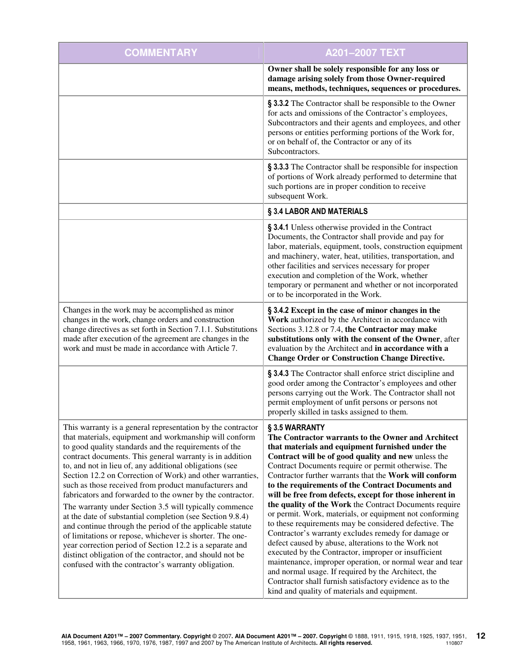| <b>COMMENTARY</b>                                                                                                                                                                                                                                                                                                                                                                                                                                                                                                                                                                                                                                                                                                                                                                                                                                                                                                       | A201-2007 TEXT                                                                                                                                                                                                                                                                                                                                                                                                                                                                                                                                                                                                                                                                                                                                                                                                                                                                                                                                                                                       |
|-------------------------------------------------------------------------------------------------------------------------------------------------------------------------------------------------------------------------------------------------------------------------------------------------------------------------------------------------------------------------------------------------------------------------------------------------------------------------------------------------------------------------------------------------------------------------------------------------------------------------------------------------------------------------------------------------------------------------------------------------------------------------------------------------------------------------------------------------------------------------------------------------------------------------|------------------------------------------------------------------------------------------------------------------------------------------------------------------------------------------------------------------------------------------------------------------------------------------------------------------------------------------------------------------------------------------------------------------------------------------------------------------------------------------------------------------------------------------------------------------------------------------------------------------------------------------------------------------------------------------------------------------------------------------------------------------------------------------------------------------------------------------------------------------------------------------------------------------------------------------------------------------------------------------------------|
|                                                                                                                                                                                                                                                                                                                                                                                                                                                                                                                                                                                                                                                                                                                                                                                                                                                                                                                         | Owner shall be solely responsible for any loss or<br>damage arising solely from those Owner-required<br>means, methods, techniques, sequences or procedures.                                                                                                                                                                                                                                                                                                                                                                                                                                                                                                                                                                                                                                                                                                                                                                                                                                         |
|                                                                                                                                                                                                                                                                                                                                                                                                                                                                                                                                                                                                                                                                                                                                                                                                                                                                                                                         | § 3.3.2 The Contractor shall be responsible to the Owner<br>for acts and omissions of the Contractor's employees,<br>Subcontractors and their agents and employees, and other<br>persons or entities performing portions of the Work for,<br>or on behalf of, the Contractor or any of its<br>Subcontractors.                                                                                                                                                                                                                                                                                                                                                                                                                                                                                                                                                                                                                                                                                        |
|                                                                                                                                                                                                                                                                                                                                                                                                                                                                                                                                                                                                                                                                                                                                                                                                                                                                                                                         | § 3.3.3 The Contractor shall be responsible for inspection<br>of portions of Work already performed to determine that<br>such portions are in proper condition to receive<br>subsequent Work.                                                                                                                                                                                                                                                                                                                                                                                                                                                                                                                                                                                                                                                                                                                                                                                                        |
|                                                                                                                                                                                                                                                                                                                                                                                                                                                                                                                                                                                                                                                                                                                                                                                                                                                                                                                         | § 3.4 LABOR AND MATERIALS                                                                                                                                                                                                                                                                                                                                                                                                                                                                                                                                                                                                                                                                                                                                                                                                                                                                                                                                                                            |
|                                                                                                                                                                                                                                                                                                                                                                                                                                                                                                                                                                                                                                                                                                                                                                                                                                                                                                                         | § 3.4.1 Unless otherwise provided in the Contract<br>Documents, the Contractor shall provide and pay for<br>labor, materials, equipment, tools, construction equipment<br>and machinery, water, heat, utilities, transportation, and<br>other facilities and services necessary for proper<br>execution and completion of the Work, whether<br>temporary or permanent and whether or not incorporated<br>or to be incorporated in the Work.                                                                                                                                                                                                                                                                                                                                                                                                                                                                                                                                                          |
| Changes in the work may be accomplished as minor<br>changes in the work, change orders and construction<br>change directives as set forth in Section 7.1.1. Substitutions<br>made after execution of the agreement are changes in the<br>work and must be made in accordance with Article 7.                                                                                                                                                                                                                                                                                                                                                                                                                                                                                                                                                                                                                            | § 3.4.2 Except in the case of minor changes in the<br>Work authorized by the Architect in accordance with<br>Sections 3.12.8 or 7.4, the Contractor may make<br>substitutions only with the consent of the Owner, after<br>evaluation by the Architect and in accordance with a<br><b>Change Order or Construction Change Directive.</b>                                                                                                                                                                                                                                                                                                                                                                                                                                                                                                                                                                                                                                                             |
|                                                                                                                                                                                                                                                                                                                                                                                                                                                                                                                                                                                                                                                                                                                                                                                                                                                                                                                         | § 3.4.3 The Contractor shall enforce strict discipline and<br>good order among the Contractor's employees and other<br>persons carrying out the Work. The Contractor shall not<br>permit employment of unfit persons or persons not<br>properly skilled in tasks assigned to them.                                                                                                                                                                                                                                                                                                                                                                                                                                                                                                                                                                                                                                                                                                                   |
| This warranty is a general representation by the contractor<br>that materials, equipment and workmanship will conform<br>to good quality standards and the requirements of the<br>contract documents. This general warranty is in addition<br>to, and not in lieu of, any additional obligations (see<br>Section 12.2 on Correction of Work) and other warranties,<br>such as those received from product manufacturers and<br>fabricators and forwarded to the owner by the contractor.<br>The warranty under Section 3.5 will typically commence<br>at the date of substantial completion (see Section 9.8.4)<br>and continue through the period of the applicable statute<br>of limitations or repose, whichever is shorter. The one-<br>year correction period of Section 12.2 is a separate and<br>distinct obligation of the contractor, and should not be<br>confused with the contractor's warranty obligation. | § 3.5 WARRANTY<br>The Contractor warrants to the Owner and Architect<br>that materials and equipment furnished under the<br>Contract will be of good quality and new unless the<br>Contract Documents require or permit otherwise. The<br>Contractor further warrants that the Work will conform<br>to the requirements of the Contract Documents and<br>will be free from defects, except for those inherent in<br>the quality of the Work the Contract Documents require<br>or permit. Work, materials, or equipment not conforming<br>to these requirements may be considered defective. The<br>Contractor's warranty excludes remedy for damage or<br>defect caused by abuse, alterations to the Work not<br>executed by the Contractor, improper or insufficient<br>maintenance, improper operation, or normal wear and tear<br>and normal usage. If required by the Architect, the<br>Contractor shall furnish satisfactory evidence as to the<br>kind and quality of materials and equipment. |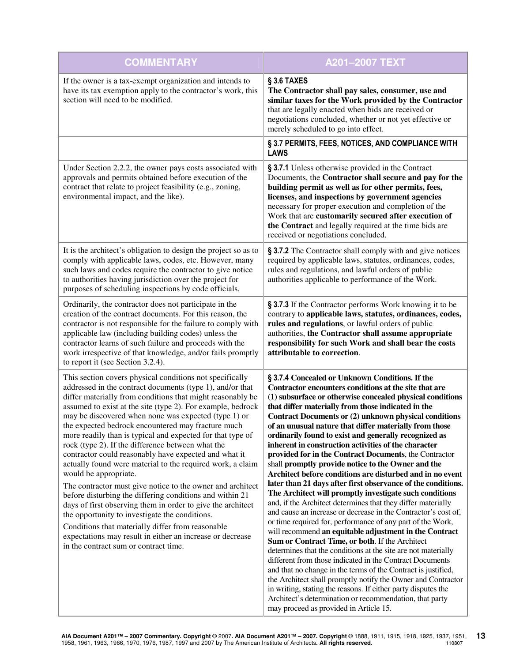| <b>COMMENTARY</b>                                                                                                                                                                                                                                                                                                                                                                                                                                                                                                                                                                                                                                                                                                                                                                                                                                                                                                                                                                                                                         | A201-2007 TEXT                                                                                                                                                                                                                                                                                                                                                                                                                                                                                                                                                                                                                                                                                                                                                                                                                                                                                                                                                                                                                                                                                                                                                                                                                                                                                                                                                                                                                                                                                                           |
|-------------------------------------------------------------------------------------------------------------------------------------------------------------------------------------------------------------------------------------------------------------------------------------------------------------------------------------------------------------------------------------------------------------------------------------------------------------------------------------------------------------------------------------------------------------------------------------------------------------------------------------------------------------------------------------------------------------------------------------------------------------------------------------------------------------------------------------------------------------------------------------------------------------------------------------------------------------------------------------------------------------------------------------------|--------------------------------------------------------------------------------------------------------------------------------------------------------------------------------------------------------------------------------------------------------------------------------------------------------------------------------------------------------------------------------------------------------------------------------------------------------------------------------------------------------------------------------------------------------------------------------------------------------------------------------------------------------------------------------------------------------------------------------------------------------------------------------------------------------------------------------------------------------------------------------------------------------------------------------------------------------------------------------------------------------------------------------------------------------------------------------------------------------------------------------------------------------------------------------------------------------------------------------------------------------------------------------------------------------------------------------------------------------------------------------------------------------------------------------------------------------------------------------------------------------------------------|
| If the owner is a tax-exempt organization and intends to<br>have its tax exemption apply to the contractor's work, this<br>section will need to be modified.                                                                                                                                                                                                                                                                                                                                                                                                                                                                                                                                                                                                                                                                                                                                                                                                                                                                              | § 3.6 TAXES<br>The Contractor shall pay sales, consumer, use and<br>similar taxes for the Work provided by the Contractor<br>that are legally enacted when bids are received or<br>negotiations concluded, whether or not yet effective or<br>merely scheduled to go into effect.                                                                                                                                                                                                                                                                                                                                                                                                                                                                                                                                                                                                                                                                                                                                                                                                                                                                                                                                                                                                                                                                                                                                                                                                                                        |
|                                                                                                                                                                                                                                                                                                                                                                                                                                                                                                                                                                                                                                                                                                                                                                                                                                                                                                                                                                                                                                           | § 3.7 PERMITS, FEES, NOTICES, AND COMPLIANCE WITH<br><b>LAWS</b>                                                                                                                                                                                                                                                                                                                                                                                                                                                                                                                                                                                                                                                                                                                                                                                                                                                                                                                                                                                                                                                                                                                                                                                                                                                                                                                                                                                                                                                         |
| Under Section 2.2.2, the owner pays costs associated with<br>approvals and permits obtained before execution of the<br>contract that relate to project feasibility (e.g., zoning,<br>environmental impact, and the like).                                                                                                                                                                                                                                                                                                                                                                                                                                                                                                                                                                                                                                                                                                                                                                                                                 | § 3.7.1 Unless otherwise provided in the Contract<br>Documents, the Contractor shall secure and pay for the<br>building permit as well as for other permits, fees,<br>licenses, and inspections by government agencies<br>necessary for proper execution and completion of the<br>Work that are customarily secured after execution of<br>the Contract and legally required at the time bids are<br>received or negotiations concluded.                                                                                                                                                                                                                                                                                                                                                                                                                                                                                                                                                                                                                                                                                                                                                                                                                                                                                                                                                                                                                                                                                  |
| It is the architect's obligation to design the project so as to<br>comply with applicable laws, codes, etc. However, many<br>such laws and codes require the contractor to give notice<br>to authorities having jurisdiction over the project for<br>purposes of scheduling inspections by code officials.                                                                                                                                                                                                                                                                                                                                                                                                                                                                                                                                                                                                                                                                                                                                | § 3.7.2 The Contractor shall comply with and give notices<br>required by applicable laws, statutes, ordinances, codes,<br>rules and regulations, and lawful orders of public<br>authorities applicable to performance of the Work.                                                                                                                                                                                                                                                                                                                                                                                                                                                                                                                                                                                                                                                                                                                                                                                                                                                                                                                                                                                                                                                                                                                                                                                                                                                                                       |
| Ordinarily, the contractor does not participate in the<br>creation of the contract documents. For this reason, the<br>contractor is not responsible for the failure to comply with<br>applicable law (including building codes) unless the<br>contractor learns of such failure and proceeds with the<br>work irrespective of that knowledge, and/or fails promptly<br>to report it (see Section 3.2.4).                                                                                                                                                                                                                                                                                                                                                                                                                                                                                                                                                                                                                                  | § 3.7.3 If the Contractor performs Work knowing it to be<br>contrary to applicable laws, statutes, ordinances, codes,<br>rules and regulations, or lawful orders of public<br>authorities, the Contractor shall assume appropriate<br>responsibility for such Work and shall bear the costs<br>attributable to correction.                                                                                                                                                                                                                                                                                                                                                                                                                                                                                                                                                                                                                                                                                                                                                                                                                                                                                                                                                                                                                                                                                                                                                                                               |
| This section covers physical conditions not specifically<br>addressed in the contract documents (type 1), and/or that<br>differ materially from conditions that might reasonably be<br>assumed to exist at the site (type 2). For example, bedrock<br>may be discovered when none was expected (type 1) or<br>the expected bedrock encountered may fracture much<br>more readily than is typical and expected for that type of<br>rock (type 2). If the difference between what the<br>contractor could reasonably have expected and what it<br>actually found were material to the required work, a claim<br>would be appropriate.<br>The contractor must give notice to the owner and architect<br>before disturbing the differing conditions and within 21<br>days of first observing them in order to give the architect<br>the opportunity to investigate the conditions.<br>Conditions that materially differ from reasonable<br>expectations may result in either an increase or decrease<br>in the contract sum or contract time. | § 3.7.4 Concealed or Unknown Conditions. If the<br>Contractor encounters conditions at the site that are<br>(1) subsurface or otherwise concealed physical conditions<br>that differ materially from those indicated in the<br>Contract Documents or (2) unknown physical conditions<br>of an unusual nature that differ materially from those<br>ordinarily found to exist and generally recognized as<br>inherent in construction activities of the character<br>provided for in the Contract Documents, the Contractor<br>shall promptly provide notice to the Owner and the<br>Architect before conditions are disturbed and in no event<br>later than 21 days after first observance of the conditions.<br>The Architect will promptly investigate such conditions<br>and, if the Architect determines that they differ materially<br>and cause an increase or decrease in the Contractor's cost of,<br>or time required for, performance of any part of the Work,<br>will recommend an equitable adjustment in the Contract<br>Sum or Contract Time, or both. If the Architect<br>determines that the conditions at the site are not materially<br>different from those indicated in the Contract Documents<br>and that no change in the terms of the Contract is justified,<br>the Architect shall promptly notify the Owner and Contractor<br>in writing, stating the reasons. If either party disputes the<br>Architect's determination or recommendation, that party<br>may proceed as provided in Article 15. |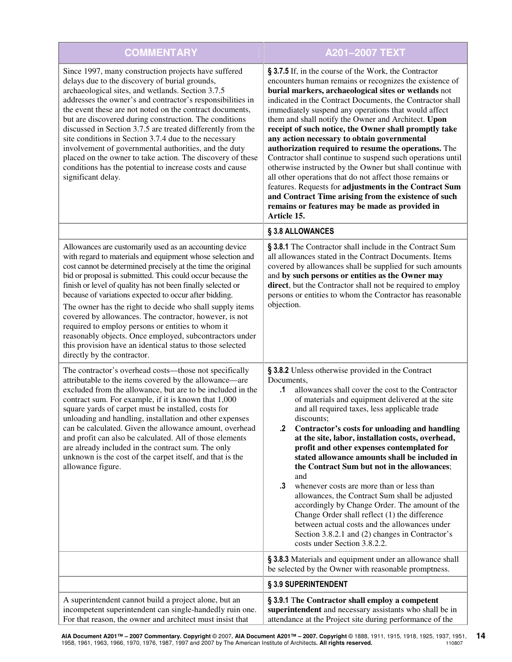| <b>COMMENTARY</b>                                                                                                                                                                                                                                                                                                                                                                                                                                                                                                                                                                                                                                                                                              | A201-2007 TEXT                                                                                                                                                                                                                                                                                                                                                                                                                                                                                                                                                                                                                                                                                                                                                                                                                                                                                                                |
|----------------------------------------------------------------------------------------------------------------------------------------------------------------------------------------------------------------------------------------------------------------------------------------------------------------------------------------------------------------------------------------------------------------------------------------------------------------------------------------------------------------------------------------------------------------------------------------------------------------------------------------------------------------------------------------------------------------|-------------------------------------------------------------------------------------------------------------------------------------------------------------------------------------------------------------------------------------------------------------------------------------------------------------------------------------------------------------------------------------------------------------------------------------------------------------------------------------------------------------------------------------------------------------------------------------------------------------------------------------------------------------------------------------------------------------------------------------------------------------------------------------------------------------------------------------------------------------------------------------------------------------------------------|
| Since 1997, many construction projects have suffered<br>delays due to the discovery of burial grounds,<br>archaeological sites, and wetlands. Section 3.7.5<br>addresses the owner's and contractor's responsibilities in<br>the event these are not noted on the contract documents,<br>but are discovered during construction. The conditions<br>discussed in Section 3.7.5 are treated differently from the<br>site conditions in Section 3.7.4 due to the necessary<br>involvement of governmental authorities, and the duty<br>placed on the owner to take action. The discovery of these<br>conditions has the potential to increase costs and cause<br>significant delay.                               | § 3.7.5 If, in the course of the Work, the Contractor<br>encounters human remains or recognizes the existence of<br>burial markers, archaeological sites or wetlands not<br>indicated in the Contract Documents, the Contractor shall<br>immediately suspend any operations that would affect<br>them and shall notify the Owner and Architect. Upon<br>receipt of such notice, the Owner shall promptly take<br>any action necessary to obtain governmental<br>authorization required to resume the operations. The<br>Contractor shall continue to suspend such operations until<br>otherwise instructed by the Owner but shall continue with<br>all other operations that do not affect those remains or<br>features. Requests for adjustments in the Contract Sum<br>and Contract Time arising from the existence of such<br>remains or features may be made as provided in<br>Article 15.                                |
|                                                                                                                                                                                                                                                                                                                                                                                                                                                                                                                                                                                                                                                                                                                | § 3.8 ALLOWANCES                                                                                                                                                                                                                                                                                                                                                                                                                                                                                                                                                                                                                                                                                                                                                                                                                                                                                                              |
| Allowances are customarily used as an accounting device<br>with regard to materials and equipment whose selection and<br>cost cannot be determined precisely at the time the original<br>bid or proposal is submitted. This could occur because the<br>finish or level of quality has not been finally selected or<br>because of variations expected to occur after bidding.<br>The owner has the right to decide who shall supply items<br>covered by allowances. The contractor, however, is not<br>required to employ persons or entities to whom it<br>reasonably objects. Once employed, subcontractors under<br>this provision have an identical status to those selected<br>directly by the contractor. | § 3.8.1 The Contractor shall include in the Contract Sum<br>all allowances stated in the Contract Documents. Items<br>covered by allowances shall be supplied for such amounts<br>and by such persons or entities as the Owner may<br>direct, but the Contractor shall not be required to employ<br>persons or entities to whom the Contractor has reasonable<br>objection.                                                                                                                                                                                                                                                                                                                                                                                                                                                                                                                                                   |
| The contractor's overhead costs—those not specifically<br>attributable to the items covered by the allowance-are<br>excluded from the allowance, but are to be included in the<br>contract sum. For example, if it is known that 1,000<br>square yards of carpet must be installed, costs for<br>unloading and handling, installation and other expenses<br>can be calculated. Given the allowance amount, overhead<br>and profit can also be calculated. All of those elements<br>are already included in the contract sum. The only<br>unknown is the cost of the carpet itself, and that is the<br>allowance figure.                                                                                        | § 3.8.2 Unless otherwise provided in the Contract<br>Documents,<br>.1<br>allowances shall cover the cost to the Contractor<br>of materials and equipment delivered at the site<br>and all required taxes, less applicable trade<br>discounts;<br>.2<br>Contractor's costs for unloading and handling<br>at the site, labor, installation costs, overhead,<br>profit and other expenses contemplated for<br>stated allowance amounts shall be included in<br>the Contract Sum but not in the allowances;<br>and<br>$\cdot$ 3<br>whenever costs are more than or less than<br>allowances, the Contract Sum shall be adjusted<br>accordingly by Change Order. The amount of the<br>Change Order shall reflect (1) the difference<br>between actual costs and the allowances under<br>Section 3.8.2.1 and (2) changes in Contractor's<br>costs under Section 3.8.2.2.<br>§ 3.8.3 Materials and equipment under an allowance shall |
|                                                                                                                                                                                                                                                                                                                                                                                                                                                                                                                                                                                                                                                                                                                | be selected by the Owner with reasonable promptness.                                                                                                                                                                                                                                                                                                                                                                                                                                                                                                                                                                                                                                                                                                                                                                                                                                                                          |
| A superintendent cannot build a project alone, but an                                                                                                                                                                                                                                                                                                                                                                                                                                                                                                                                                                                                                                                          | § 3.9 SUPERINTENDENT<br>§ 3.9.1 The Contractor shall employ a competent                                                                                                                                                                                                                                                                                                                                                                                                                                                                                                                                                                                                                                                                                                                                                                                                                                                       |
| incompetent superintendent can single-handedly ruin one.<br>For that reason, the owner and architect must insist that                                                                                                                                                                                                                                                                                                                                                                                                                                                                                                                                                                                          | superintendent and necessary assistants who shall be in<br>attendance at the Project site during performance of the                                                                                                                                                                                                                                                                                                                                                                                                                                                                                                                                                                                                                                                                                                                                                                                                           |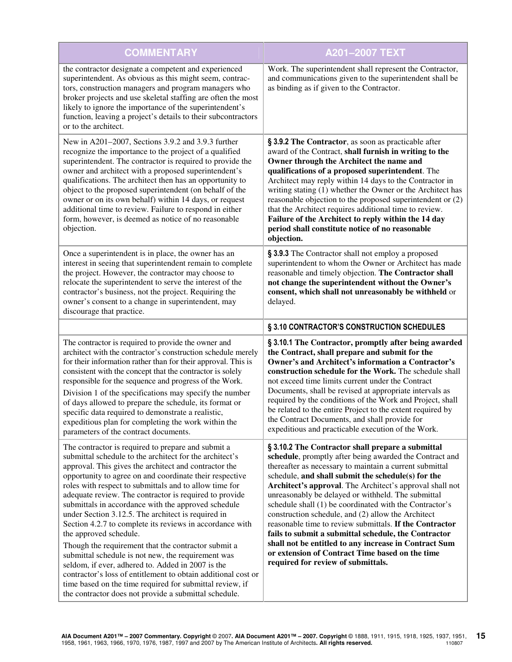| <b>COMMENTARY</b>                                                                                                                                                                                                                                                                                                                                                                                                                                                                                                                                                                                                                                                                                                                                                                                                                                                                                                | A201-2007 TEXT                                                                                                                                                                                                                                                                                                                                                                                                                                                                                                                                                                                                                                                                                                                        |
|------------------------------------------------------------------------------------------------------------------------------------------------------------------------------------------------------------------------------------------------------------------------------------------------------------------------------------------------------------------------------------------------------------------------------------------------------------------------------------------------------------------------------------------------------------------------------------------------------------------------------------------------------------------------------------------------------------------------------------------------------------------------------------------------------------------------------------------------------------------------------------------------------------------|---------------------------------------------------------------------------------------------------------------------------------------------------------------------------------------------------------------------------------------------------------------------------------------------------------------------------------------------------------------------------------------------------------------------------------------------------------------------------------------------------------------------------------------------------------------------------------------------------------------------------------------------------------------------------------------------------------------------------------------|
| the contractor designate a competent and experienced<br>superintendent. As obvious as this might seem, contrac-<br>tors, construction managers and program managers who<br>broker projects and use skeletal staffing are often the most<br>likely to ignore the importance of the superintendent's<br>function, leaving a project's details to their subcontractors<br>or to the architect.                                                                                                                                                                                                                                                                                                                                                                                                                                                                                                                      | Work. The superintendent shall represent the Contractor,<br>and communications given to the superintendent shall be<br>as binding as if given to the Contractor.                                                                                                                                                                                                                                                                                                                                                                                                                                                                                                                                                                      |
| New in A201-2007, Sections 3.9.2 and 3.9.3 further<br>recognize the importance to the project of a qualified<br>superintendent. The contractor is required to provide the<br>owner and architect with a proposed superintendent's<br>qualifications. The architect then has an opportunity to<br>object to the proposed superintendent (on behalf of the<br>owner or on its own behalf) within 14 days, or request<br>additional time to review. Failure to respond in either<br>form, however, is deemed as notice of no reasonable<br>objection.                                                                                                                                                                                                                                                                                                                                                               | § 3.9.2 The Contractor, as soon as practicable after<br>award of the Contract, shall furnish in writing to the<br>Owner through the Architect the name and<br>qualifications of a proposed superintendent. The<br>Architect may reply within 14 days to the Contractor in<br>writing stating (1) whether the Owner or the Architect has<br>reasonable objection to the proposed superintendent or (2)<br>that the Architect requires additional time to review.<br>Failure of the Architect to reply within the 14 day<br>period shall constitute notice of no reasonable<br>objection.                                                                                                                                               |
| Once a superintendent is in place, the owner has an<br>interest in seeing that superintendent remain to complete<br>the project. However, the contractor may choose to<br>relocate the superintendent to serve the interest of the<br>contractor's business, not the project. Requiring the<br>owner's consent to a change in superintendent, may<br>discourage that practice.                                                                                                                                                                                                                                                                                                                                                                                                                                                                                                                                   | § 3.9.3 The Contractor shall not employ a proposed<br>superintendent to whom the Owner or Architect has made<br>reasonable and timely objection. The Contractor shall<br>not change the superintendent without the Owner's<br>consent, which shall not unreasonably be withheld or<br>delayed.                                                                                                                                                                                                                                                                                                                                                                                                                                        |
|                                                                                                                                                                                                                                                                                                                                                                                                                                                                                                                                                                                                                                                                                                                                                                                                                                                                                                                  | § 3.10 CONTRACTOR'S CONSTRUCTION SCHEDULES                                                                                                                                                                                                                                                                                                                                                                                                                                                                                                                                                                                                                                                                                            |
| The contractor is required to provide the owner and<br>architect with the contractor's construction schedule merely<br>for their information rather than for their approval. This is<br>consistent with the concept that the contractor is solely<br>responsible for the sequence and progress of the Work.<br>Division 1 of the specifications may specify the number<br>of days allowed to prepare the schedule, its format or<br>specific data required to demonstrate a realistic,<br>expeditious plan for completing the work within the<br>parameters of the contract documents.                                                                                                                                                                                                                                                                                                                           | § 3.10.1 The Contractor, promptly after being awarded<br>the Contract, shall prepare and submit for the<br>Owner's and Architect's information a Contractor's<br>construction schedule for the Work. The schedule shall<br>not exceed time limits current under the Contract<br>Documents, shall be revised at appropriate intervals as<br>required by the conditions of the Work and Project, shall<br>be related to the entire Project to the extent required by<br>the Contract Documents, and shall provide for<br>expeditious and practicable execution of the Work.                                                                                                                                                             |
| The contractor is required to prepare and submit a<br>submittal schedule to the architect for the architect's<br>approval. This gives the architect and contractor the<br>opportunity to agree on and coordinate their respective<br>roles with respect to submittals and to allow time for<br>adequate review. The contractor is required to provide<br>submittals in accordance with the approved schedule<br>under Section 3.12.5. The architect is required in<br>Section 4.2.7 to complete its reviews in accordance with<br>the approved schedule.<br>Though the requirement that the contractor submit a<br>submittal schedule is not new, the requirement was<br>seldom, if ever, adhered to. Added in 2007 is the<br>contractor's loss of entitlement to obtain additional cost or<br>time based on the time required for submittal review, if<br>the contractor does not provide a submittal schedule. | § 3.10.2 The Contractor shall prepare a submittal<br>schedule, promptly after being awarded the Contract and<br>thereafter as necessary to maintain a current submittal<br>schedule, and shall submit the schedule(s) for the<br>Architect's approval. The Architect's approval shall not<br>unreasonably be delayed or withheld. The submittal<br>schedule shall (1) be coordinated with the Contractor's<br>construction schedule, and (2) allow the Architect<br>reasonable time to review submittals. If the Contractor<br>fails to submit a submittal schedule, the Contractor<br>shall not be entitled to any increase in Contract Sum<br>or extension of Contract Time based on the time<br>required for review of submittals. |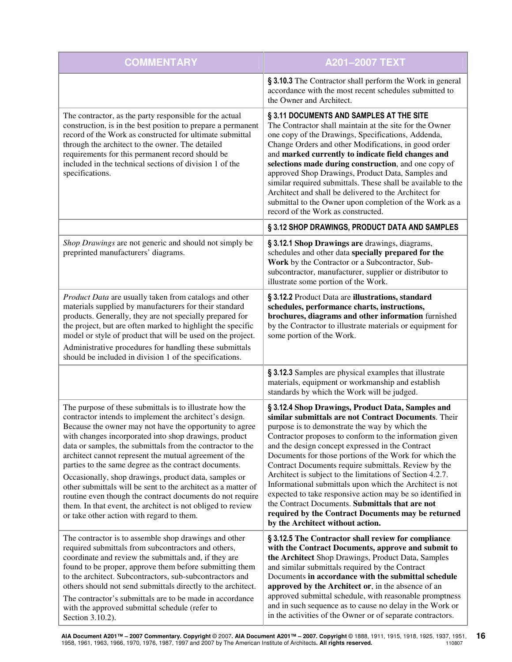| <b>COMMENTARY</b>                                                                                                                                                                                                                                                                                                                                                                                                                                                                                                                                                                                                                                                                                                           | A201-2007 TEXT                                                                                                                                                                                                                                                                                                                                                                                                                                                                                                                                                                                                                                                                                                                   |
|-----------------------------------------------------------------------------------------------------------------------------------------------------------------------------------------------------------------------------------------------------------------------------------------------------------------------------------------------------------------------------------------------------------------------------------------------------------------------------------------------------------------------------------------------------------------------------------------------------------------------------------------------------------------------------------------------------------------------------|----------------------------------------------------------------------------------------------------------------------------------------------------------------------------------------------------------------------------------------------------------------------------------------------------------------------------------------------------------------------------------------------------------------------------------------------------------------------------------------------------------------------------------------------------------------------------------------------------------------------------------------------------------------------------------------------------------------------------------|
|                                                                                                                                                                                                                                                                                                                                                                                                                                                                                                                                                                                                                                                                                                                             | § 3.10.3 The Contractor shall perform the Work in general<br>accordance with the most recent schedules submitted to<br>the Owner and Architect.                                                                                                                                                                                                                                                                                                                                                                                                                                                                                                                                                                                  |
| The contractor, as the party responsible for the actual<br>construction, is in the best position to prepare a permanent<br>record of the Work as constructed for ultimate submittal<br>through the architect to the owner. The detailed<br>requirements for this permanent record should be<br>included in the technical sections of division 1 of the<br>specifications.                                                                                                                                                                                                                                                                                                                                                   | § 3.11 DOCUMENTS AND SAMPLES AT THE SITE<br>The Contractor shall maintain at the site for the Owner<br>one copy of the Drawings, Specifications, Addenda,<br>Change Orders and other Modifications, in good order<br>and marked currently to indicate field changes and<br>selections made during construction, and one copy of<br>approved Shop Drawings, Product Data, Samples and<br>similar required submittals. These shall be available to the<br>Architect and shall be delivered to the Architect for<br>submittal to the Owner upon completion of the Work as a<br>record of the Work as constructed.                                                                                                                   |
|                                                                                                                                                                                                                                                                                                                                                                                                                                                                                                                                                                                                                                                                                                                             | § 3.12 SHOP DRAWINGS, PRODUCT DATA AND SAMPLES                                                                                                                                                                                                                                                                                                                                                                                                                                                                                                                                                                                                                                                                                   |
| Shop Drawings are not generic and should not simply be<br>preprinted manufacturers' diagrams.                                                                                                                                                                                                                                                                                                                                                                                                                                                                                                                                                                                                                               | § 3.12.1 Shop Drawings are drawings, diagrams,<br>schedules and other data specially prepared for the<br>Work by the Contractor or a Subcontractor, Sub-<br>subcontractor, manufacturer, supplier or distributor to<br>illustrate some portion of the Work.                                                                                                                                                                                                                                                                                                                                                                                                                                                                      |
| Product Data are usually taken from catalogs and other<br>materials supplied by manufacturers for their standard<br>products. Generally, they are not specially prepared for<br>the project, but are often marked to highlight the specific<br>model or style of product that will be used on the project.<br>Administrative procedures for handling these submittals<br>should be included in division 1 of the specifications.                                                                                                                                                                                                                                                                                            | § 3.12.2 Product Data are illustrations, standard<br>schedules, performance charts, instructions,<br>brochures, diagrams and other information furnished<br>by the Contractor to illustrate materials or equipment for<br>some portion of the Work.                                                                                                                                                                                                                                                                                                                                                                                                                                                                              |
|                                                                                                                                                                                                                                                                                                                                                                                                                                                                                                                                                                                                                                                                                                                             | § 3.12.3 Samples are physical examples that illustrate<br>materials, equipment or workmanship and establish<br>standards by which the Work will be judged.                                                                                                                                                                                                                                                                                                                                                                                                                                                                                                                                                                       |
| The purpose of these submittals is to illustrate how the<br>contractor intends to implement the architect's design.<br>Because the owner may not have the opportunity to agree<br>with changes incorporated into shop drawings, product<br>data or samples, the submittals from the contractor to the<br>architect cannot represent the mutual agreement of the<br>parties to the same degree as the contract documents.<br>Occasionally, shop drawings, product data, samples or<br>other submittals will be sent to the architect as a matter of<br>routine even though the contract documents do not require<br>them. In that event, the architect is not obliged to review<br>or take other action with regard to them. | § 3.12.4 Shop Drawings, Product Data, Samples and<br>similar submittals are not Contract Documents. Their<br>purpose is to demonstrate the way by which the<br>Contractor proposes to conform to the information given<br>and the design concept expressed in the Contract<br>Documents for those portions of the Work for which the<br>Contract Documents require submittals. Review by the<br>Architect is subject to the limitations of Section 4.2.7.<br>Informational submittals upon which the Architect is not<br>expected to take responsive action may be so identified in<br>the Contract Documents. Submittals that are not<br>required by the Contract Documents may be returned<br>by the Architect without action. |
| The contractor is to assemble shop drawings and other<br>required submittals from subcontractors and others,<br>coordinate and review the submittals and, if they are<br>found to be proper, approve them before submitting them<br>to the architect. Subcontractors, sub-subcontractors and<br>others should not send submittals directly to the architect.<br>The contractor's submittals are to be made in accordance<br>with the approved submittal schedule (refer to<br>Section 3.10.2).                                                                                                                                                                                                                              | § 3.12.5 The Contractor shall review for compliance<br>with the Contract Documents, approve and submit to<br>the Architect Shop Drawings, Product Data, Samples<br>and similar submittals required by the Contract<br>Documents in accordance with the submittal schedule<br>approved by the Architect or, in the absence of an<br>approved submittal schedule, with reasonable promptness<br>and in such sequence as to cause no delay in the Work or<br>in the activities of the Owner or of separate contractors.                                                                                                                                                                                                             |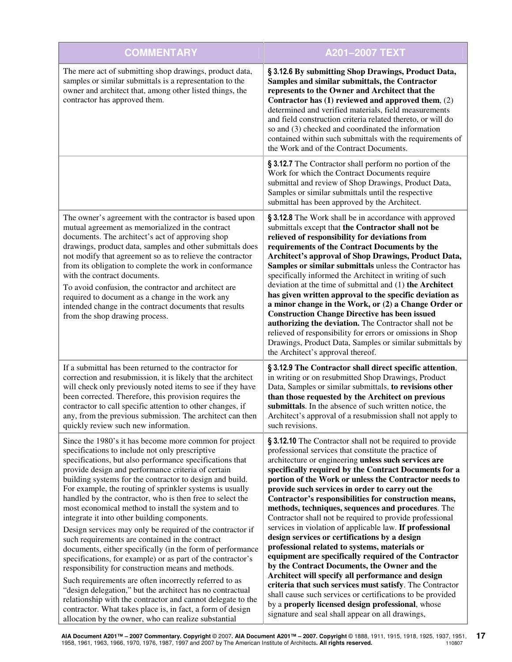| <b>COMMENTARY</b>                                                                                                                                                                                                                                                                                                                                                                                                                                                                                                                                                                                                                                                                                                                                                                                                                                                                                                                                                                                                                                                                                                                      | A201-2007 TEXT                                                                                                                                                                                                                                                                                                                                                                                                                                                                                                                                                                                                                                                                                                                                                                                                                                                                                                                                                                                                                                                                            |
|----------------------------------------------------------------------------------------------------------------------------------------------------------------------------------------------------------------------------------------------------------------------------------------------------------------------------------------------------------------------------------------------------------------------------------------------------------------------------------------------------------------------------------------------------------------------------------------------------------------------------------------------------------------------------------------------------------------------------------------------------------------------------------------------------------------------------------------------------------------------------------------------------------------------------------------------------------------------------------------------------------------------------------------------------------------------------------------------------------------------------------------|-------------------------------------------------------------------------------------------------------------------------------------------------------------------------------------------------------------------------------------------------------------------------------------------------------------------------------------------------------------------------------------------------------------------------------------------------------------------------------------------------------------------------------------------------------------------------------------------------------------------------------------------------------------------------------------------------------------------------------------------------------------------------------------------------------------------------------------------------------------------------------------------------------------------------------------------------------------------------------------------------------------------------------------------------------------------------------------------|
| The mere act of submitting shop drawings, product data,<br>samples or similar submittals is a representation to the<br>owner and architect that, among other listed things, the<br>contractor has approved them.                                                                                                                                                                                                                                                                                                                                                                                                                                                                                                                                                                                                                                                                                                                                                                                                                                                                                                                       | § 3.12.6 By submitting Shop Drawings, Product Data,<br>Samples and similar submittals, the Contractor<br>represents to the Owner and Architect that the<br>Contractor has (1) reviewed and approved them, (2)<br>determined and verified materials, field measurements<br>and field construction criteria related thereto, or will do<br>so and (3) checked and coordinated the information<br>contained within such submittals with the requirements of<br>the Work and of the Contract Documents.                                                                                                                                                                                                                                                                                                                                                                                                                                                                                                                                                                                       |
|                                                                                                                                                                                                                                                                                                                                                                                                                                                                                                                                                                                                                                                                                                                                                                                                                                                                                                                                                                                                                                                                                                                                        | § 3.12.7 The Contractor shall perform no portion of the<br>Work for which the Contract Documents require<br>submittal and review of Shop Drawings, Product Data,<br>Samples or similar submittals until the respective<br>submittal has been approved by the Architect.                                                                                                                                                                                                                                                                                                                                                                                                                                                                                                                                                                                                                                                                                                                                                                                                                   |
| The owner's agreement with the contractor is based upon<br>mutual agreement as memorialized in the contract<br>documents. The architect's act of approving shop<br>drawings, product data, samples and other submittals does<br>not modify that agreement so as to relieve the contractor<br>from its obligation to complete the work in conformance<br>with the contract documents.<br>To avoid confusion, the contractor and architect are<br>required to document as a change in the work any<br>intended change in the contract documents that results<br>from the shop drawing process.                                                                                                                                                                                                                                                                                                                                                                                                                                                                                                                                           | § 3.12.8 The Work shall be in accordance with approved<br>submittals except that the Contractor shall not be<br>relieved of responsibility for deviations from<br>requirements of the Contract Documents by the<br>Architect's approval of Shop Drawings, Product Data,<br>Samples or similar submittals unless the Contractor has<br>specifically informed the Architect in writing of such<br>deviation at the time of submittal and $(1)$ the Architect<br>has given written approval to the specific deviation as<br>a minor change in the Work, or (2) a Change Order or<br><b>Construction Change Directive has been issued</b><br>authorizing the deviation. The Contractor shall not be<br>relieved of responsibility for errors or omissions in Shop<br>Drawings, Product Data, Samples or similar submittals by<br>the Architect's approval thereof.                                                                                                                                                                                                                            |
| If a submittal has been returned to the contractor for<br>correction and resubmission, it is likely that the architect<br>will check only previously noted items to see if they have<br>been corrected. Therefore, this provision requires the<br>contractor to call specific attention to other changes, if<br>any, from the previous submission. The architect can then<br>quickly review such new information.                                                                                                                                                                                                                                                                                                                                                                                                                                                                                                                                                                                                                                                                                                                      | § 3.12.9 The Contractor shall direct specific attention,<br>in writing or on resubmitted Shop Drawings, Product<br>Data, Samples or similar submittals, to revisions other<br>than those requested by the Architect on previous<br>submittals. In the absence of such written notice, the<br>Architect's approval of a resubmission shall not apply to<br>such revisions.                                                                                                                                                                                                                                                                                                                                                                                                                                                                                                                                                                                                                                                                                                                 |
| Since the 1980's it has become more common for project<br>specifications to include not only prescriptive<br>specifications, but also performance specifications that<br>provide design and performance criteria of certain<br>building systems for the contractor to design and build.<br>For example, the routing of sprinkler systems is usually<br>handled by the contractor, who is then free to select the<br>most economical method to install the system and to<br>integrate it into other building components.<br>Design services may only be required of the contractor if<br>such requirements are contained in the contract<br>documents, either specifically (in the form of performance<br>specifications, for example) or as part of the contractor's<br>responsibility for construction means and methods.<br>Such requirements are often incorrectly referred to as<br>"design delegation," but the architect has no contractual<br>relationship with the contractor and cannot delegate to the<br>contractor. What takes place is, in fact, a form of design<br>allocation by the owner, who can realize substantial | § 3.12.10 The Contractor shall not be required to provide<br>professional services that constitute the practice of<br>architecture or engineering unless such services are<br>specifically required by the Contract Documents for a<br>portion of the Work or unless the Contractor needs to<br>provide such services in order to carry out the<br>Contractor's responsibilities for construction means,<br>methods, techniques, sequences and procedures. The<br>Contractor shall not be required to provide professional<br>services in violation of applicable law. If professional<br>design services or certifications by a design<br>professional related to systems, materials or<br>equipment are specifically required of the Contractor<br>by the Contract Documents, the Owner and the<br>Architect will specify all performance and design<br>criteria that such services must satisfy. The Contractor<br>shall cause such services or certifications to be provided<br>by a properly licensed design professional, whose<br>signature and seal shall appear on all drawings, |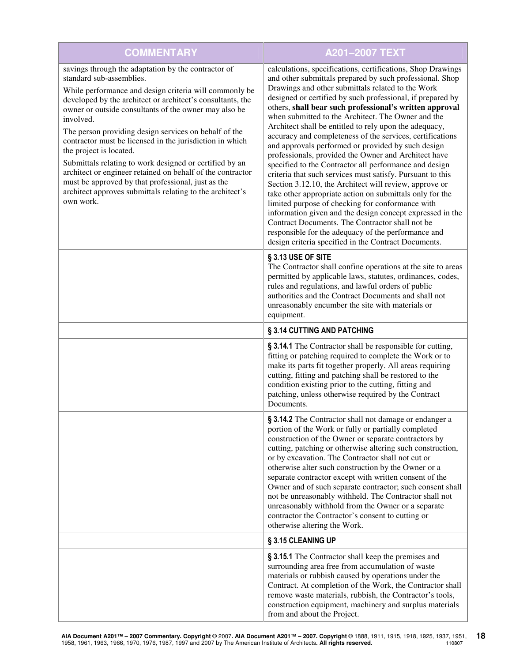| <b>COMMENTARY</b>                                                                                                                                                                                                                                                                                                                                                                                                                                                                                                                                                                                                                                                                      | A201-2007 TEXT                                                                                                                                                                                                                                                                                                                                                                                                                                                                                                                                                                                                                                                                                                                                                                                                                                                                                                                                                                                                                                                                                                                    |
|----------------------------------------------------------------------------------------------------------------------------------------------------------------------------------------------------------------------------------------------------------------------------------------------------------------------------------------------------------------------------------------------------------------------------------------------------------------------------------------------------------------------------------------------------------------------------------------------------------------------------------------------------------------------------------------|-----------------------------------------------------------------------------------------------------------------------------------------------------------------------------------------------------------------------------------------------------------------------------------------------------------------------------------------------------------------------------------------------------------------------------------------------------------------------------------------------------------------------------------------------------------------------------------------------------------------------------------------------------------------------------------------------------------------------------------------------------------------------------------------------------------------------------------------------------------------------------------------------------------------------------------------------------------------------------------------------------------------------------------------------------------------------------------------------------------------------------------|
| savings through the adaptation by the contractor of<br>standard sub-assemblies.<br>While performance and design criteria will commonly be<br>developed by the architect or architect's consultants, the<br>owner or outside consultants of the owner may also be<br>involved.<br>The person providing design services on behalf of the<br>contractor must be licensed in the jurisdiction in which<br>the project is located.<br>Submittals relating to work designed or certified by an<br>architect or engineer retained on behalf of the contractor<br>must be approved by that professional, just as the<br>architect approves submittals relating to the architect's<br>own work. | calculations, specifications, certifications, Shop Drawings<br>and other submittals prepared by such professional. Shop<br>Drawings and other submittals related to the Work<br>designed or certified by such professional, if prepared by<br>others, shall bear such professional's written approval<br>when submitted to the Architect. The Owner and the<br>Architect shall be entitled to rely upon the adequacy,<br>accuracy and completeness of the services, certifications<br>and approvals performed or provided by such design<br>professionals, provided the Owner and Architect have<br>specified to the Contractor all performance and design<br>criteria that such services must satisfy. Pursuant to this<br>Section 3.12.10, the Architect will review, approve or<br>take other appropriate action on submittals only for the<br>limited purpose of checking for conformance with<br>information given and the design concept expressed in the<br>Contract Documents. The Contractor shall not be<br>responsible for the adequacy of the performance and<br>design criteria specified in the Contract Documents. |
|                                                                                                                                                                                                                                                                                                                                                                                                                                                                                                                                                                                                                                                                                        | § 3.13 USE OF SITE<br>The Contractor shall confine operations at the site to areas<br>permitted by applicable laws, statutes, ordinances, codes,<br>rules and regulations, and lawful orders of public<br>authorities and the Contract Documents and shall not<br>unreasonably encumber the site with materials or<br>equipment.                                                                                                                                                                                                                                                                                                                                                                                                                                                                                                                                                                                                                                                                                                                                                                                                  |
|                                                                                                                                                                                                                                                                                                                                                                                                                                                                                                                                                                                                                                                                                        | § 3.14 CUTTING AND PATCHING                                                                                                                                                                                                                                                                                                                                                                                                                                                                                                                                                                                                                                                                                                                                                                                                                                                                                                                                                                                                                                                                                                       |
|                                                                                                                                                                                                                                                                                                                                                                                                                                                                                                                                                                                                                                                                                        | § 3.14.1 The Contractor shall be responsible for cutting,<br>fitting or patching required to complete the Work or to<br>make its parts fit together properly. All areas requiring<br>cutting, fitting and patching shall be restored to the<br>condition existing prior to the cutting, fitting and<br>patching, unless otherwise required by the Contract<br>Documents.                                                                                                                                                                                                                                                                                                                                                                                                                                                                                                                                                                                                                                                                                                                                                          |
|                                                                                                                                                                                                                                                                                                                                                                                                                                                                                                                                                                                                                                                                                        | § 3.14.2 The Contractor shall not damage or endanger a<br>portion of the Work or fully or partially completed<br>construction of the Owner or separate contractors by<br>cutting, patching or otherwise altering such construction,<br>or by excavation. The Contractor shall not cut or<br>otherwise alter such construction by the Owner or a<br>separate contractor except with written consent of the<br>Owner and of such separate contractor; such consent shall<br>not be unreasonably withheld. The Contractor shall not<br>unreasonably withhold from the Owner or a separate<br>contractor the Contractor's consent to cutting or<br>otherwise altering the Work.                                                                                                                                                                                                                                                                                                                                                                                                                                                       |
|                                                                                                                                                                                                                                                                                                                                                                                                                                                                                                                                                                                                                                                                                        | § 3.15 CLEANING UP                                                                                                                                                                                                                                                                                                                                                                                                                                                                                                                                                                                                                                                                                                                                                                                                                                                                                                                                                                                                                                                                                                                |
|                                                                                                                                                                                                                                                                                                                                                                                                                                                                                                                                                                                                                                                                                        | § 3.15.1 The Contractor shall keep the premises and<br>surrounding area free from accumulation of waste<br>materials or rubbish caused by operations under the<br>Contract. At completion of the Work, the Contractor shall<br>remove waste materials, rubbish, the Contractor's tools,<br>construction equipment, machinery and surplus materials<br>from and about the Project.                                                                                                                                                                                                                                                                                                                                                                                                                                                                                                                                                                                                                                                                                                                                                 |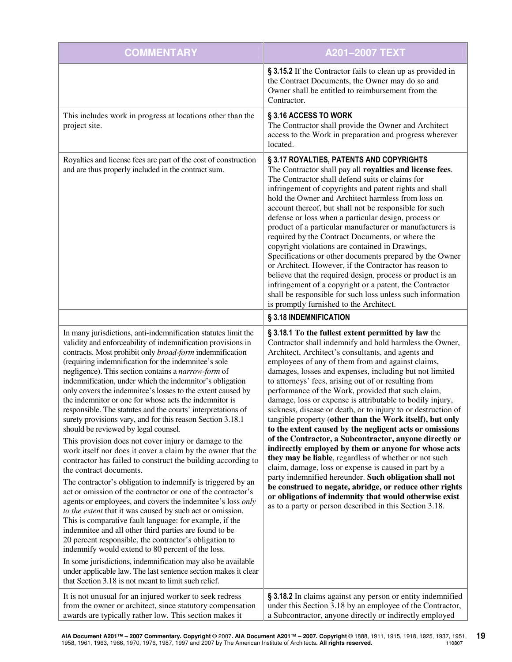| <b>COMMENTARY</b>                                                                                                                                                                                                                                                                                                                                                                                                                                                                                                                                                                                                                                                                                                                                                                                                                                                                                                                                                                                                                                                                                                                                                                                                                                                                                                                                                                                                                                                                                                                                                               | A201-2007 TEXT                                                                                                                                                                                                                                                                                                                                                                                                                                                                                                                                                                                                                                                                                                                                                                                                                                                                                                                                                                                                                                                                                                                        |
|---------------------------------------------------------------------------------------------------------------------------------------------------------------------------------------------------------------------------------------------------------------------------------------------------------------------------------------------------------------------------------------------------------------------------------------------------------------------------------------------------------------------------------------------------------------------------------------------------------------------------------------------------------------------------------------------------------------------------------------------------------------------------------------------------------------------------------------------------------------------------------------------------------------------------------------------------------------------------------------------------------------------------------------------------------------------------------------------------------------------------------------------------------------------------------------------------------------------------------------------------------------------------------------------------------------------------------------------------------------------------------------------------------------------------------------------------------------------------------------------------------------------------------------------------------------------------------|---------------------------------------------------------------------------------------------------------------------------------------------------------------------------------------------------------------------------------------------------------------------------------------------------------------------------------------------------------------------------------------------------------------------------------------------------------------------------------------------------------------------------------------------------------------------------------------------------------------------------------------------------------------------------------------------------------------------------------------------------------------------------------------------------------------------------------------------------------------------------------------------------------------------------------------------------------------------------------------------------------------------------------------------------------------------------------------------------------------------------------------|
|                                                                                                                                                                                                                                                                                                                                                                                                                                                                                                                                                                                                                                                                                                                                                                                                                                                                                                                                                                                                                                                                                                                                                                                                                                                                                                                                                                                                                                                                                                                                                                                 | § 3.15.2 If the Contractor fails to clean up as provided in<br>the Contract Documents, the Owner may do so and<br>Owner shall be entitled to reimbursement from the<br>Contractor.                                                                                                                                                                                                                                                                                                                                                                                                                                                                                                                                                                                                                                                                                                                                                                                                                                                                                                                                                    |
| This includes work in progress at locations other than the<br>project site.                                                                                                                                                                                                                                                                                                                                                                                                                                                                                                                                                                                                                                                                                                                                                                                                                                                                                                                                                                                                                                                                                                                                                                                                                                                                                                                                                                                                                                                                                                     | § 3.16 ACCESS TO WORK<br>The Contractor shall provide the Owner and Architect<br>access to the Work in preparation and progress wherever<br>located.                                                                                                                                                                                                                                                                                                                                                                                                                                                                                                                                                                                                                                                                                                                                                                                                                                                                                                                                                                                  |
| Royalties and license fees are part of the cost of construction<br>and are thus properly included in the contract sum.                                                                                                                                                                                                                                                                                                                                                                                                                                                                                                                                                                                                                                                                                                                                                                                                                                                                                                                                                                                                                                                                                                                                                                                                                                                                                                                                                                                                                                                          | § 3.17 ROYALTIES, PATENTS AND COPYRIGHTS<br>The Contractor shall pay all royalties and license fees.<br>The Contractor shall defend suits or claims for<br>infringement of copyrights and patent rights and shall<br>hold the Owner and Architect harmless from loss on<br>account thereof, but shall not be responsible for such<br>defense or loss when a particular design, process or<br>product of a particular manufacturer or manufacturers is<br>required by the Contract Documents, or where the<br>copyright violations are contained in Drawings,<br>Specifications or other documents prepared by the Owner<br>or Architect. However, if the Contractor has reason to<br>believe that the required design, process or product is an<br>infringement of a copyright or a patent, the Contractor<br>shall be responsible for such loss unless such information<br>is promptly furnished to the Architect.                                                                                                                                                                                                                   |
|                                                                                                                                                                                                                                                                                                                                                                                                                                                                                                                                                                                                                                                                                                                                                                                                                                                                                                                                                                                                                                                                                                                                                                                                                                                                                                                                                                                                                                                                                                                                                                                 | § 3.18 INDEMNIFICATION                                                                                                                                                                                                                                                                                                                                                                                                                                                                                                                                                                                                                                                                                                                                                                                                                                                                                                                                                                                                                                                                                                                |
| In many jurisdictions, anti-indemnification statutes limit the<br>validity and enforceability of indemnification provisions in<br>contracts. Most prohibit only broad-form indemnification<br>(requiring indemnification for the indemnitee's sole<br>negligence). This section contains a narrow-form of<br>indemnification, under which the indemnitor's obligation<br>only covers the indemnitee's losses to the extent caused by<br>the indemnitor or one for whose acts the indemnitor is<br>responsible. The statutes and the courts' interpretations of<br>surety provisions vary, and for this reason Section 3.18.1<br>should be reviewed by legal counsel.<br>This provision does not cover injury or damage to the<br>work itself nor does it cover a claim by the owner that the<br>contractor has failed to construct the building according to<br>the contract documents.<br>The contractor's obligation to indemnify is triggered by an<br>act or omission of the contractor or one of the contractor's<br>agents or employees, and covers the indemnitee's loss only<br>to the extent that it was caused by such act or omission.<br>This is comparative fault language: for example, if the<br>indemnitee and all other third parties are found to be<br>20 percent responsible, the contractor's obligation to<br>indemnify would extend to 80 percent of the loss.<br>In some jurisdictions, indemnification may also be available<br>under applicable law. The last sentence section makes it clear<br>that Section 3.18 is not meant to limit such relief. | § 3.18.1 To the fullest extent permitted by law the<br>Contractor shall indemnify and hold harmless the Owner,<br>Architect, Architect's consultants, and agents and<br>employees of any of them from and against claims,<br>damages, losses and expenses, including but not limited<br>to attorneys' fees, arising out of or resulting from<br>performance of the Work, provided that such claim,<br>damage, loss or expense is attributable to bodily injury,<br>sickness, disease or death, or to injury to or destruction of<br>tangible property (other than the Work itself), but only<br>to the extent caused by the negligent acts or omissions<br>of the Contractor, a Subcontractor, anyone directly or<br>indirectly employed by them or anyone for whose acts<br>they may be liable, regardless of whether or not such<br>claim, damage, loss or expense is caused in part by a<br>party indemnified hereunder. Such obligation shall not<br>be construed to negate, abridge, or reduce other rights<br>or obligations of indemnity that would otherwise exist<br>as to a party or person described in this Section 3.18. |
| It is not unusual for an injured worker to seek redress<br>from the owner or architect, since statutory compensation<br>awards are typically rather low. This section makes it                                                                                                                                                                                                                                                                                                                                                                                                                                                                                                                                                                                                                                                                                                                                                                                                                                                                                                                                                                                                                                                                                                                                                                                                                                                                                                                                                                                                  | § 3.18.2 In claims against any person or entity indemnified<br>under this Section 3.18 by an employee of the Contractor,<br>a Subcontractor, anyone directly or indirectly employed                                                                                                                                                                                                                                                                                                                                                                                                                                                                                                                                                                                                                                                                                                                                                                                                                                                                                                                                                   |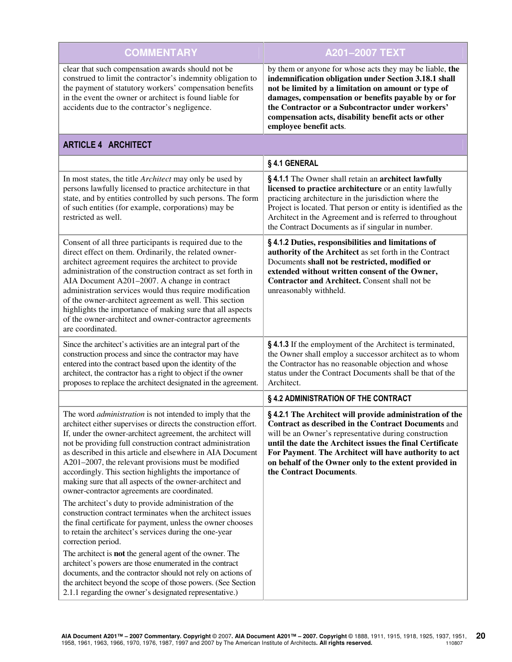| <b>COMMENTARY</b>                                                                                                                                                                                                                                                                                                                                                                                                                                                                                                                                                                                                                                                                                                                                                                                                                | A201-2007 TEXT                                                                                                                                                                                                                                                                                                                                                                    |
|----------------------------------------------------------------------------------------------------------------------------------------------------------------------------------------------------------------------------------------------------------------------------------------------------------------------------------------------------------------------------------------------------------------------------------------------------------------------------------------------------------------------------------------------------------------------------------------------------------------------------------------------------------------------------------------------------------------------------------------------------------------------------------------------------------------------------------|-----------------------------------------------------------------------------------------------------------------------------------------------------------------------------------------------------------------------------------------------------------------------------------------------------------------------------------------------------------------------------------|
| clear that such compensation awards should not be<br>construed to limit the contractor's indemnity obligation to<br>the payment of statutory workers' compensation benefits<br>in the event the owner or architect is found liable for<br>accidents due to the contractor's negligence.                                                                                                                                                                                                                                                                                                                                                                                                                                                                                                                                          | by them or anyone for whose acts they may be liable, the<br>indemnification obligation under Section 3.18.1 shall<br>not be limited by a limitation on amount or type of<br>damages, compensation or benefits payable by or for<br>the Contractor or a Subcontractor under workers'<br>compensation acts, disability benefit acts or other<br>employee benefit acts.              |
| <b>ARTICLE 4 ARCHITECT</b>                                                                                                                                                                                                                                                                                                                                                                                                                                                                                                                                                                                                                                                                                                                                                                                                       |                                                                                                                                                                                                                                                                                                                                                                                   |
|                                                                                                                                                                                                                                                                                                                                                                                                                                                                                                                                                                                                                                                                                                                                                                                                                                  | § 4.1 GENERAL                                                                                                                                                                                                                                                                                                                                                                     |
| In most states, the title <i>Architect</i> may only be used by<br>persons lawfully licensed to practice architecture in that<br>state, and by entities controlled by such persons. The form<br>of such entities (for example, corporations) may be<br>restricted as well.                                                                                                                                                                                                                                                                                                                                                                                                                                                                                                                                                        | §4.1.1 The Owner shall retain an architect lawfully<br>licensed to practice architecture or an entity lawfully<br>practicing architecture in the jurisdiction where the<br>Project is located. That person or entity is identified as the<br>Architect in the Agreement and is referred to throughout<br>the Contract Documents as if singular in number.                         |
| Consent of all three participants is required due to the<br>direct effect on them. Ordinarily, the related owner-<br>architect agreement requires the architect to provide<br>administration of the construction contract as set forth in<br>AIA Document A201-2007. A change in contract<br>administration services would thus require modification<br>of the owner-architect agreement as well. This section<br>highlights the importance of making sure that all aspects<br>of the owner-architect and owner-contractor agreements<br>are coordinated.                                                                                                                                                                                                                                                                        | §4.1.2 Duties, responsibilities and limitations of<br>authority of the Architect as set forth in the Contract<br>Documents shall not be restricted, modified or<br>extended without written consent of the Owner,<br>Contractor and Architect. Consent shall not be<br>unreasonably withheld.                                                                                     |
| Since the architect's activities are an integral part of the<br>construction process and since the contractor may have<br>entered into the contract based upon the identity of the<br>architect, the contractor has a right to object if the owner<br>proposes to replace the architect designated in the agreement.                                                                                                                                                                                                                                                                                                                                                                                                                                                                                                             | §4.1.3 If the employment of the Architect is terminated,<br>the Owner shall employ a successor architect as to whom<br>the Contractor has no reasonable objection and whose<br>status under the Contract Documents shall be that of the<br>Architect.                                                                                                                             |
|                                                                                                                                                                                                                                                                                                                                                                                                                                                                                                                                                                                                                                                                                                                                                                                                                                  | § 4.2 ADMINISTRATION OF THE CONTRACT                                                                                                                                                                                                                                                                                                                                              |
| The word <i>administration</i> is not intended to imply that the<br>architect either supervises or directs the construction effort.<br>If, under the owner-architect agreement, the architect will<br>not be providing full construction contract administration<br>as described in this article and elsewhere in AIA Document<br>A201-2007, the relevant provisions must be modified<br>accordingly. This section highlights the importance of<br>making sure that all aspects of the owner-architect and<br>owner-contractor agreements are coordinated.<br>The architect's duty to provide administration of the<br>construction contract terminates when the architect issues<br>the final certificate for payment, unless the owner chooses<br>to retain the architect's services during the one-year<br>correction period. | §4.2.1 The Architect will provide administration of the<br>Contract as described in the Contract Documents and<br>will be an Owner's representative during construction<br>until the date the Architect issues the final Certificate<br>For Payment. The Architect will have authority to act<br>on behalf of the Owner only to the extent provided in<br>the Contract Documents. |
| The architect is <b>not</b> the general agent of the owner. The<br>architect's powers are those enumerated in the contract<br>documents, and the contractor should not rely on actions of<br>the architect beyond the scope of those powers. (See Section<br>2.1.1 regarding the owner's designated representative.)                                                                                                                                                                                                                                                                                                                                                                                                                                                                                                             |                                                                                                                                                                                                                                                                                                                                                                                   |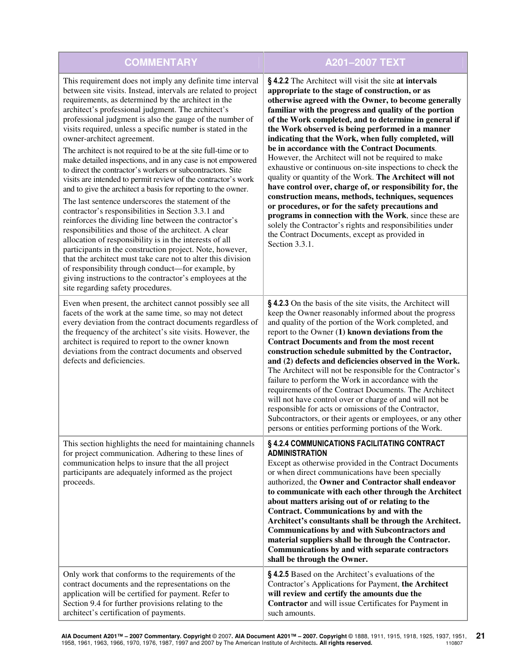| <b>COMMENTARY</b>                                                                                                                                                                                                                                                                                                                                                                                                                                                                                                                                                                                                                                                                                                                                                                                                                                                                                                                                                                                                                                                                                                                                                                                                                                                                                             | A201-2007 TEXT                                                                                                                                                                                                                                                                                                                                                                                                                                                                                                                                                                                                                                                                                                                                                                                                                                                                                                                                                                                |
|---------------------------------------------------------------------------------------------------------------------------------------------------------------------------------------------------------------------------------------------------------------------------------------------------------------------------------------------------------------------------------------------------------------------------------------------------------------------------------------------------------------------------------------------------------------------------------------------------------------------------------------------------------------------------------------------------------------------------------------------------------------------------------------------------------------------------------------------------------------------------------------------------------------------------------------------------------------------------------------------------------------------------------------------------------------------------------------------------------------------------------------------------------------------------------------------------------------------------------------------------------------------------------------------------------------|-----------------------------------------------------------------------------------------------------------------------------------------------------------------------------------------------------------------------------------------------------------------------------------------------------------------------------------------------------------------------------------------------------------------------------------------------------------------------------------------------------------------------------------------------------------------------------------------------------------------------------------------------------------------------------------------------------------------------------------------------------------------------------------------------------------------------------------------------------------------------------------------------------------------------------------------------------------------------------------------------|
| This requirement does not imply any definite time interval<br>between site visits. Instead, intervals are related to project<br>requirements, as determined by the architect in the<br>architect's professional judgment. The architect's<br>professional judgment is also the gauge of the number of<br>visits required, unless a specific number is stated in the<br>owner-architect agreement.<br>The architect is not required to be at the site full-time or to<br>make detailed inspections, and in any case is not empowered<br>to direct the contractor's workers or subcontractors. Site<br>visits are intended to permit review of the contractor's work<br>and to give the architect a basis for reporting to the owner.<br>The last sentence underscores the statement of the<br>contractor's responsibilities in Section 3.3.1 and<br>reinforces the dividing line between the contractor's<br>responsibilities and those of the architect. A clear<br>allocation of responsibility is in the interests of all<br>participants in the construction project. Note, however,<br>that the architect must take care not to alter this division<br>of responsibility through conduct-for example, by<br>giving instructions to the contractor's employees at the<br>site regarding safety procedures. | §4.2.2 The Architect will visit the site at intervals<br>appropriate to the stage of construction, or as<br>otherwise agreed with the Owner, to become generally<br>familiar with the progress and quality of the portion<br>of the Work completed, and to determine in general if<br>the Work observed is being performed in a manner<br>indicating that the Work, when fully completed, will<br>be in accordance with the Contract Documents.<br>However, the Architect will not be required to make<br>exhaustive or continuous on-site inspections to check the<br>quality or quantity of the Work. The Architect will not<br>have control over, charge of, or responsibility for, the<br>construction means, methods, techniques, sequences<br>or procedures, or for the safety precautions and<br>programs in connection with the Work, since these are<br>solely the Contractor's rights and responsibilities under<br>the Contract Documents, except as provided in<br>Section 3.3.1. |
| Even when present, the architect cannot possibly see all<br>facets of the work at the same time, so may not detect<br>every deviation from the contract documents regardless of<br>the frequency of the architect's site visits. However, the<br>architect is required to report to the owner known<br>deviations from the contract documents and observed<br>defects and deficiencies.                                                                                                                                                                                                                                                                                                                                                                                                                                                                                                                                                                                                                                                                                                                                                                                                                                                                                                                       | §4.2.3 On the basis of the site visits, the Architect will<br>keep the Owner reasonably informed about the progress<br>and quality of the portion of the Work completed, and<br>report to the Owner (1) known deviations from the<br><b>Contract Documents and from the most recent</b><br>construction schedule submitted by the Contractor,<br>and (2) defects and deficiencies observed in the Work.<br>The Architect will not be responsible for the Contractor's<br>failure to perform the Work in accordance with the<br>requirements of the Contract Documents. The Architect<br>will not have control over or charge of and will not be<br>responsible for acts or omissions of the Contractor,<br>Subcontractors, or their agents or employees, or any other<br>persons or entities performing portions of the Work.                                                                                                                                                                 |
| This section highlights the need for maintaining channels<br>for project communication. Adhering to these lines of<br>communication helps to insure that the all project<br>participants are adequately informed as the project<br>proceeds.                                                                                                                                                                                                                                                                                                                                                                                                                                                                                                                                                                                                                                                                                                                                                                                                                                                                                                                                                                                                                                                                  | § 4.2.4 COMMUNICATIONS FACILITATING CONTRACT<br><b>ADMINISTRATION</b><br>Except as otherwise provided in the Contract Documents<br>or when direct communications have been specially<br>authorized, the Owner and Contractor shall endeavor<br>to communicate with each other through the Architect<br>about matters arising out of or relating to the<br>Contract. Communications by and with the<br>Architect's consultants shall be through the Architect.<br><b>Communications by and with Subcontractors and</b><br>material suppliers shall be through the Contractor.<br>Communications by and with separate contractors<br>shall be through the Owner.                                                                                                                                                                                                                                                                                                                                |
| Only work that conforms to the requirements of the<br>contract documents and the representations on the<br>application will be certified for payment. Refer to<br>Section 9.4 for further provisions relating to the<br>architect's certification of payments.                                                                                                                                                                                                                                                                                                                                                                                                                                                                                                                                                                                                                                                                                                                                                                                                                                                                                                                                                                                                                                                | §4.2.5 Based on the Architect's evaluations of the<br>Contractor's Applications for Payment, the Architect<br>will review and certify the amounts due the<br>Contractor and will issue Certificates for Payment in<br>such amounts.                                                                                                                                                                                                                                                                                                                                                                                                                                                                                                                                                                                                                                                                                                                                                           |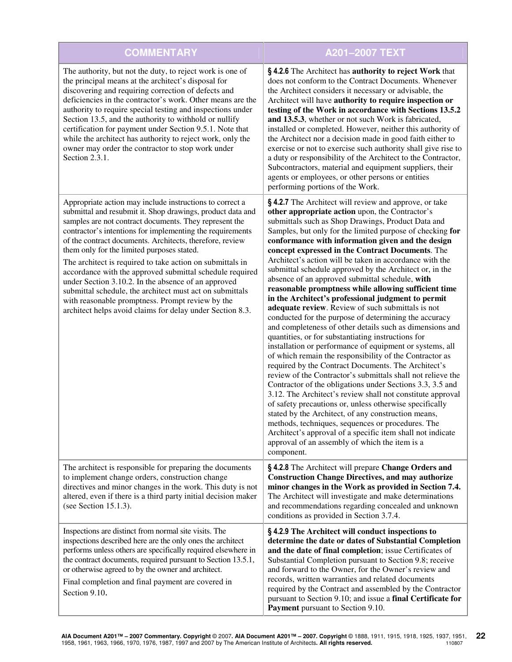| <b>COMMENTARY</b>                                                                                                                                                                                                                                                                                                                                                                                                                                                                                                                                                                                                                                                                                                    | A201-2007 TEXT                                                                                                                                                                                                                                                                                                                                                                                                                                                                                                                                                                                                                                                                                                                                                                                                                                                                                                                                                                                                                                                                                                                                                                                                                                                                                                                                                                                                                                                                                                                           |
|----------------------------------------------------------------------------------------------------------------------------------------------------------------------------------------------------------------------------------------------------------------------------------------------------------------------------------------------------------------------------------------------------------------------------------------------------------------------------------------------------------------------------------------------------------------------------------------------------------------------------------------------------------------------------------------------------------------------|------------------------------------------------------------------------------------------------------------------------------------------------------------------------------------------------------------------------------------------------------------------------------------------------------------------------------------------------------------------------------------------------------------------------------------------------------------------------------------------------------------------------------------------------------------------------------------------------------------------------------------------------------------------------------------------------------------------------------------------------------------------------------------------------------------------------------------------------------------------------------------------------------------------------------------------------------------------------------------------------------------------------------------------------------------------------------------------------------------------------------------------------------------------------------------------------------------------------------------------------------------------------------------------------------------------------------------------------------------------------------------------------------------------------------------------------------------------------------------------------------------------------------------------|
| The authority, but not the duty, to reject work is one of<br>the principal means at the architect's disposal for<br>discovering and requiring correction of defects and<br>deficiencies in the contractor's work. Other means are the<br>authority to require special testing and inspections under<br>Section 13.5, and the authority to withhold or nullify<br>certification for payment under Section 9.5.1. Note that<br>while the architect has authority to reject work, only the<br>owner may order the contractor to stop work under<br>Section 2.3.1.                                                                                                                                                       | §4.2.6 The Architect has authority to reject Work that<br>does not conform to the Contract Documents. Whenever<br>the Architect considers it necessary or advisable, the<br>Architect will have authority to require inspection or<br>testing of the Work in accordance with Sections 13.5.2<br>and 13.5.3, whether or not such Work is fabricated,<br>installed or completed. However, neither this authority of<br>the Architect nor a decision made in good faith either to<br>exercise or not to exercise such authority shall give rise to<br>a duty or responsibility of the Architect to the Contractor,<br>Subcontractors, material and equipment suppliers, their<br>agents or employees, or other persons or entities<br>performing portions of the Work.                                                                                                                                                                                                                                                                                                                                                                                                                                                                                                                                                                                                                                                                                                                                                                      |
| Appropriate action may include instructions to correct a<br>submittal and resubmit it. Shop drawings, product data and<br>samples are not contract documents. They represent the<br>contractor's intentions for implementing the requirements<br>of the contract documents. Architects, therefore, review<br>them only for the limited purposes stated.<br>The architect is required to take action on submittals in<br>accordance with the approved submittal schedule required<br>under Section 3.10.2. In the absence of an approved<br>submittal schedule, the architect must act on submittals<br>with reasonable promptness. Prompt review by the<br>architect helps avoid claims for delay under Section 8.3. | §4.2.7 The Architect will review and approve, or take<br>other appropriate action upon, the Contractor's<br>submittals such as Shop Drawings, Product Data and<br>Samples, but only for the limited purpose of checking for<br>conformance with information given and the design<br>concept expressed in the Contract Documents. The<br>Architect's action will be taken in accordance with the<br>submittal schedule approved by the Architect or, in the<br>absence of an approved submittal schedule, with<br>reasonable promptness while allowing sufficient time<br>in the Architect's professional judgment to permit<br>adequate review. Review of such submittals is not<br>conducted for the purpose of determining the accuracy<br>and completeness of other details such as dimensions and<br>quantities, or for substantiating instructions for<br>installation or performance of equipment or systems, all<br>of which remain the responsibility of the Contractor as<br>required by the Contract Documents. The Architect's<br>review of the Contractor's submittals shall not relieve the<br>Contractor of the obligations under Sections 3.3, 3.5 and<br>3.12. The Architect's review shall not constitute approval<br>of safety precautions or, unless otherwise specifically<br>stated by the Architect, of any construction means,<br>methods, techniques, sequences or procedures. The<br>Architect's approval of a specific item shall not indicate<br>approval of an assembly of which the item is a<br>component. |
| The architect is responsible for preparing the documents<br>to implement change orders, construction change<br>directives and minor changes in the work. This duty is not<br>altered, even if there is a third party initial decision maker<br>(see Section 15.1.3).                                                                                                                                                                                                                                                                                                                                                                                                                                                 | §4.2.8 The Architect will prepare Change Orders and<br><b>Construction Change Directives, and may authorize</b><br>minor changes in the Work as provided in Section 7.4.<br>The Architect will investigate and make determinations<br>and recommendations regarding concealed and unknown<br>conditions as provided in Section 3.7.4.                                                                                                                                                                                                                                                                                                                                                                                                                                                                                                                                                                                                                                                                                                                                                                                                                                                                                                                                                                                                                                                                                                                                                                                                    |
| Inspections are distinct from normal site visits. The<br>inspections described here are the only ones the architect<br>performs unless others are specifically required elsewhere in<br>the contract documents, required pursuant to Section 13.5.1,<br>or otherwise agreed to by the owner and architect.<br>Final completion and final payment are covered in<br>Section 9.10.                                                                                                                                                                                                                                                                                                                                     | §4.2.9 The Architect will conduct inspections to<br>determine the date or dates of Substantial Completion<br>and the date of final completion; issue Certificates of<br>Substantial Completion pursuant to Section 9.8; receive<br>and forward to the Owner, for the Owner's review and<br>records, written warranties and related documents<br>required by the Contract and assembled by the Contractor<br>pursuant to Section 9.10; and issue a final Certificate for<br>Payment pursuant to Section 9.10.                                                                                                                                                                                                                                                                                                                                                                                                                                                                                                                                                                                                                                                                                                                                                                                                                                                                                                                                                                                                                             |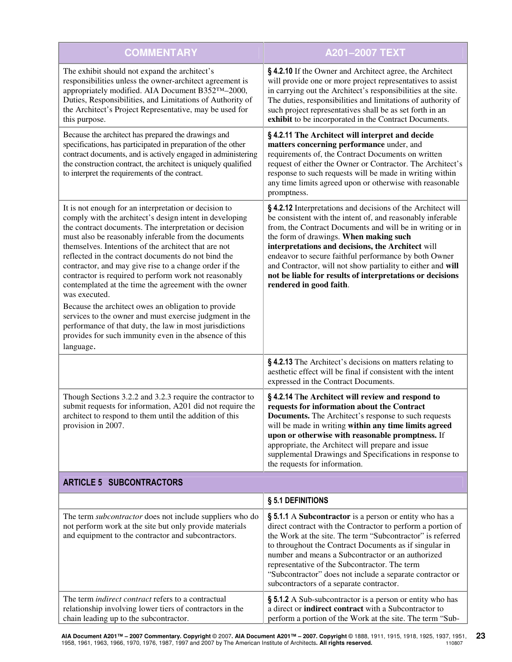| <b>COMMENTARY</b>                                                                                                                                                                                                                                                                                                                                                                                                                                                                                                                                                                                                                                                                                                                                                                                  | A201-2007 TEXT                                                                                                                                                                                                                                                                                                                                                                                                                                                                                        |
|----------------------------------------------------------------------------------------------------------------------------------------------------------------------------------------------------------------------------------------------------------------------------------------------------------------------------------------------------------------------------------------------------------------------------------------------------------------------------------------------------------------------------------------------------------------------------------------------------------------------------------------------------------------------------------------------------------------------------------------------------------------------------------------------------|-------------------------------------------------------------------------------------------------------------------------------------------------------------------------------------------------------------------------------------------------------------------------------------------------------------------------------------------------------------------------------------------------------------------------------------------------------------------------------------------------------|
| The exhibit should not expand the architect's<br>responsibilities unless the owner-architect agreement is<br>appropriately modified. AIA Document B352™-2000,<br>Duties, Responsibilities, and Limitations of Authority of<br>the Architect's Project Representative, may be used for<br>this purpose.                                                                                                                                                                                                                                                                                                                                                                                                                                                                                             | §4.2.10 If the Owner and Architect agree, the Architect<br>will provide one or more project representatives to assist<br>in carrying out the Architect's responsibilities at the site.<br>The duties, responsibilities and limitations of authority of<br>such project representatives shall be as set forth in an<br>exhibit to be incorporated in the Contract Documents.                                                                                                                           |
| Because the architect has prepared the drawings and<br>specifications, has participated in preparation of the other<br>contract documents, and is actively engaged in administering<br>the construction contract, the architect is uniquely qualified<br>to interpret the requirements of the contract.                                                                                                                                                                                                                                                                                                                                                                                                                                                                                            | §4.2.11 The Architect will interpret and decide<br>matters concerning performance under, and<br>requirements of, the Contract Documents on written<br>request of either the Owner or Contractor. The Architect's<br>response to such requests will be made in writing within<br>any time limits agreed upon or otherwise with reasonable<br>promptness.                                                                                                                                               |
| It is not enough for an interpretation or decision to<br>comply with the architect's design intent in developing<br>the contract documents. The interpretation or decision<br>must also be reasonably inferable from the documents<br>themselves. Intentions of the architect that are not<br>reflected in the contract documents do not bind the<br>contractor, and may give rise to a change order if the<br>contractor is required to perform work not reasonably<br>contemplated at the time the agreement with the owner<br>was executed.<br>Because the architect owes an obligation to provide<br>services to the owner and must exercise judgment in the<br>performance of that duty, the law in most jurisdictions<br>provides for such immunity even in the absence of this<br>language. | §4.2.12 Interpretations and decisions of the Architect will<br>be consistent with the intent of, and reasonably inferable<br>from, the Contract Documents and will be in writing or in<br>the form of drawings. When making such<br>interpretations and decisions, the Architect will<br>endeavor to secure faithful performance by both Owner<br>and Contractor, will not show partiality to either and will<br>not be liable for results of interpretations or decisions<br>rendered in good faith. |
|                                                                                                                                                                                                                                                                                                                                                                                                                                                                                                                                                                                                                                                                                                                                                                                                    | §4.2.13 The Architect's decisions on matters relating to<br>aesthetic effect will be final if consistent with the intent<br>expressed in the Contract Documents.                                                                                                                                                                                                                                                                                                                                      |
| Though Sections 3.2.2 and 3.2.3 require the contractor to<br>submit requests for information, A201 did not require the<br>architect to respond to them until the addition of this<br>provision in 2007.                                                                                                                                                                                                                                                                                                                                                                                                                                                                                                                                                                                            | §4.2.14 The Architect will review and respond to<br>requests for information about the Contract<br>Documents. The Architect's response to such requests<br>will be made in writing within any time limits agreed<br>upon or otherwise with reasonable promptness. If<br>appropriate, the Architect will prepare and issue<br>supplemental Drawings and Specifications in response to<br>the requests for information.                                                                                 |
| <b>ARTICLE 5 SUBCONTRACTORS</b>                                                                                                                                                                                                                                                                                                                                                                                                                                                                                                                                                                                                                                                                                                                                                                    |                                                                                                                                                                                                                                                                                                                                                                                                                                                                                                       |
|                                                                                                                                                                                                                                                                                                                                                                                                                                                                                                                                                                                                                                                                                                                                                                                                    | § 5.1 DEFINITIONS                                                                                                                                                                                                                                                                                                                                                                                                                                                                                     |
| The term <i>subcontractor</i> does not include suppliers who do<br>not perform work at the site but only provide materials<br>and equipment to the contractor and subcontractors.                                                                                                                                                                                                                                                                                                                                                                                                                                                                                                                                                                                                                  | § 5.1.1 A Subcontractor is a person or entity who has a<br>direct contract with the Contractor to perform a portion of<br>the Work at the site. The term "Subcontractor" is referred<br>to throughout the Contract Documents as if singular in<br>number and means a Subcontractor or an authorized<br>representative of the Subcontractor. The term<br>"Subcontractor" does not include a separate contractor or<br>subcontractors of a separate contractor.                                         |
| The term <i>indirect contract</i> refers to a contractual<br>relationship involving lower tiers of contractors in the<br>chain leading up to the subcontractor.                                                                                                                                                                                                                                                                                                                                                                                                                                                                                                                                                                                                                                    | § 5.1.2 A Sub-subcontractor is a person or entity who has<br>a direct or <b>indirect contract</b> with a Subcontractor to<br>perform a portion of the Work at the site. The term "Sub-                                                                                                                                                                                                                                                                                                                |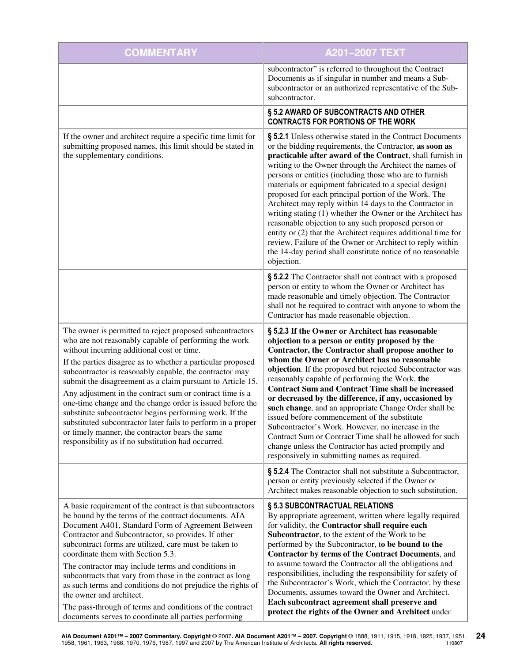| <b>COMMENTARY</b>                                                                                                                                                                                                                                                                                                                                                                                                                                                                                                                                                                                                                                                                                                    | A201-2007 TEXT                                                                                                                                                                                                                                                                                                                                                                                                                                                                                                                                                                                                                                                                                                                                                                                                      |
|----------------------------------------------------------------------------------------------------------------------------------------------------------------------------------------------------------------------------------------------------------------------------------------------------------------------------------------------------------------------------------------------------------------------------------------------------------------------------------------------------------------------------------------------------------------------------------------------------------------------------------------------------------------------------------------------------------------------|---------------------------------------------------------------------------------------------------------------------------------------------------------------------------------------------------------------------------------------------------------------------------------------------------------------------------------------------------------------------------------------------------------------------------------------------------------------------------------------------------------------------------------------------------------------------------------------------------------------------------------------------------------------------------------------------------------------------------------------------------------------------------------------------------------------------|
|                                                                                                                                                                                                                                                                                                                                                                                                                                                                                                                                                                                                                                                                                                                      | subcontractor" is referred to throughout the Contract<br>Documents as if singular in number and means a Sub-<br>subcontractor or an authorized representative of the Sub-<br>subcontractor.                                                                                                                                                                                                                                                                                                                                                                                                                                                                                                                                                                                                                         |
|                                                                                                                                                                                                                                                                                                                                                                                                                                                                                                                                                                                                                                                                                                                      | § 5.2 AWARD OF SUBCONTRACTS AND OTHER<br><b>CONTRACTS FOR PORTIONS OF THE WORK</b>                                                                                                                                                                                                                                                                                                                                                                                                                                                                                                                                                                                                                                                                                                                                  |
| If the owner and architect require a specific time limit for<br>submitting proposed names, this limit should be stated in<br>the supplementary conditions.                                                                                                                                                                                                                                                                                                                                                                                                                                                                                                                                                           | § 5.2.1 Unless otherwise stated in the Contract Documents<br>or the bidding requirements, the Contractor, as soon as<br>practicable after award of the Contract, shall furnish in<br>writing to the Owner through the Architect the names of<br>persons or entities (including those who are to furnish<br>materials or equipment fabricated to a special design)<br>proposed for each principal portion of the Work. The<br>Architect may reply within 14 days to the Contractor in<br>writing stating (1) whether the Owner or the Architect has<br>reasonable objection to any such proposed person or<br>entity or (2) that the Architect requires additional time for<br>review. Failure of the Owner or Architect to reply within<br>the 14-day period shall constitute notice of no reasonable<br>objection. |
|                                                                                                                                                                                                                                                                                                                                                                                                                                                                                                                                                                                                                                                                                                                      | § 5.2.2 The Contractor shall not contract with a proposed<br>person or entity to whom the Owner or Architect has<br>made reasonable and timely objection. The Contractor<br>shall not be required to contract with anyone to whom the<br>Contractor has made reasonable objection.                                                                                                                                                                                                                                                                                                                                                                                                                                                                                                                                  |
| The owner is permitted to reject proposed subcontractors<br>who are not reasonably capable of performing the work<br>without incurring additional cost or time.<br>If the parties disagree as to whether a particular proposed<br>subcontractor is reasonably capable, the contractor may<br>submit the disagreement as a claim pursuant to Article 15.<br>Any adjustment in the contract sum or contract time is a<br>one-time change and the change order is issued before the<br>substitute subcontractor begins performing work. If the<br>substituted subcontractor later fails to perform in a proper<br>or timely manner, the contractor bears the same<br>responsibility as if no substitution had occurred. | § 5.2.3 If the Owner or Architect has reasonable<br>objection to a person or entity proposed by the<br>Contractor, the Contractor shall propose another to<br>whom the Owner or Architect has no reasonable<br>objection. If the proposed but rejected Subcontractor was<br>reasonably capable of performing the Work, the<br><b>Contract Sum and Contract Time shall be increased</b><br>or decreased by the difference, if any, occasioned by<br>such change, and an appropriate Change Order shall be<br>issued before commencement of the substitute<br>Subcontractor's Work. However, no increase in the<br>Contract Sum or Contract Time shall be allowed for such<br>change unless the Contractor has acted promptly and<br>responsively in submitting names as required.                                    |
|                                                                                                                                                                                                                                                                                                                                                                                                                                                                                                                                                                                                                                                                                                                      | § 5.2.4 The Contractor shall not substitute a Subcontractor,<br>person or entity previously selected if the Owner or<br>Architect makes reasonable objection to such substitution.                                                                                                                                                                                                                                                                                                                                                                                                                                                                                                                                                                                                                                  |
| A basic requirement of the contract is that subcontractors<br>be bound by the terms of the contract documents. AIA<br>Document A401, Standard Form of Agreement Between<br>Contractor and Subcontractor, so provides. If other<br>subcontract forms are utilized, care must be taken to<br>coordinate them with Section 5.3.<br>The contractor may include terms and conditions in<br>subcontracts that vary from those in the contract as long<br>as such terms and conditions do not prejudice the rights of<br>the owner and architect.<br>The pass-through of terms and conditions of the contract<br>documents serves to coordinate all parties performing                                                      | § 5.3 SUBCONTRACTUAL RELATIONS<br>By appropriate agreement, written where legally required<br>for validity, the Contractor shall require each<br>Subcontractor, to the extent of the Work to be<br>performed by the Subcontractor, to be bound to the<br>Contractor by terms of the Contract Documents, and<br>to assume toward the Contractor all the obligations and<br>responsibilities, including the responsibility for safety of<br>the Subcontractor's Work, which the Contractor, by these<br>Documents, assumes toward the Owner and Architect.<br>Each subcontract agreement shall preserve and<br>protect the rights of the Owner and Architect under                                                                                                                                                    |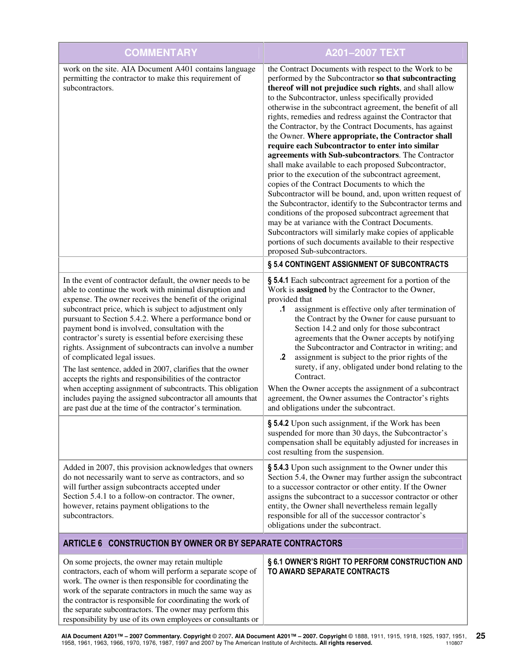| <b>COMMENTARY</b>                                                                                                                                                                                                                                                                                                                                                                                                                                                                                                                                                                                                                                                                                                                                                                                                                | A201-2007 TEXT                                                                                                                                                                                                                                                                                                                                                                                                                                                                                                                                                                                                                                                                                                                                                                                                                                                                                                                                                                                                                                                                                                                                                                                    |
|----------------------------------------------------------------------------------------------------------------------------------------------------------------------------------------------------------------------------------------------------------------------------------------------------------------------------------------------------------------------------------------------------------------------------------------------------------------------------------------------------------------------------------------------------------------------------------------------------------------------------------------------------------------------------------------------------------------------------------------------------------------------------------------------------------------------------------|---------------------------------------------------------------------------------------------------------------------------------------------------------------------------------------------------------------------------------------------------------------------------------------------------------------------------------------------------------------------------------------------------------------------------------------------------------------------------------------------------------------------------------------------------------------------------------------------------------------------------------------------------------------------------------------------------------------------------------------------------------------------------------------------------------------------------------------------------------------------------------------------------------------------------------------------------------------------------------------------------------------------------------------------------------------------------------------------------------------------------------------------------------------------------------------------------|
| work on the site. AIA Document A401 contains language<br>permitting the contractor to make this requirement of<br>subcontractors.                                                                                                                                                                                                                                                                                                                                                                                                                                                                                                                                                                                                                                                                                                | the Contract Documents with respect to the Work to be<br>performed by the Subcontractor so that subcontracting<br>thereof will not prejudice such rights, and shall allow<br>to the Subcontractor, unless specifically provided<br>otherwise in the subcontract agreement, the benefit of all<br>rights, remedies and redress against the Contractor that<br>the Contractor, by the Contract Documents, has against<br>the Owner. Where appropriate, the Contractor shall<br>require each Subcontractor to enter into similar<br>agreements with Sub-subcontractors. The Contractor<br>shall make available to each proposed Subcontractor,<br>prior to the execution of the subcontract agreement,<br>copies of the Contract Documents to which the<br>Subcontractor will be bound, and, upon written request of<br>the Subcontractor, identify to the Subcontractor terms and<br>conditions of the proposed subcontract agreement that<br>may be at variance with the Contract Documents.<br>Subcontractors will similarly make copies of applicable<br>portions of such documents available to their respective<br>proposed Sub-subcontractors.<br>§ 5.4 CONTINGENT ASSIGNMENT OF SUBCONTRACTS |
| In the event of contractor default, the owner needs to be<br>able to continue the work with minimal disruption and<br>expense. The owner receives the benefit of the original<br>subcontract price, which is subject to adjustment only<br>pursuant to Section 5.4.2. Where a performance bond or<br>payment bond is involved, consultation with the<br>contractor's surety is essential before exercising these<br>rights. Assignment of subcontracts can involve a number<br>of complicated legal issues.<br>The last sentence, added in 2007, clarifies that the owner<br>accepts the rights and responsibilities of the contractor<br>when accepting assignment of subcontracts. This obligation<br>includes paying the assigned subcontractor all amounts that<br>are past due at the time of the contractor's termination. | § 5.4.1 Each subcontract agreement for a portion of the<br>Work is assigned by the Contractor to the Owner,<br>provided that<br>assignment is effective only after termination of<br>$\cdot$ 1<br>the Contract by the Owner for cause pursuant to<br>Section 14.2 and only for those subcontract<br>agreements that the Owner accepts by notifying<br>the Subcontractor and Contractor in writing; and<br>$\mathbf{.2}$<br>assignment is subject to the prior rights of the<br>surety, if any, obligated under bond relating to the<br>Contract.<br>When the Owner accepts the assignment of a subcontract<br>agreement, the Owner assumes the Contractor's rights<br>and obligations under the subcontract.                                                                                                                                                                                                                                                                                                                                                                                                                                                                                      |
|                                                                                                                                                                                                                                                                                                                                                                                                                                                                                                                                                                                                                                                                                                                                                                                                                                  | § 5.4.2 Upon such assignment, if the Work has been<br>suspended for more than 30 days, the Subcontractor's<br>compensation shall be equitably adjusted for increases in<br>cost resulting from the suspension.                                                                                                                                                                                                                                                                                                                                                                                                                                                                                                                                                                                                                                                                                                                                                                                                                                                                                                                                                                                    |
| Added in 2007, this provision acknowledges that owners<br>do not necessarily want to serve as contractors, and so<br>will further assign subcontracts accepted under<br>Section 5.4.1 to a follow-on contractor. The owner,<br>however, retains payment obligations to the<br>subcontractors.                                                                                                                                                                                                                                                                                                                                                                                                                                                                                                                                    | § 5.4.3 Upon such assignment to the Owner under this<br>Section 5.4, the Owner may further assign the subcontract<br>to a successor contractor or other entity. If the Owner<br>assigns the subcontract to a successor contractor or other<br>entity, the Owner shall nevertheless remain legally<br>responsible for all of the successor contractor's<br>obligations under the subcontract.                                                                                                                                                                                                                                                                                                                                                                                                                                                                                                                                                                                                                                                                                                                                                                                                      |
| ARTICLE 6 CONSTRUCTION BY OWNER OR BY SEPARATE CONTRACTORS                                                                                                                                                                                                                                                                                                                                                                                                                                                                                                                                                                                                                                                                                                                                                                       |                                                                                                                                                                                                                                                                                                                                                                                                                                                                                                                                                                                                                                                                                                                                                                                                                                                                                                                                                                                                                                                                                                                                                                                                   |

On some projects, the owner may retain multiple contractors, each of whom will perform a separate scope of work. The owner is then responsible for coordinating the work of the separate contractors in much the same way as the contractor is responsible for coordinating the work of the separate subcontractors. The owner may perform this responsibility by use of its own employees or consultants or

#### § 6.1 OWNER'S RIGHT TO PERFORM CONSTRUCTION AND TO AWARD SEPARATE CONTRACTS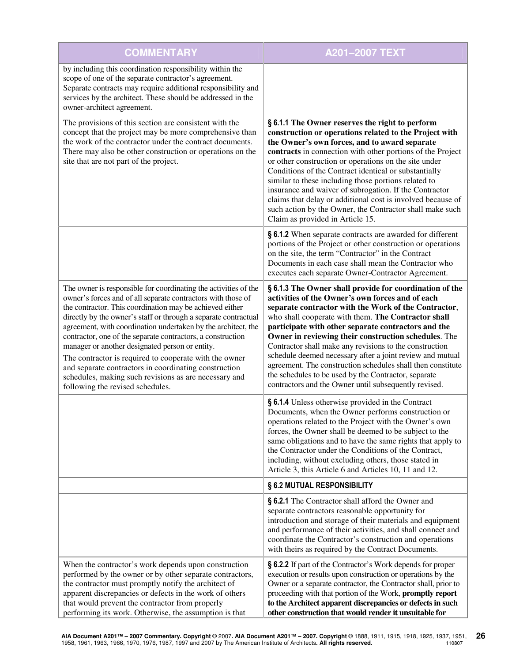| <b>COMMENTARY</b>                                                                                                                                                                                                                                                                                                                                                                                                                                                                                                                                                                                                                                                 | A201-2007 TEXT                                                                                                                                                                                                                                                                                                                                                                                                                                                                                                                                                                                                                                    |
|-------------------------------------------------------------------------------------------------------------------------------------------------------------------------------------------------------------------------------------------------------------------------------------------------------------------------------------------------------------------------------------------------------------------------------------------------------------------------------------------------------------------------------------------------------------------------------------------------------------------------------------------------------------------|---------------------------------------------------------------------------------------------------------------------------------------------------------------------------------------------------------------------------------------------------------------------------------------------------------------------------------------------------------------------------------------------------------------------------------------------------------------------------------------------------------------------------------------------------------------------------------------------------------------------------------------------------|
| by including this coordination responsibility within the<br>scope of one of the separate contractor's agreement.<br>Separate contracts may require additional responsibility and<br>services by the architect. These should be addressed in the<br>owner-architect agreement.                                                                                                                                                                                                                                                                                                                                                                                     |                                                                                                                                                                                                                                                                                                                                                                                                                                                                                                                                                                                                                                                   |
| The provisions of this section are consistent with the<br>concept that the project may be more comprehensive than<br>the work of the contractor under the contract documents.<br>There may also be other construction or operations on the<br>site that are not part of the project.                                                                                                                                                                                                                                                                                                                                                                              | § 6.1.1 The Owner reserves the right to perform<br>construction or operations related to the Project with<br>the Owner's own forces, and to award separate<br>contracts in connection with other portions of the Project<br>or other construction or operations on the site under<br>Conditions of the Contract identical or substantially<br>similar to these including those portions related to<br>insurance and waiver of subrogation. If the Contractor<br>claims that delay or additional cost is involved because of<br>such action by the Owner, the Contractor shall make such<br>Claim as provided in Article 15.                       |
|                                                                                                                                                                                                                                                                                                                                                                                                                                                                                                                                                                                                                                                                   | § 6.1.2 When separate contracts are awarded for different<br>portions of the Project or other construction or operations<br>on the site, the term "Contractor" in the Contract<br>Documents in each case shall mean the Contractor who<br>executes each separate Owner-Contractor Agreement.                                                                                                                                                                                                                                                                                                                                                      |
| The owner is responsible for coordinating the activities of the<br>owner's forces and of all separate contractors with those of<br>the contractor. This coordination may be achieved either<br>directly by the owner's staff or through a separate contractual<br>agreement, with coordination undertaken by the architect, the<br>contractor, one of the separate contractors, a construction<br>manager or another designated person or entity.<br>The contractor is required to cooperate with the owner<br>and separate contractors in coordinating construction<br>schedules, making such revisions as are necessary and<br>following the revised schedules. | § 6.1.3 The Owner shall provide for coordination of the<br>activities of the Owner's own forces and of each<br>separate contractor with the Work of the Contractor,<br>who shall cooperate with them. The Contractor shall<br>participate with other separate contractors and the<br>Owner in reviewing their construction schedules. The<br>Contractor shall make any revisions to the construction<br>schedule deemed necessary after a joint review and mutual<br>agreement. The construction schedules shall then constitute<br>the schedules to be used by the Contractor, separate<br>contractors and the Owner until subsequently revised. |
|                                                                                                                                                                                                                                                                                                                                                                                                                                                                                                                                                                                                                                                                   | § 6.1.4 Unless otherwise provided in the Contract<br>Documents, when the Owner performs construction or<br>operations related to the Project with the Owner's own<br>forces, the Owner shall be deemed to be subject to the<br>same obligations and to have the same rights that apply to<br>the Contractor under the Conditions of the Contract,<br>including, without excluding others, those stated in<br>Article 3, this Article 6 and Articles 10, 11 and 12.                                                                                                                                                                                |
|                                                                                                                                                                                                                                                                                                                                                                                                                                                                                                                                                                                                                                                                   | § 6.2 MUTUAL RESPONSIBILITY                                                                                                                                                                                                                                                                                                                                                                                                                                                                                                                                                                                                                       |
|                                                                                                                                                                                                                                                                                                                                                                                                                                                                                                                                                                                                                                                                   | § 6.2.1 The Contractor shall afford the Owner and<br>separate contractors reasonable opportunity for<br>introduction and storage of their materials and equipment<br>and performance of their activities, and shall connect and<br>coordinate the Contractor's construction and operations<br>with theirs as required by the Contract Documents.                                                                                                                                                                                                                                                                                                  |
| When the contractor's work depends upon construction<br>performed by the owner or by other separate contractors,<br>the contractor must promptly notify the architect of<br>apparent discrepancies or defects in the work of others<br>that would prevent the contractor from properly<br>performing its work. Otherwise, the assumption is that                                                                                                                                                                                                                                                                                                                  | § 6.2.2 If part of the Contractor's Work depends for proper<br>execution or results upon construction or operations by the<br>Owner or a separate contractor, the Contractor shall, prior to<br>proceeding with that portion of the Work, promptly report<br>to the Architect apparent discrepancies or defects in such<br>other construction that would render it unsuitable for                                                                                                                                                                                                                                                                 |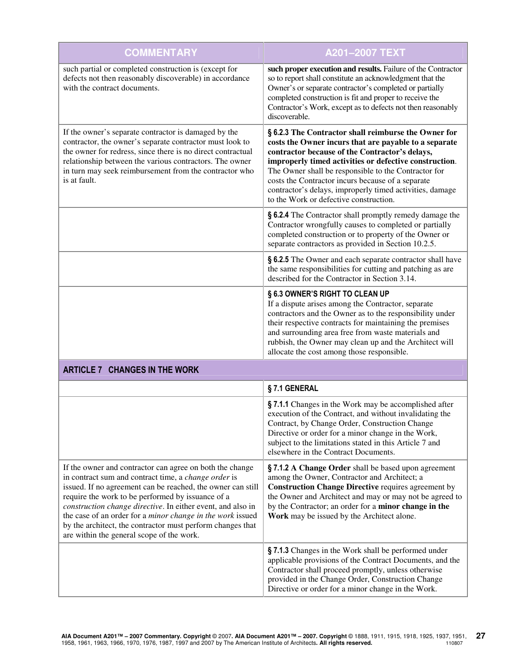| <b>COMMENTARY</b>                                                                                                                                                                                                                                                                                                                                                                                                                                                            | A201-2007 TEXT                                                                                                                                                                                                                                                                                                                                                                                                                               |
|------------------------------------------------------------------------------------------------------------------------------------------------------------------------------------------------------------------------------------------------------------------------------------------------------------------------------------------------------------------------------------------------------------------------------------------------------------------------------|----------------------------------------------------------------------------------------------------------------------------------------------------------------------------------------------------------------------------------------------------------------------------------------------------------------------------------------------------------------------------------------------------------------------------------------------|
| such partial or completed construction is (except for<br>defects not then reasonably discoverable) in accordance<br>with the contract documents.                                                                                                                                                                                                                                                                                                                             | such proper execution and results. Failure of the Contractor<br>so to report shall constitute an acknowledgment that the<br>Owner's or separate contractor's completed or partially<br>completed construction is fit and proper to receive the<br>Contractor's Work, except as to defects not then reasonably<br>discoverable.                                                                                                               |
| If the owner's separate contractor is damaged by the<br>contractor, the owner's separate contractor must look to<br>the owner for redress, since there is no direct contractual<br>relationship between the various contractors. The owner<br>in turn may seek reimbursement from the contractor who<br>is at fault.                                                                                                                                                         | § 6.2.3 The Contractor shall reimburse the Owner for<br>costs the Owner incurs that are payable to a separate<br>contractor because of the Contractor's delays,<br>improperly timed activities or defective construction.<br>The Owner shall be responsible to the Contractor for<br>costs the Contractor incurs because of a separate<br>contractor's delays, improperly timed activities, damage<br>to the Work or defective construction. |
|                                                                                                                                                                                                                                                                                                                                                                                                                                                                              | § 6.2.4 The Contractor shall promptly remedy damage the<br>Contractor wrongfully causes to completed or partially<br>completed construction or to property of the Owner or<br>separate contractors as provided in Section 10.2.5.                                                                                                                                                                                                            |
|                                                                                                                                                                                                                                                                                                                                                                                                                                                                              | § 6.2.5 The Owner and each separate contractor shall have<br>the same responsibilities for cutting and patching as are<br>described for the Contractor in Section 3.14.                                                                                                                                                                                                                                                                      |
|                                                                                                                                                                                                                                                                                                                                                                                                                                                                              | § 6.3 OWNER'S RIGHT TO CLEAN UP<br>If a dispute arises among the Contractor, separate<br>contractors and the Owner as to the responsibility under<br>their respective contracts for maintaining the premises<br>and surrounding area free from waste materials and<br>rubbish, the Owner may clean up and the Architect will<br>allocate the cost among those responsible.                                                                   |
| <b>ARTICLE 7 CHANGES IN THE WORK</b>                                                                                                                                                                                                                                                                                                                                                                                                                                         |                                                                                                                                                                                                                                                                                                                                                                                                                                              |
|                                                                                                                                                                                                                                                                                                                                                                                                                                                                              | §7.1 GENERAL                                                                                                                                                                                                                                                                                                                                                                                                                                 |
|                                                                                                                                                                                                                                                                                                                                                                                                                                                                              | §7.1.1 Changes in the Work may be accomplished after<br>execution of the Contract, and without invalidating the<br>Contract, by Change Order, Construction Change<br>Directive or order for a minor change in the Work,<br>subject to the limitations stated in this Article 7 and<br>elsewhere in the Contract Documents.                                                                                                                   |
| If the owner and contractor can agree on both the change<br>in contract sum and contract time, a change order is<br>issued. If no agreement can be reached, the owner can still<br>require the work to be performed by issuance of a<br>construction change directive. In either event, and also in<br>the case of an order for a minor change in the work issued<br>by the architect, the contractor must perform changes that<br>are within the general scope of the work. | §7.1.2 A Change Order shall be based upon agreement<br>among the Owner, Contractor and Architect; a<br><b>Construction Change Directive requires agreement by</b><br>the Owner and Architect and may or may not be agreed to<br>by the Contractor; an order for a minor change in the<br>Work may be issued by the Architect alone.                                                                                                          |
|                                                                                                                                                                                                                                                                                                                                                                                                                                                                              | §7.1.3 Changes in the Work shall be performed under<br>applicable provisions of the Contract Documents, and the                                                                                                                                                                                                                                                                                                                              |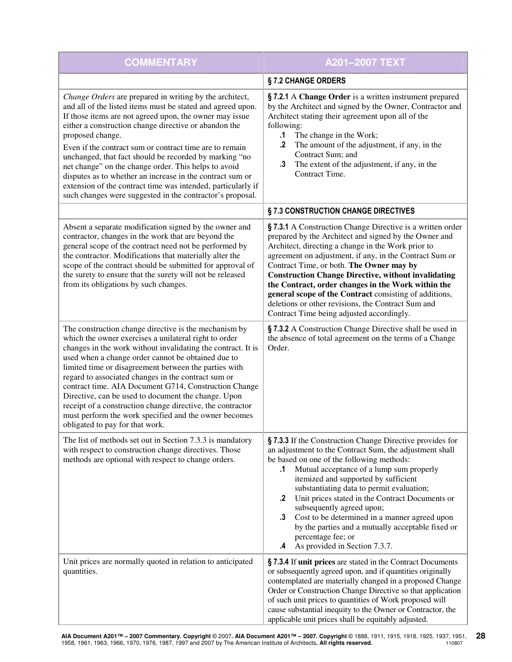| <b>COMMENTARY</b>                                                                                                                                                                                                                                                                                                                                                                                                                                                                                                                                                                                                                     | A201-2007 TEXT                                                                                                                                                                                                                                                                                                                                                                                                                                                                                                                                                                     |
|---------------------------------------------------------------------------------------------------------------------------------------------------------------------------------------------------------------------------------------------------------------------------------------------------------------------------------------------------------------------------------------------------------------------------------------------------------------------------------------------------------------------------------------------------------------------------------------------------------------------------------------|------------------------------------------------------------------------------------------------------------------------------------------------------------------------------------------------------------------------------------------------------------------------------------------------------------------------------------------------------------------------------------------------------------------------------------------------------------------------------------------------------------------------------------------------------------------------------------|
|                                                                                                                                                                                                                                                                                                                                                                                                                                                                                                                                                                                                                                       | §7.2 CHANGE ORDERS                                                                                                                                                                                                                                                                                                                                                                                                                                                                                                                                                                 |
| Change Orders are prepared in writing by the architect,<br>and all of the listed items must be stated and agreed upon.<br>If those items are not agreed upon, the owner may issue<br>either a construction change directive or abandon the<br>proposed change.<br>Even if the contract sum or contract time are to remain<br>unchanged, that fact should be recorded by marking "no<br>net change" on the change order. This helps to avoid<br>disputes as to whether an increase in the contract sum or<br>extension of the contract time was intended, particularly if<br>such changes were suggested in the contractor's proposal. | §7.2.1 A Change Order is a written instrument prepared<br>by the Architect and signed by the Owner, Contractor and<br>Architect stating their agreement upon all of the<br>following:<br>$\cdot$ 1<br>The change in the Work;<br>The amount of the adjustment, if any, in the<br>.2<br>Contract Sum; and<br>.3<br>The extent of the adjustment, if any, in the<br>Contract Time.                                                                                                                                                                                                   |
|                                                                                                                                                                                                                                                                                                                                                                                                                                                                                                                                                                                                                                       | §7.3 CONSTRUCTION CHANGE DIRECTIVES                                                                                                                                                                                                                                                                                                                                                                                                                                                                                                                                                |
| Absent a separate modification signed by the owner and<br>contractor, changes in the work that are beyond the<br>general scope of the contract need not be performed by<br>the contractor. Modifications that materially alter the<br>scope of the contract should be submitted for approval of<br>the surety to ensure that the surety will not be released<br>from its obligations by such changes.                                                                                                                                                                                                                                 | §7.3.1 A Construction Change Directive is a written order<br>prepared by the Architect and signed by the Owner and<br>Architect, directing a change in the Work prior to<br>agreement on adjustment, if any, in the Contract Sum or<br>Contract Time, or both. The Owner may by<br><b>Construction Change Directive, without invalidating</b><br>the Contract, order changes in the Work within the<br>general scope of the Contract consisting of additions,<br>deletions or other revisions, the Contract Sum and<br>Contract Time being adjusted accordingly.                   |
| The construction change directive is the mechanism by<br>which the owner exercises a unilateral right to order<br>changes in the work without invalidating the contract. It is<br>used when a change order cannot be obtained due to<br>limited time or disagreement between the parties with<br>regard to associated changes in the contract sum or<br>contract time. AIA Document G714, Construction Change<br>Directive, can be used to document the change. Upon<br>receipt of a construction change directive, the contractor<br>must perform the work specified and the owner becomes<br>obligated to pay for that work.        | §7.3.2 A Construction Change Directive shall be used in<br>the absence of total agreement on the terms of a Change<br>Order.                                                                                                                                                                                                                                                                                                                                                                                                                                                       |
| The list of methods set out in Section 7.3.3 is mandatory<br>with respect to construction change directives. Those<br>methods are optional with respect to change orders.                                                                                                                                                                                                                                                                                                                                                                                                                                                             | §7.3.3 If the Construction Change Directive provides for<br>an adjustment to the Contract Sum, the adjustment shall<br>be based on one of the following methods:<br>Mutual acceptance of a lump sum properly<br>.1<br>itemized and supported by sufficient<br>substantiating data to permit evaluation;<br>Unit prices stated in the Contract Documents or<br>$\cdot$<br>subsequently agreed upon;<br>Cost to be determined in a manner agreed upon<br>$\cdot$ 3<br>by the parties and a mutually acceptable fixed or<br>percentage fee; or<br>.4<br>As provided in Section 7.3.7. |
| Unit prices are normally quoted in relation to anticipated<br>quantities.                                                                                                                                                                                                                                                                                                                                                                                                                                                                                                                                                             | §7.3.4 If unit prices are stated in the Contract Documents<br>or subsequently agreed upon, and if quantities originally<br>contemplated are materially changed in a proposed Change<br>Order or Construction Change Directive so that application<br>of such unit prices to quantities of Work proposed will<br>cause substantial inequity to the Owner or Contractor, the<br>applicable unit prices shall be equitably adjusted.                                                                                                                                                  |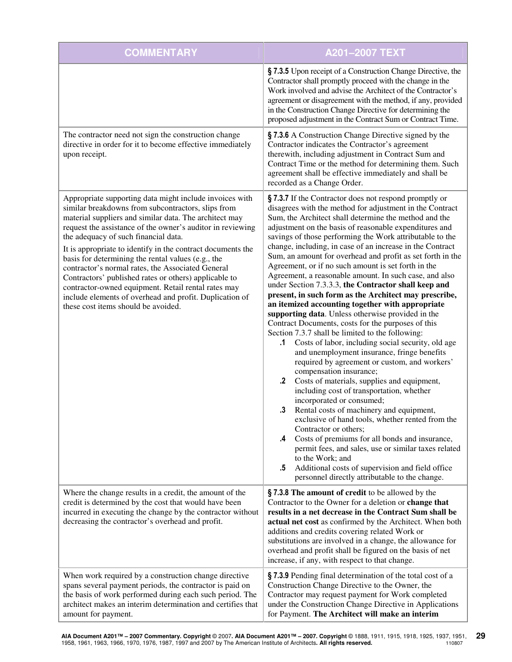| <b>COMMENTARY</b>                                                                                                                                                                                                                                                                                                                                                                                                                                                                                                                                                                                                                                                         | A201-2007 TEXT                                                                                                                                                                                                                                                                                                                                                                                                                                                                                                                                                                                                                                                                                                                                                                                                                                                                                                                                                                                                                                                                                                                                                                                                                                                                                                                                                                                                                                                                                                                                                                             |
|---------------------------------------------------------------------------------------------------------------------------------------------------------------------------------------------------------------------------------------------------------------------------------------------------------------------------------------------------------------------------------------------------------------------------------------------------------------------------------------------------------------------------------------------------------------------------------------------------------------------------------------------------------------------------|--------------------------------------------------------------------------------------------------------------------------------------------------------------------------------------------------------------------------------------------------------------------------------------------------------------------------------------------------------------------------------------------------------------------------------------------------------------------------------------------------------------------------------------------------------------------------------------------------------------------------------------------------------------------------------------------------------------------------------------------------------------------------------------------------------------------------------------------------------------------------------------------------------------------------------------------------------------------------------------------------------------------------------------------------------------------------------------------------------------------------------------------------------------------------------------------------------------------------------------------------------------------------------------------------------------------------------------------------------------------------------------------------------------------------------------------------------------------------------------------------------------------------------------------------------------------------------------------|
|                                                                                                                                                                                                                                                                                                                                                                                                                                                                                                                                                                                                                                                                           | §7.3.5 Upon receipt of a Construction Change Directive, the<br>Contractor shall promptly proceed with the change in the<br>Work involved and advise the Architect of the Contractor's<br>agreement or disagreement with the method, if any, provided<br>in the Construction Change Directive for determining the<br>proposed adjustment in the Contract Sum or Contract Time.                                                                                                                                                                                                                                                                                                                                                                                                                                                                                                                                                                                                                                                                                                                                                                                                                                                                                                                                                                                                                                                                                                                                                                                                              |
| The contractor need not sign the construction change<br>directive in order for it to become effective immediately<br>upon receipt.                                                                                                                                                                                                                                                                                                                                                                                                                                                                                                                                        | §7.3.6 A Construction Change Directive signed by the<br>Contractor indicates the Contractor's agreement<br>therewith, including adjustment in Contract Sum and<br>Contract Time or the method for determining them. Such<br>agreement shall be effective immediately and shall be<br>recorded as a Change Order.                                                                                                                                                                                                                                                                                                                                                                                                                                                                                                                                                                                                                                                                                                                                                                                                                                                                                                                                                                                                                                                                                                                                                                                                                                                                           |
| Appropriate supporting data might include invoices with<br>similar breakdowns from subcontractors, slips from<br>material suppliers and similar data. The architect may<br>request the assistance of the owner's auditor in reviewing<br>the adequacy of such financial data.<br>It is appropriate to identify in the contract documents the<br>basis for determining the rental values (e.g., the<br>contractor's normal rates, the Associated General<br>Contractors' published rates or others) applicable to<br>contractor-owned equipment. Retail rental rates may<br>include elements of overhead and profit. Duplication of<br>these cost items should be avoided. | §7.3.7 If the Contractor does not respond promptly or<br>disagrees with the method for adjustment in the Contract<br>Sum, the Architect shall determine the method and the<br>adjustment on the basis of reasonable expenditures and<br>savings of those performing the Work attributable to the<br>change, including, in case of an increase in the Contract<br>Sum, an amount for overhead and profit as set forth in the<br>Agreement, or if no such amount is set forth in the<br>Agreement, a reasonable amount. In such case, and also<br>under Section 7.3.3.3, the Contractor shall keep and<br>present, in such form as the Architect may prescribe,<br>an itemized accounting together with appropriate<br>supporting data. Unless otherwise provided in the<br>Contract Documents, costs for the purposes of this<br>Section 7.3.7 shall be limited to the following:<br>Costs of labor, including social security, old age<br>.1<br>and unemployment insurance, fringe benefits<br>required by agreement or custom, and workers'<br>compensation insurance;<br>Costs of materials, supplies and equipment,<br>$\cdot$<br>including cost of transportation, whether<br>incorporated or consumed;<br>Rental costs of machinery and equipment,<br>.3<br>exclusive of hand tools, whether rented from the<br>Contractor or others;<br>Costs of premiums for all bonds and insurance,<br>.4<br>permit fees, and sales, use or similar taxes related<br>to the Work; and<br>.5<br>Additional costs of supervision and field office<br>personnel directly attributable to the change. |
| Where the change results in a credit, the amount of the<br>credit is determined by the cost that would have been<br>incurred in executing the change by the contractor without<br>decreasing the contractor's overhead and profit.                                                                                                                                                                                                                                                                                                                                                                                                                                        | §7.3.8 The amount of credit to be allowed by the<br>Contractor to the Owner for a deletion or change that<br>results in a net decrease in the Contract Sum shall be<br>actual net cost as confirmed by the Architect. When both<br>additions and credits covering related Work or<br>substitutions are involved in a change, the allowance for<br>overhead and profit shall be figured on the basis of net<br>increase, if any, with respect to that change.                                                                                                                                                                                                                                                                                                                                                                                                                                                                                                                                                                                                                                                                                                                                                                                                                                                                                                                                                                                                                                                                                                                               |
| When work required by a construction change directive<br>spans several payment periods, the contractor is paid on<br>the basis of work performed during each such period. The<br>architect makes an interim determination and certifies that<br>amount for payment.                                                                                                                                                                                                                                                                                                                                                                                                       | §7.3.9 Pending final determination of the total cost of a<br>Construction Change Directive to the Owner, the<br>Contractor may request payment for Work completed<br>under the Construction Change Directive in Applications<br>for Payment. The Architect will make an interim                                                                                                                                                                                                                                                                                                                                                                                                                                                                                                                                                                                                                                                                                                                                                                                                                                                                                                                                                                                                                                                                                                                                                                                                                                                                                                            |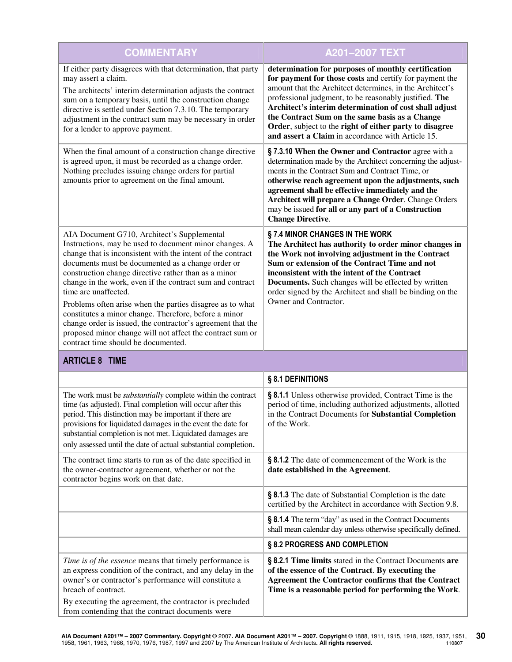| <b>COMMENTARY</b>                                                                                                                                                                                                                                                                                                                                                                                                                                                                                                                                                                                                                                               | A201-2007 TEXT                                                                                                                                                                                                                                                                                                                                                                                                                                                   |
|-----------------------------------------------------------------------------------------------------------------------------------------------------------------------------------------------------------------------------------------------------------------------------------------------------------------------------------------------------------------------------------------------------------------------------------------------------------------------------------------------------------------------------------------------------------------------------------------------------------------------------------------------------------------|------------------------------------------------------------------------------------------------------------------------------------------------------------------------------------------------------------------------------------------------------------------------------------------------------------------------------------------------------------------------------------------------------------------------------------------------------------------|
| If either party disagrees with that determination, that party<br>may assert a claim.<br>The architects' interim determination adjusts the contract<br>sum on a temporary basis, until the construction change<br>directive is settled under Section 7.3.10. The temporary<br>adjustment in the contract sum may be necessary in order<br>for a lender to approve payment.                                                                                                                                                                                                                                                                                       | determination for purposes of monthly certification<br>for payment for those costs and certify for payment the<br>amount that the Architect determines, in the Architect's<br>professional judgment, to be reasonably justified. The<br>Architect's interim determination of cost shall adjust<br>the Contract Sum on the same basis as a Change<br>Order, subject to the right of either party to disagree<br>and assert a Claim in accordance with Article 15. |
| When the final amount of a construction change directive<br>is agreed upon, it must be recorded as a change order.<br>Nothing precludes issuing change orders for partial<br>amounts prior to agreement on the final amount.                                                                                                                                                                                                                                                                                                                                                                                                                                    | §7.3.10 When the Owner and Contractor agree with a<br>determination made by the Architect concerning the adjust-<br>ments in the Contract Sum and Contract Time, or<br>otherwise reach agreement upon the adjustments, such<br>agreement shall be effective immediately and the<br>Architect will prepare a Change Order. Change Orders<br>may be issued for all or any part of a Construction<br><b>Change Directive.</b>                                       |
| AIA Document G710, Architect's Supplemental<br>Instructions, may be used to document minor changes. A<br>change that is inconsistent with the intent of the contract<br>documents must be documented as a change order or<br>construction change directive rather than as a minor<br>change in the work, even if the contract sum and contract<br>time are unaffected.<br>Problems often arise when the parties disagree as to what<br>constitutes a minor change. Therefore, before a minor<br>change order is issued, the contractor's agreement that the<br>proposed minor change will not affect the contract sum or<br>contract time should be documented. | § 7.4 MINOR CHANGES IN THE WORK<br>The Architect has authority to order minor changes in<br>the Work not involving adjustment in the Contract<br>Sum or extension of the Contract Time and not<br>inconsistent with the intent of the Contract<br>Documents. Such changes will be effected by written<br>order signed by the Architect and shall be binding on the<br>Owner and Contractor.                                                                      |

## ARTICLE 8 TIME

|                                                                                                                                                                                                                                                                                                                                                                                          | § 8.1 DEFINITIONS                                                                                                                                                                                                                  |
|------------------------------------------------------------------------------------------------------------------------------------------------------------------------------------------------------------------------------------------------------------------------------------------------------------------------------------------------------------------------------------------|------------------------------------------------------------------------------------------------------------------------------------------------------------------------------------------------------------------------------------|
| The work must be <i>substantially</i> complete within the contract<br>time (as adjusted). Final completion will occur after this<br>period. This distinction may be important if there are<br>provisions for liquidated damages in the event the date for<br>substantial completion is not met. Liquidated damages are<br>only assessed until the date of actual substantial completion. | § 8.1.1 Unless otherwise provided, Contract Time is the<br>period of time, including authorized adjustments, allotted<br>in the Contract Documents for Substantial Completion<br>of the Work.                                      |
| The contract time starts to run as of the date specified in<br>the owner-contractor agreement, whether or not the<br>contractor begins work on that date.                                                                                                                                                                                                                                | § 8.1.2 The date of commencement of the Work is the<br>date established in the Agreement.                                                                                                                                          |
|                                                                                                                                                                                                                                                                                                                                                                                          | § 8.1.3 The date of Substantial Completion is the date<br>certified by the Architect in accordance with Section 9.8.                                                                                                               |
|                                                                                                                                                                                                                                                                                                                                                                                          | § 8.1.4 The term "day" as used in the Contract Documents<br>shall mean calendar day unless otherwise specifically defined.                                                                                                         |
|                                                                                                                                                                                                                                                                                                                                                                                          | § 8.2 PROGRESS AND COMPLETION                                                                                                                                                                                                      |
| Time is of the essence means that timely performance is<br>an express condition of the contract, and any delay in the<br>owner's or contractor's performance will constitute a<br>breach of contract.<br>By executing the agreement, the contractor is precluded<br>from contending that the contract documents were                                                                     | § 8.2.1 Time limits stated in the Contract Documents are<br>of the essence of the Contract. By executing the<br><b>Agreement the Contractor confirms that the Contract</b><br>Time is a reasonable period for performing the Work. |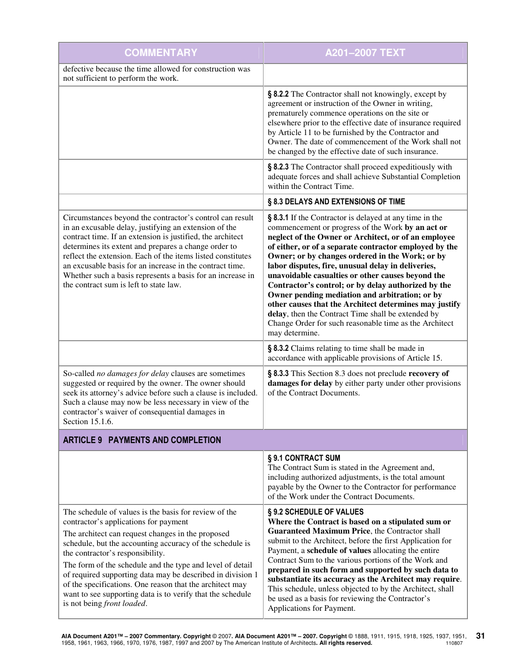| <b>COMMENTARY</b>                                                                                                                                                                                                                                                                                                                                                                                                                                                                                                                      | A201-2007 TEXT                                                                                                                                                                                                                                                                                                                                                                                                                                                                                                                                                                                                                                                                                    |
|----------------------------------------------------------------------------------------------------------------------------------------------------------------------------------------------------------------------------------------------------------------------------------------------------------------------------------------------------------------------------------------------------------------------------------------------------------------------------------------------------------------------------------------|---------------------------------------------------------------------------------------------------------------------------------------------------------------------------------------------------------------------------------------------------------------------------------------------------------------------------------------------------------------------------------------------------------------------------------------------------------------------------------------------------------------------------------------------------------------------------------------------------------------------------------------------------------------------------------------------------|
| defective because the time allowed for construction was<br>not sufficient to perform the work.                                                                                                                                                                                                                                                                                                                                                                                                                                         |                                                                                                                                                                                                                                                                                                                                                                                                                                                                                                                                                                                                                                                                                                   |
|                                                                                                                                                                                                                                                                                                                                                                                                                                                                                                                                        | § 8.2.2 The Contractor shall not knowingly, except by<br>agreement or instruction of the Owner in writing,<br>prematurely commence operations on the site or<br>elsewhere prior to the effective date of insurance required<br>by Article 11 to be furnished by the Contractor and<br>Owner. The date of commencement of the Work shall not<br>be changed by the effective date of such insurance.                                                                                                                                                                                                                                                                                                |
|                                                                                                                                                                                                                                                                                                                                                                                                                                                                                                                                        | § 8.2.3 The Contractor shall proceed expeditiously with<br>adequate forces and shall achieve Substantial Completion<br>within the Contract Time.                                                                                                                                                                                                                                                                                                                                                                                                                                                                                                                                                  |
|                                                                                                                                                                                                                                                                                                                                                                                                                                                                                                                                        | § 8.3 DELAYS AND EXTENSIONS OF TIME                                                                                                                                                                                                                                                                                                                                                                                                                                                                                                                                                                                                                                                               |
| Circumstances beyond the contractor's control can result<br>in an excusable delay, justifying an extension of the<br>contract time. If an extension is justified, the architect<br>determines its extent and prepares a change order to<br>reflect the extension. Each of the items listed constitutes<br>an excusable basis for an increase in the contract time.<br>Whether such a basis represents a basis for an increase in<br>the contract sum is left to state law.                                                             | § 8.3.1 If the Contractor is delayed at any time in the<br>commencement or progress of the Work by an act or<br>neglect of the Owner or Architect, or of an employee<br>of either, or of a separate contractor employed by the<br>Owner; or by changes ordered in the Work; or by<br>labor disputes, fire, unusual delay in deliveries,<br>unavoidable casualties or other causes beyond the<br>Contractor's control; or by delay authorized by the<br>Owner pending mediation and arbitration; or by<br>other causes that the Architect determines may justify<br>delay, then the Contract Time shall be extended by<br>Change Order for such reasonable time as the Architect<br>may determine. |
|                                                                                                                                                                                                                                                                                                                                                                                                                                                                                                                                        | § 8.3.2 Claims relating to time shall be made in<br>accordance with applicable provisions of Article 15.                                                                                                                                                                                                                                                                                                                                                                                                                                                                                                                                                                                          |
| So-called no damages for delay clauses are sometimes<br>suggested or required by the owner. The owner should<br>seek its attorney's advice before such a clause is included.<br>Such a clause may now be less necessary in view of the<br>contractor's waiver of consequential damages in<br>Section 15.1.6.                                                                                                                                                                                                                           | § 8.3.3 This Section 8.3 does not preclude recovery of<br>damages for delay by either party under other provisions<br>of the Contract Documents.                                                                                                                                                                                                                                                                                                                                                                                                                                                                                                                                                  |
| <b>ARTICLE 9 PAYMENTS AND COMPLETION</b>                                                                                                                                                                                                                                                                                                                                                                                                                                                                                               |                                                                                                                                                                                                                                                                                                                                                                                                                                                                                                                                                                                                                                                                                                   |
|                                                                                                                                                                                                                                                                                                                                                                                                                                                                                                                                        | § 9.1 CONTRACT SUM<br>The Contract Sum is stated in the Agreement and,<br>including authorized adjustments, is the total amount<br>payable by the Owner to the Contractor for performance<br>of the Work under the Contract Documents.                                                                                                                                                                                                                                                                                                                                                                                                                                                            |
| The schedule of values is the basis for review of the<br>contractor's applications for payment<br>The architect can request changes in the proposed<br>schedule, but the accounting accuracy of the schedule is<br>the contractor's responsibility.<br>The form of the schedule and the type and level of detail<br>of required supporting data may be described in division 1<br>of the specifications. One reason that the architect may<br>want to see supporting data is to verify that the schedule<br>is not being front loaded. | § 9.2 SCHEDULE OF VALUES<br>Where the Contract is based on a stipulated sum or<br>Guaranteed Maximum Price, the Contractor shall<br>submit to the Architect, before the first Application for<br>Payment, a schedule of values allocating the entire<br>Contract Sum to the various portions of the Work and<br>prepared in such form and supported by such data to<br>substantiate its accuracy as the Architect may require.<br>This schedule, unless objected to by the Architect, shall<br>be used as a basis for reviewing the Contractor's<br>Applications for Payment.                                                                                                                     |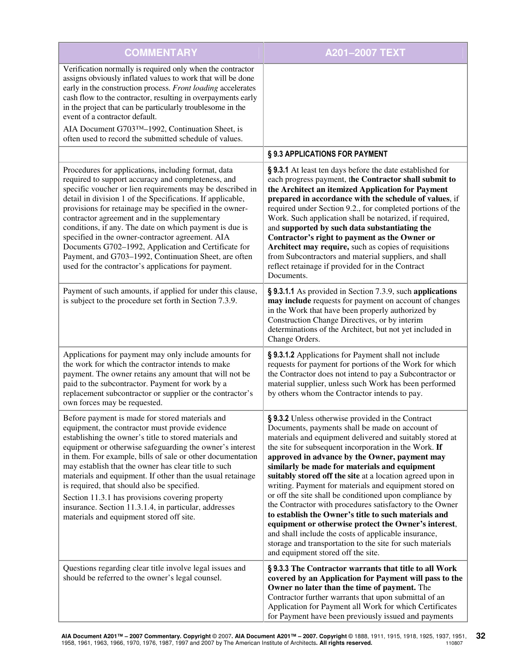| <b>COMMENTARY</b>                                                                                                                                                                                                                                                                                                                                                                                                                                                                                                                                                                                                                       | A201-2007 TEXT                                                                                                                                                                                                                                                                                                                                                                                                                                                                                                                                                                                                                                                                                                                                                                                                                                       |
|-----------------------------------------------------------------------------------------------------------------------------------------------------------------------------------------------------------------------------------------------------------------------------------------------------------------------------------------------------------------------------------------------------------------------------------------------------------------------------------------------------------------------------------------------------------------------------------------------------------------------------------------|------------------------------------------------------------------------------------------------------------------------------------------------------------------------------------------------------------------------------------------------------------------------------------------------------------------------------------------------------------------------------------------------------------------------------------------------------------------------------------------------------------------------------------------------------------------------------------------------------------------------------------------------------------------------------------------------------------------------------------------------------------------------------------------------------------------------------------------------------|
| Verification normally is required only when the contractor<br>assigns obviously inflated values to work that will be done<br>early in the construction process. Front loading accelerates<br>cash flow to the contractor, resulting in overpayments early<br>in the project that can be particularly troublesome in the<br>event of a contractor default.                                                                                                                                                                                                                                                                               |                                                                                                                                                                                                                                                                                                                                                                                                                                                                                                                                                                                                                                                                                                                                                                                                                                                      |
| AIA Document G703TM-1992, Continuation Sheet, is<br>often used to record the submitted schedule of values.                                                                                                                                                                                                                                                                                                                                                                                                                                                                                                                              |                                                                                                                                                                                                                                                                                                                                                                                                                                                                                                                                                                                                                                                                                                                                                                                                                                                      |
|                                                                                                                                                                                                                                                                                                                                                                                                                                                                                                                                                                                                                                         | § 9.3 APPLICATIONS FOR PAYMENT                                                                                                                                                                                                                                                                                                                                                                                                                                                                                                                                                                                                                                                                                                                                                                                                                       |
| Procedures for applications, including format, data<br>required to support accuracy and completeness, and<br>specific voucher or lien requirements may be described in<br>detail in division 1 of the Specifications. If applicable,<br>provisions for retainage may be specified in the owner-<br>contractor agreement and in the supplementary<br>conditions, if any. The date on which payment is due is<br>specified in the owner-contractor agreement. AIA<br>Documents G702-1992, Application and Certificate for<br>Payment, and G703-1992, Continuation Sheet, are often<br>used for the contractor's applications for payment. | § 9.3.1 At least ten days before the date established for<br>each progress payment, the Contractor shall submit to<br>the Architect an itemized Application for Payment<br>prepared in accordance with the schedule of values, if<br>required under Section 9.2., for completed portions of the<br>Work. Such application shall be notarized, if required,<br>and supported by such data substantiating the<br>Contractor's right to payment as the Owner or<br>Architect may require, such as copies of requisitions<br>from Subcontractors and material suppliers, and shall<br>reflect retainage if provided for in the Contract<br>Documents.                                                                                                                                                                                                    |
| Payment of such amounts, if applied for under this clause,<br>is subject to the procedure set forth in Section 7.3.9.                                                                                                                                                                                                                                                                                                                                                                                                                                                                                                                   | § 9.3.1.1 As provided in Section 7.3.9, such applications<br>may include requests for payment on account of changes<br>in the Work that have been properly authorized by<br>Construction Change Directives, or by interim<br>determinations of the Architect, but not yet included in<br>Change Orders.                                                                                                                                                                                                                                                                                                                                                                                                                                                                                                                                              |
| Applications for payment may only include amounts for<br>the work for which the contractor intends to make<br>payment. The owner retains any amount that will not be<br>paid to the subcontractor. Payment for work by a<br>replacement subcontractor or supplier or the contractor's<br>own forces may be requested.                                                                                                                                                                                                                                                                                                                   | § 9.3.1.2 Applications for Payment shall not include<br>requests for payment for portions of the Work for which<br>the Contractor does not intend to pay a Subcontractor or<br>material supplier, unless such Work has been performed<br>by others whom the Contractor intends to pay.                                                                                                                                                                                                                                                                                                                                                                                                                                                                                                                                                               |
| Before payment is made for stored materials and<br>equipment, the contractor must provide evidence<br>establishing the owner's title to stored materials and<br>equipment or otherwise safeguarding the owner's interest<br>in them. For example, bills of sale or other documentation<br>may establish that the owner has clear title to such<br>materials and equipment. If other than the usual retainage<br>is required, that should also be specified.<br>Section 11.3.1 has provisions covering property<br>insurance. Section 11.3.1.4, in particular, addresses<br>materials and equipment stored off site.                     | § 9.3.2 Unless otherwise provided in the Contract<br>Documents, payments shall be made on account of<br>materials and equipment delivered and suitably stored at<br>the site for subsequent incorporation in the Work. If<br>approved in advance by the Owner, payment may<br>similarly be made for materials and equipment<br>suitably stored off the site at a location agreed upon in<br>writing. Payment for materials and equipment stored on<br>or off the site shall be conditioned upon compliance by<br>the Contractor with procedures satisfactory to the Owner<br>to establish the Owner's title to such materials and<br>equipment or otherwise protect the Owner's interest,<br>and shall include the costs of applicable insurance,<br>storage and transportation to the site for such materials<br>and equipment stored off the site. |
| Questions regarding clear title involve legal issues and<br>should be referred to the owner's legal counsel.                                                                                                                                                                                                                                                                                                                                                                                                                                                                                                                            | §9.3.3 The Contractor warrants that title to all Work<br>covered by an Application for Payment will pass to the<br>Owner no later than the time of payment. The<br>Contractor further warrants that upon submittal of an<br>Application for Payment all Work for which Certificates<br>for Payment have been previously issued and payments                                                                                                                                                                                                                                                                                                                                                                                                                                                                                                          |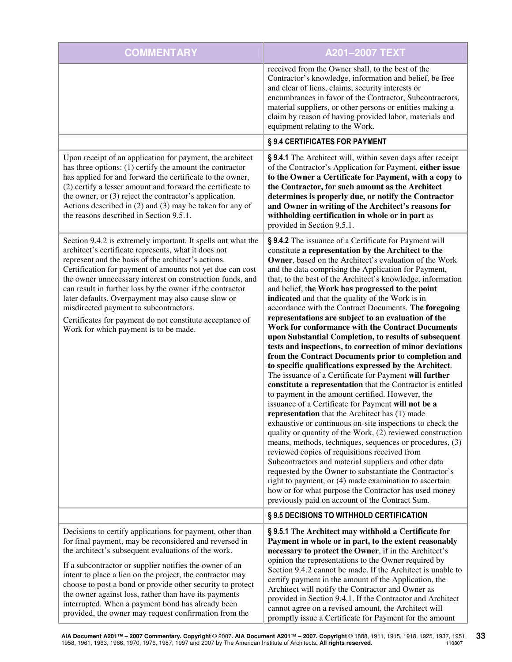| <b>COMMENTARY</b>                                                                                                                                                                                                                                                                                                                                                                                                                                                                                                                                                       | A201-2007 TEXT                                                                                                                                                                                                                                                                                                                                                                                                                                                                                                                                                                                                                                                                                                                                                                                                                                                                                                                                                                                                                                                                                                                                                                                                                                                                                                                                                                                                                                                                                                                                                                                                                                |
|-------------------------------------------------------------------------------------------------------------------------------------------------------------------------------------------------------------------------------------------------------------------------------------------------------------------------------------------------------------------------------------------------------------------------------------------------------------------------------------------------------------------------------------------------------------------------|-----------------------------------------------------------------------------------------------------------------------------------------------------------------------------------------------------------------------------------------------------------------------------------------------------------------------------------------------------------------------------------------------------------------------------------------------------------------------------------------------------------------------------------------------------------------------------------------------------------------------------------------------------------------------------------------------------------------------------------------------------------------------------------------------------------------------------------------------------------------------------------------------------------------------------------------------------------------------------------------------------------------------------------------------------------------------------------------------------------------------------------------------------------------------------------------------------------------------------------------------------------------------------------------------------------------------------------------------------------------------------------------------------------------------------------------------------------------------------------------------------------------------------------------------------------------------------------------------------------------------------------------------|
|                                                                                                                                                                                                                                                                                                                                                                                                                                                                                                                                                                         | received from the Owner shall, to the best of the<br>Contractor's knowledge, information and belief, be free<br>and clear of liens, claims, security interests or<br>encumbrances in favor of the Contractor, Subcontractors,<br>material suppliers, or other persons or entities making a<br>claim by reason of having provided labor, materials and<br>equipment relating to the Work.                                                                                                                                                                                                                                                                                                                                                                                                                                                                                                                                                                                                                                                                                                                                                                                                                                                                                                                                                                                                                                                                                                                                                                                                                                                      |
|                                                                                                                                                                                                                                                                                                                                                                                                                                                                                                                                                                         | § 9.4 CERTIFICATES FOR PAYMENT                                                                                                                                                                                                                                                                                                                                                                                                                                                                                                                                                                                                                                                                                                                                                                                                                                                                                                                                                                                                                                                                                                                                                                                                                                                                                                                                                                                                                                                                                                                                                                                                                |
| Upon receipt of an application for payment, the architect<br>has three options: (1) certify the amount the contractor<br>has applied for and forward the certificate to the owner,<br>(2) certify a lesser amount and forward the certificate to<br>the owner, or $(3)$ reject the contractor's application.<br>Actions described in $(2)$ and $(3)$ may be taken for any of<br>the reasons described in Section 9.5.1.                                                                                                                                                 | § 9.4.1 The Architect will, within seven days after receipt<br>of the Contractor's Application for Payment, either issue<br>to the Owner a Certificate for Payment, with a copy to<br>the Contractor, for such amount as the Architect<br>determines is properly due, or notify the Contractor<br>and Owner in writing of the Architect's reasons for<br>withholding certification in whole or in part as<br>provided in Section 9.5.1.                                                                                                                                                                                                                                                                                                                                                                                                                                                                                                                                                                                                                                                                                                                                                                                                                                                                                                                                                                                                                                                                                                                                                                                                       |
| Section 9.4.2 is extremely important. It spells out what the<br>architect's certificate represents, what it does not<br>represent and the basis of the architect's actions.<br>Certification for payment of amounts not yet due can cost<br>the owner unnecessary interest on construction funds, and<br>can result in further loss by the owner if the contractor<br>later defaults. Overpayment may also cause slow or<br>misdirected payment to subcontractors.<br>Certificates for payment do not constitute acceptance of<br>Work for which payment is to be made. | §9.4.2 The issuance of a Certificate for Payment will<br>constitute a representation by the Architect to the<br>Owner, based on the Architect's evaluation of the Work<br>and the data comprising the Application for Payment,<br>that, to the best of the Architect's knowledge, information<br>and belief, the Work has progressed to the point<br>indicated and that the quality of the Work is in<br>accordance with the Contract Documents. The foregoing<br>representations are subject to an evaluation of the<br>Work for conformance with the Contract Documents<br>upon Substantial Completion, to results of subsequent<br>tests and inspections, to correction of minor deviations<br>from the Contract Documents prior to completion and<br>to specific qualifications expressed by the Architect.<br>The issuance of a Certificate for Payment will further<br>constitute a representation that the Contractor is entitled<br>to payment in the amount certified. However, the<br>issuance of a Certificate for Payment will not be a<br><b>representation</b> that the Architect has (1) made<br>exhaustive or continuous on-site inspections to check the<br>quality or quantity of the Work, (2) reviewed construction<br>means, methods, techniques, sequences or procedures, (3)<br>reviewed copies of requisitions received from<br>Subcontractors and material suppliers and other data<br>requested by the Owner to substantiate the Contractor's<br>right to payment, or (4) made examination to ascertain<br>how or for what purpose the Contractor has used money<br>previously paid on account of the Contract Sum. |
|                                                                                                                                                                                                                                                                                                                                                                                                                                                                                                                                                                         | § 9.5 DECISIONS TO WITHHOLD CERTIFICATION                                                                                                                                                                                                                                                                                                                                                                                                                                                                                                                                                                                                                                                                                                                                                                                                                                                                                                                                                                                                                                                                                                                                                                                                                                                                                                                                                                                                                                                                                                                                                                                                     |
| Decisions to certify applications for payment, other than<br>for final payment, may be reconsidered and reversed in<br>the architect's subsequent evaluations of the work.<br>If a subcontractor or supplier notifies the owner of an<br>intent to place a lien on the project, the contractor may<br>choose to post a bond or provide other security to protect<br>the owner against loss, rather than have its payments<br>interrupted. When a payment bond has already been<br>provided, the owner may request confirmation from the                                 | §9.5.1 The Architect may withhold a Certificate for<br>Payment in whole or in part, to the extent reasonably<br>necessary to protect the Owner, if in the Architect's<br>opinion the representations to the Owner required by<br>Section 9.4.2 cannot be made. If the Architect is unable to<br>certify payment in the amount of the Application, the<br>Architect will notify the Contractor and Owner as<br>provided in Section 9.4.1. If the Contractor and Architect<br>cannot agree on a revised amount, the Architect will<br>promptly issue a Certificate for Payment for the amount                                                                                                                                                                                                                                                                                                                                                                                                                                                                                                                                                                                                                                                                                                                                                                                                                                                                                                                                                                                                                                                   |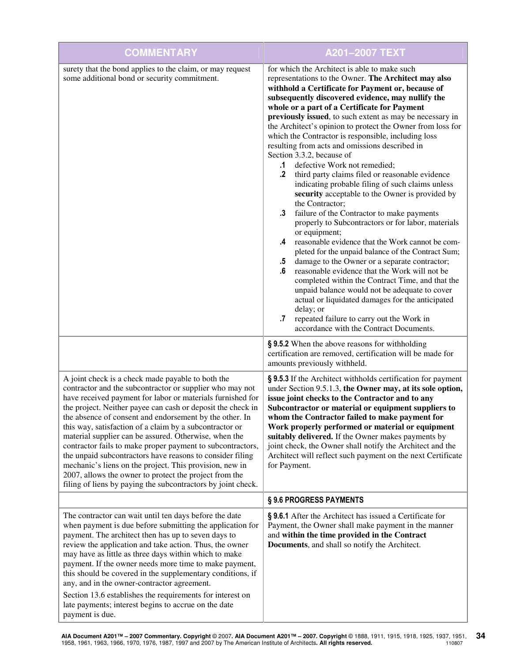| <b>COMMENTARY</b>                                                                                                                                                                                                                                                                                                                                                                                                                                                                                                                                                                                                                                                                                                                         | A201-2007 TEXT                                                                                                                                                                                                                                                                                                                                                                                                                                                                                                                                                                                                                                                                                                                                                                                                                                                                                                                                                                                                                                                                                                                                                                                                                                                                                                                                                                                |
|-------------------------------------------------------------------------------------------------------------------------------------------------------------------------------------------------------------------------------------------------------------------------------------------------------------------------------------------------------------------------------------------------------------------------------------------------------------------------------------------------------------------------------------------------------------------------------------------------------------------------------------------------------------------------------------------------------------------------------------------|-----------------------------------------------------------------------------------------------------------------------------------------------------------------------------------------------------------------------------------------------------------------------------------------------------------------------------------------------------------------------------------------------------------------------------------------------------------------------------------------------------------------------------------------------------------------------------------------------------------------------------------------------------------------------------------------------------------------------------------------------------------------------------------------------------------------------------------------------------------------------------------------------------------------------------------------------------------------------------------------------------------------------------------------------------------------------------------------------------------------------------------------------------------------------------------------------------------------------------------------------------------------------------------------------------------------------------------------------------------------------------------------------|
| surety that the bond applies to the claim, or may request<br>some additional bond or security commitment.                                                                                                                                                                                                                                                                                                                                                                                                                                                                                                                                                                                                                                 | for which the Architect is able to make such<br>representations to the Owner. The Architect may also<br>withhold a Certificate for Payment or, because of<br>subsequently discovered evidence, may nullify the<br>whole or a part of a Certificate for Payment<br>previously issued, to such extent as may be necessary in<br>the Architect's opinion to protect the Owner from loss for<br>which the Contractor is responsible, including loss<br>resulting from acts and omissions described in<br>Section 3.3.2, because of<br>defective Work not remedied;<br>.1<br>third party claims filed or reasonable evidence<br>$\cdot$<br>indicating probable filing of such claims unless<br>security acceptable to the Owner is provided by<br>the Contractor;<br>.3<br>failure of the Contractor to make payments<br>properly to Subcontractors or for labor, materials<br>or equipment;<br>reasonable evidence that the Work cannot be com-<br>.4<br>pleted for the unpaid balance of the Contract Sum;<br>damage to the Owner or a separate contractor;<br>$.5\,$<br>reasonable evidence that the Work will not be<br>.6<br>completed within the Contract Time, and that the<br>unpaid balance would not be adequate to cover<br>actual or liquidated damages for the anticipated<br>delay; or<br>repeated failure to carry out the Work in<br>.7<br>accordance with the Contract Documents. |
|                                                                                                                                                                                                                                                                                                                                                                                                                                                                                                                                                                                                                                                                                                                                           | §9.5.2 When the above reasons for withholding<br>certification are removed, certification will be made for<br>amounts previously withheld.                                                                                                                                                                                                                                                                                                                                                                                                                                                                                                                                                                                                                                                                                                                                                                                                                                                                                                                                                                                                                                                                                                                                                                                                                                                    |
| A joint check is a check made payable to both the<br>contractor and the subcontractor or supplier who may not<br>have received payment for labor or materials furnished for<br>the project. Neither payee can cash or deposit the check in<br>the absence of consent and endorsement by the other. In<br>this way, satisfaction of a claim by a subcontractor or<br>material supplier can be assured. Otherwise, when the<br>contractor fails to make proper payment to subcontractors,<br>the unpaid subcontractors have reasons to consider filing<br>mechanic's liens on the project. This provision, new in<br>2007, allows the owner to protect the project from the<br>filing of liens by paying the subcontractors by joint check. | § 9.5.3 If the Architect withholds certification for payment<br>under Section 9.5.1.3, the Owner may, at its sole option,<br>issue joint checks to the Contractor and to any<br>Subcontractor or material or equipment suppliers to<br>whom the Contractor failed to make payment for<br>Work properly performed or material or equipment<br>suitably delivered. If the Owner makes payments by<br>joint check, the Owner shall notify the Architect and the<br>Architect will reflect such payment on the next Certificate<br>for Payment.                                                                                                                                                                                                                                                                                                                                                                                                                                                                                                                                                                                                                                                                                                                                                                                                                                                   |
|                                                                                                                                                                                                                                                                                                                                                                                                                                                                                                                                                                                                                                                                                                                                           | § 9.6 PROGRESS PAYMENTS                                                                                                                                                                                                                                                                                                                                                                                                                                                                                                                                                                                                                                                                                                                                                                                                                                                                                                                                                                                                                                                                                                                                                                                                                                                                                                                                                                       |
| The contractor can wait until ten days before the date<br>when payment is due before submitting the application for<br>payment. The architect then has up to seven days to<br>review the application and take action. Thus, the owner<br>may have as little as three days within which to make<br>payment. If the owner needs more time to make payment,<br>this should be covered in the supplementary conditions, if<br>any, and in the owner-contractor agreement.<br>Section 13.6 establishes the requirements for interest on<br>late payments; interest begins to accrue on the date<br>payment is due.                                                                                                                             | §9.6.1 After the Architect has issued a Certificate for<br>Payment, the Owner shall make payment in the manner<br>and within the time provided in the Contract<br>Documents, and shall so notify the Architect.                                                                                                                                                                                                                                                                                                                                                                                                                                                                                                                                                                                                                                                                                                                                                                                                                                                                                                                                                                                                                                                                                                                                                                               |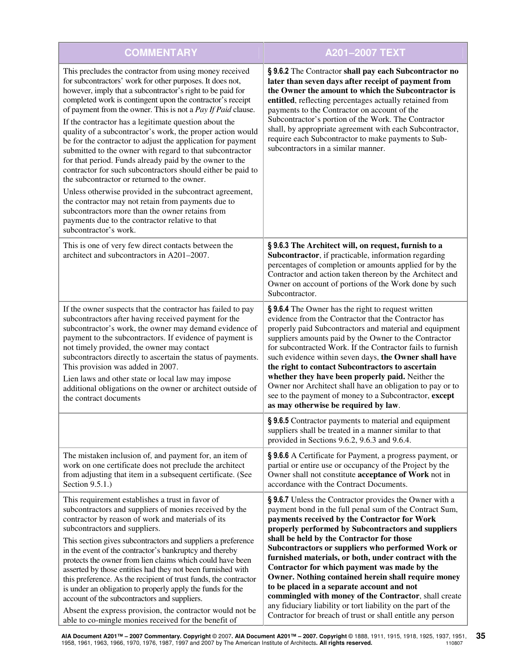| <b>COMMENTARY</b>                                                                                                                                                                                                                                                                                                                                                                                                                                                                                                                                                                                                                                                                                                                                                                                                                                                                                                                                                                           | A201-2007 TEXT                                                                                                                                                                                                                                                                                                                                                                                                                                                                                                                                                                                                                                                                                                                  |
|---------------------------------------------------------------------------------------------------------------------------------------------------------------------------------------------------------------------------------------------------------------------------------------------------------------------------------------------------------------------------------------------------------------------------------------------------------------------------------------------------------------------------------------------------------------------------------------------------------------------------------------------------------------------------------------------------------------------------------------------------------------------------------------------------------------------------------------------------------------------------------------------------------------------------------------------------------------------------------------------|---------------------------------------------------------------------------------------------------------------------------------------------------------------------------------------------------------------------------------------------------------------------------------------------------------------------------------------------------------------------------------------------------------------------------------------------------------------------------------------------------------------------------------------------------------------------------------------------------------------------------------------------------------------------------------------------------------------------------------|
| This precludes the contractor from using money received<br>for subcontractors' work for other purposes. It does not,<br>however, imply that a subcontractor's right to be paid for<br>completed work is contingent upon the contractor's receipt<br>of payment from the owner. This is not a Pay If Paid clause.<br>If the contractor has a legitimate question about the<br>quality of a subcontractor's work, the proper action would<br>be for the contractor to adjust the application for payment<br>submitted to the owner with regard to that subcontractor<br>for that period. Funds already paid by the owner to the<br>contractor for such subcontractors should either be paid to<br>the subcontractor or returned to the owner.<br>Unless otherwise provided in the subcontract agreement,<br>the contractor may not retain from payments due to<br>subcontractors more than the owner retains from<br>payments due to the contractor relative to that<br>subcontractor's work. | § 9.6.2 The Contractor shall pay each Subcontractor no<br>later than seven days after receipt of payment from<br>the Owner the amount to which the Subcontractor is<br>entitled, reflecting percentages actually retained from<br>payments to the Contractor on account of the<br>Subcontractor's portion of the Work. The Contractor<br>shall, by appropriate agreement with each Subcontractor,<br>require each Subcontractor to make payments to Sub-<br>subcontractors in a similar manner.                                                                                                                                                                                                                                 |
| This is one of very few direct contacts between the<br>architect and subcontractors in A201-2007.                                                                                                                                                                                                                                                                                                                                                                                                                                                                                                                                                                                                                                                                                                                                                                                                                                                                                           | §9.6.3 The Architect will, on request, furnish to a<br>Subcontractor, if practicable, information regarding<br>percentages of completion or amounts applied for by the<br>Contractor and action taken thereon by the Architect and<br>Owner on account of portions of the Work done by such<br>Subcontractor.                                                                                                                                                                                                                                                                                                                                                                                                                   |
| If the owner suspects that the contractor has failed to pay<br>subcontractors after having received payment for the<br>subcontractor's work, the owner may demand evidence of<br>payment to the subcontractors. If evidence of payment is<br>not timely provided, the owner may contact<br>subcontractors directly to ascertain the status of payments.<br>This provision was added in 2007.<br>Lien laws and other state or local law may impose<br>additional obligations on the owner or architect outside of<br>the contract documents                                                                                                                                                                                                                                                                                                                                                                                                                                                  | § 9.6.4 The Owner has the right to request written<br>evidence from the Contractor that the Contractor has<br>properly paid Subcontractors and material and equipment<br>suppliers amounts paid by the Owner to the Contractor<br>for subcontracted Work. If the Contractor fails to furnish<br>such evidence within seven days, the Owner shall have<br>the right to contact Subcontractors to ascertain<br>whether they have been properly paid. Neither the<br>Owner nor Architect shall have an obligation to pay or to<br>see to the payment of money to a Subcontractor, except<br>as may otherwise be required by law.                                                                                                   |
|                                                                                                                                                                                                                                                                                                                                                                                                                                                                                                                                                                                                                                                                                                                                                                                                                                                                                                                                                                                             | § 9.6.5 Contractor payments to material and equipment<br>suppliers shall be treated in a manner similar to that<br>provided in Sections 9.6.2, 9.6.3 and 9.6.4.                                                                                                                                                                                                                                                                                                                                                                                                                                                                                                                                                                 |
| The mistaken inclusion of, and payment for, an item of<br>work on one certificate does not preclude the architect<br>from adjusting that item in a subsequent certificate. (See<br>Section 9.5.1.)                                                                                                                                                                                                                                                                                                                                                                                                                                                                                                                                                                                                                                                                                                                                                                                          | § 9.6.6 A Certificate for Payment, a progress payment, or<br>partial or entire use or occupancy of the Project by the<br>Owner shall not constitute acceptance of Work not in<br>accordance with the Contract Documents.                                                                                                                                                                                                                                                                                                                                                                                                                                                                                                        |
| This requirement establishes a trust in favor of<br>subcontractors and suppliers of monies received by the<br>contractor by reason of work and materials of its<br>subcontractors and suppliers.<br>This section gives subcontractors and suppliers a preference<br>in the event of the contractor's bankruptcy and thereby<br>protects the owner from lien claims which could have been<br>asserted by those entities had they not been furnished with<br>this preference. As the recipient of trust funds, the contractor<br>is under an obligation to properly apply the funds for the<br>account of the subcontractors and suppliers.<br>Absent the express provision, the contractor would not be<br>able to co-mingle monies received for the benefit of                                                                                                                                                                                                                              | § 9.6.7 Unless the Contractor provides the Owner with a<br>payment bond in the full penal sum of the Contract Sum,<br>payments received by the Contractor for Work<br>properly performed by Subcontractors and suppliers<br>shall be held by the Contractor for those<br>Subcontractors or suppliers who performed Work or<br>furnished materials, or both, under contract with the<br>Contractor for which payment was made by the<br>Owner. Nothing contained herein shall require money<br>to be placed in a separate account and not<br>commingled with money of the Contractor, shall create<br>any fiduciary liability or tort liability on the part of the<br>Contractor for breach of trust or shall entitle any person |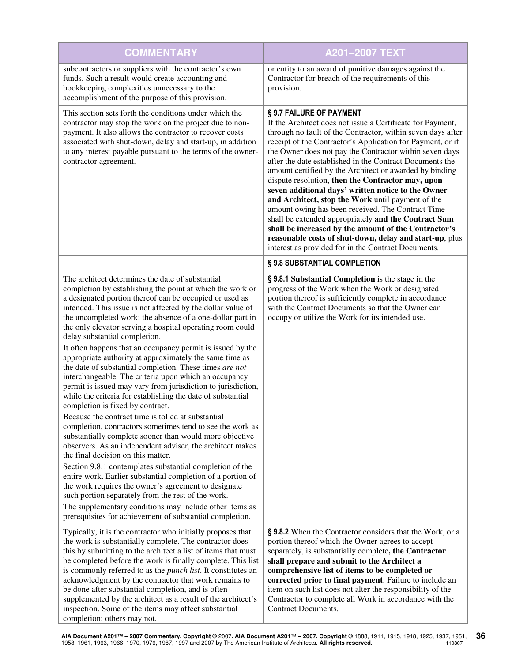| <b>COMMENTARY</b>                                                                                                                                                                                                                                                                                                                                                                                                                                                                                                                                                                                                                                                                                                                                                                                                                                                                                                                                                                                                                                                                                                                                                                                                                                                                                                                                                                                                                                                   | A201-2007 TEXT                                                                                                                                                                                                                                                                                                                                                                                                                                                                                                                                                                                                                                                                                                                                                                                                                                               |
|---------------------------------------------------------------------------------------------------------------------------------------------------------------------------------------------------------------------------------------------------------------------------------------------------------------------------------------------------------------------------------------------------------------------------------------------------------------------------------------------------------------------------------------------------------------------------------------------------------------------------------------------------------------------------------------------------------------------------------------------------------------------------------------------------------------------------------------------------------------------------------------------------------------------------------------------------------------------------------------------------------------------------------------------------------------------------------------------------------------------------------------------------------------------------------------------------------------------------------------------------------------------------------------------------------------------------------------------------------------------------------------------------------------------------------------------------------------------|--------------------------------------------------------------------------------------------------------------------------------------------------------------------------------------------------------------------------------------------------------------------------------------------------------------------------------------------------------------------------------------------------------------------------------------------------------------------------------------------------------------------------------------------------------------------------------------------------------------------------------------------------------------------------------------------------------------------------------------------------------------------------------------------------------------------------------------------------------------|
| subcontractors or suppliers with the contractor's own<br>funds. Such a result would create accounting and<br>bookkeeping complexities unnecessary to the<br>accomplishment of the purpose of this provision.                                                                                                                                                                                                                                                                                                                                                                                                                                                                                                                                                                                                                                                                                                                                                                                                                                                                                                                                                                                                                                                                                                                                                                                                                                                        | or entity to an award of punitive damages against the<br>Contractor for breach of the requirements of this<br>provision.                                                                                                                                                                                                                                                                                                                                                                                                                                                                                                                                                                                                                                                                                                                                     |
| This section sets forth the conditions under which the<br>contractor may stop the work on the project due to non-<br>payment. It also allows the contractor to recover costs<br>associated with shut-down, delay and start-up, in addition<br>to any interest payable pursuant to the terms of the owner-<br>contractor agreement.                                                                                                                                                                                                                                                                                                                                                                                                                                                                                                                                                                                                                                                                                                                                                                                                                                                                                                                                                                                                                                                                                                                                  | § 9.7 FAILURE OF PAYMENT<br>If the Architect does not issue a Certificate for Payment,<br>through no fault of the Contractor, within seven days after<br>receipt of the Contractor's Application for Payment, or if<br>the Owner does not pay the Contractor within seven days<br>after the date established in the Contract Documents the<br>amount certified by the Architect or awarded by binding<br>dispute resolution, then the Contractor may, upon<br>seven additional days' written notice to the Owner<br>and Architect, stop the Work until payment of the<br>amount owing has been received. The Contract Time<br>shall be extended appropriately and the Contract Sum<br>shall be increased by the amount of the Contractor's<br>reasonable costs of shut-down, delay and start-up, plus<br>interest as provided for in the Contract Documents. |
|                                                                                                                                                                                                                                                                                                                                                                                                                                                                                                                                                                                                                                                                                                                                                                                                                                                                                                                                                                                                                                                                                                                                                                                                                                                                                                                                                                                                                                                                     | § 9.8 SUBSTANTIAL COMPLETION                                                                                                                                                                                                                                                                                                                                                                                                                                                                                                                                                                                                                                                                                                                                                                                                                                 |
| The architect determines the date of substantial<br>completion by establishing the point at which the work or<br>a designated portion thereof can be occupied or used as<br>intended. This issue is not affected by the dollar value of<br>the uncompleted work; the absence of a one-dollar part in<br>the only elevator serving a hospital operating room could<br>delay substantial completion.<br>It often happens that an occupancy permit is issued by the<br>appropriate authority at approximately the same time as<br>the date of substantial completion. These times are not<br>interchangeable. The criteria upon which an occupancy<br>permit is issued may vary from jurisdiction to jurisdiction,<br>while the criteria for establishing the date of substantial<br>completion is fixed by contract.<br>Because the contract time is tolled at substantial<br>completion, contractors sometimes tend to see the work as<br>substantially complete sooner than would more objective<br>observers. As an independent adviser, the architect makes<br>the final decision on this matter.<br>Section 9.8.1 contemplates substantial completion of the<br>entire work. Earlier substantial completion of a portion of<br>the work requires the owner's agreement to designate<br>such portion separately from the rest of the work.<br>The supplementary conditions may include other items as<br>prerequisites for achievement of substantial completion. | § 9.8.1 Substantial Completion is the stage in the<br>progress of the Work when the Work or designated<br>portion thereof is sufficiently complete in accordance<br>with the Contract Documents so that the Owner can<br>occupy or utilize the Work for its intended use.                                                                                                                                                                                                                                                                                                                                                                                                                                                                                                                                                                                    |
| Typically, it is the contractor who initially proposes that<br>the work is substantially complete. The contractor does<br>this by submitting to the architect a list of items that must<br>be completed before the work is finally complete. This list<br>is commonly referred to as the <i>punch list</i> . It constitutes an<br>acknowledgment by the contractor that work remains to<br>be done after substantial completion, and is often<br>supplemented by the architect as a result of the architect's<br>inspection. Some of the items may affect substantial<br>completion; others may not.                                                                                                                                                                                                                                                                                                                                                                                                                                                                                                                                                                                                                                                                                                                                                                                                                                                                | §9.8.2 When the Contractor considers that the Work, or a<br>portion thereof which the Owner agrees to accept<br>separately, is substantially complete, the Contractor<br>shall prepare and submit to the Architect a<br>comprehensive list of items to be completed or<br>corrected prior to final payment. Failure to include an<br>item on such list does not alter the responsibility of the<br>Contractor to complete all Work in accordance with the<br><b>Contract Documents.</b>                                                                                                                                                                                                                                                                                                                                                                      |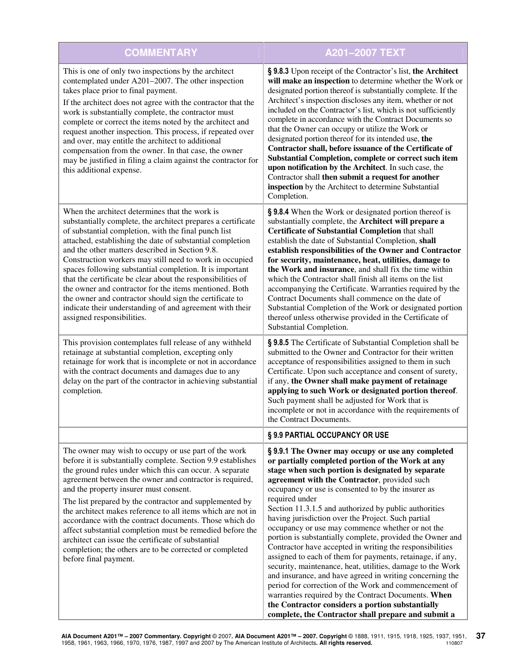| <b>COMMENTARY</b>                                                                                                                                                                                                                                                                                                                                                                                                                                                                                                                                                                                                                                                                           | A201-2007 TEXT                                                                                                                                                                                                                                                                                                                                                                                                                                                                                                                                                                                                                                                                                                                                                                                                                                                                                                                                                                                   |
|---------------------------------------------------------------------------------------------------------------------------------------------------------------------------------------------------------------------------------------------------------------------------------------------------------------------------------------------------------------------------------------------------------------------------------------------------------------------------------------------------------------------------------------------------------------------------------------------------------------------------------------------------------------------------------------------|--------------------------------------------------------------------------------------------------------------------------------------------------------------------------------------------------------------------------------------------------------------------------------------------------------------------------------------------------------------------------------------------------------------------------------------------------------------------------------------------------------------------------------------------------------------------------------------------------------------------------------------------------------------------------------------------------------------------------------------------------------------------------------------------------------------------------------------------------------------------------------------------------------------------------------------------------------------------------------------------------|
| This is one of only two inspections by the architect<br>contemplated under A201-2007. The other inspection<br>takes place prior to final payment.<br>If the architect does not agree with the contractor that the<br>work is substantially complete, the contractor must<br>complete or correct the items noted by the architect and<br>request another inspection. This process, if repeated over<br>and over, may entitle the architect to additional<br>compensation from the owner. In that case, the owner<br>may be justified in filing a claim against the contractor for<br>this additional expense.                                                                                | § 9.8.3 Upon receipt of the Contractor's list, the Architect<br>will make an inspection to determine whether the Work or<br>designated portion thereof is substantially complete. If the<br>Architect's inspection discloses any item, whether or not<br>included on the Contractor's list, which is not sufficiently<br>complete in accordance with the Contract Documents so<br>that the Owner can occupy or utilize the Work or<br>designated portion thereof for its intended use, the<br>Contractor shall, before issuance of the Certificate of<br>Substantial Completion, complete or correct such item<br>upon notification by the Architect. In such case, the<br>Contractor shall then submit a request for another<br>inspection by the Architect to determine Substantial<br>Completion.                                                                                                                                                                                             |
| When the architect determines that the work is<br>substantially complete, the architect prepares a certificate<br>of substantial completion, with the final punch list<br>attached, establishing the date of substantial completion<br>and the other matters described in Section 9.8.<br>Construction workers may still need to work in occupied<br>spaces following substantial completion. It is important<br>that the certificate be clear about the responsibilities of<br>the owner and contractor for the items mentioned. Both<br>the owner and contractor should sign the certificate to<br>indicate their understanding of and agreement with their<br>assigned responsibilities. | § 9.8.4 When the Work or designated portion thereof is<br>substantially complete, the Architect will prepare a<br><b>Certificate of Substantial Completion that shall</b><br>establish the date of Substantial Completion, shall<br>establish responsibilities of the Owner and Contractor<br>for security, maintenance, heat, utilities, damage to<br>the Work and insurance, and shall fix the time within<br>which the Contractor shall finish all items on the list<br>accompanying the Certificate. Warranties required by the<br>Contract Documents shall commence on the date of<br>Substantial Completion of the Work or designated portion<br>thereof unless otherwise provided in the Certificate of<br>Substantial Completion.                                                                                                                                                                                                                                                        |
| This provision contemplates full release of any withheld<br>retainage at substantial completion, excepting only<br>retainage for work that is incomplete or not in accordance<br>with the contract documents and damages due to any<br>delay on the part of the contractor in achieving substantial<br>completion.                                                                                                                                                                                                                                                                                                                                                                          | § 9.8.5 The Certificate of Substantial Completion shall be<br>submitted to the Owner and Contractor for their written<br>acceptance of responsibilities assigned to them in such<br>Certificate. Upon such acceptance and consent of surety,<br>if any, the Owner shall make payment of retainage<br>applying to such Work or designated portion thereof.<br>Such payment shall be adjusted for Work that is<br>incomplete or not in accordance with the requirements of<br>the Contract Documents.                                                                                                                                                                                                                                                                                                                                                                                                                                                                                              |
|                                                                                                                                                                                                                                                                                                                                                                                                                                                                                                                                                                                                                                                                                             | § 9.9 PARTIAL OCCUPANCY OR USE                                                                                                                                                                                                                                                                                                                                                                                                                                                                                                                                                                                                                                                                                                                                                                                                                                                                                                                                                                   |
| The owner may wish to occupy or use part of the work<br>before it is substantially complete. Section 9.9 establishes<br>the ground rules under which this can occur. A separate<br>agreement between the owner and contractor is required,<br>and the property insurer must consent.<br>The list prepared by the contractor and supplemented by<br>the architect makes reference to all items which are not in<br>accordance with the contract documents. Those which do<br>affect substantial completion must be remedied before the<br>architect can issue the certificate of substantial<br>completion; the others are to be corrected or completed<br>before final payment.             | §9.9.1 The Owner may occupy or use any completed<br>or partially completed portion of the Work at any<br>stage when such portion is designated by separate<br>agreement with the Contractor, provided such<br>occupancy or use is consented to by the insurer as<br>required under<br>Section 11.3.1.5 and authorized by public authorities<br>having jurisdiction over the Project. Such partial<br>occupancy or use may commence whether or not the<br>portion is substantially complete, provided the Owner and<br>Contractor have accepted in writing the responsibilities<br>assigned to each of them for payments, retainage, if any,<br>security, maintenance, heat, utilities, damage to the Work<br>and insurance, and have agreed in writing concerning the<br>period for correction of the Work and commencement of<br>warranties required by the Contract Documents. When<br>the Contractor considers a portion substantially<br>complete, the Contractor shall prepare and submit a |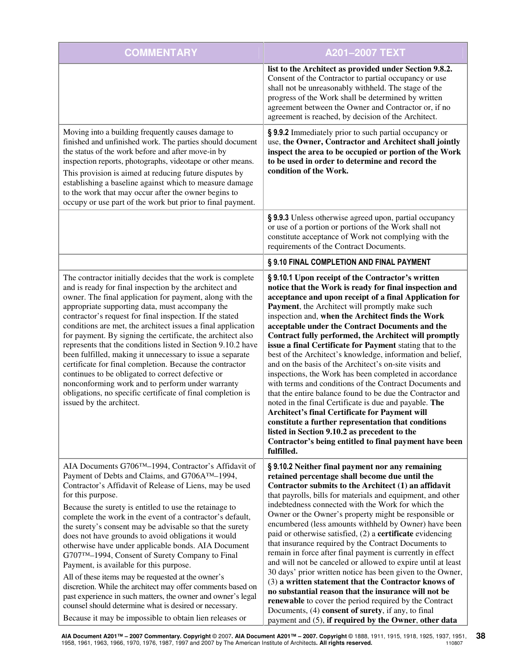| <b>COMMENTARY</b>                                                                                                                                                                                                                                                                                                                                                                                                                                                                                                                                                                                                                                                                                                                                                                                                                                                                             | A201-2007 TEXT                                                                                                                                                                                                                                                                                                                                                                                                                                                                                                                                                                                                                                                                                                                                                                                                                                                                                                                                                                                                                                              |
|-----------------------------------------------------------------------------------------------------------------------------------------------------------------------------------------------------------------------------------------------------------------------------------------------------------------------------------------------------------------------------------------------------------------------------------------------------------------------------------------------------------------------------------------------------------------------------------------------------------------------------------------------------------------------------------------------------------------------------------------------------------------------------------------------------------------------------------------------------------------------------------------------|-------------------------------------------------------------------------------------------------------------------------------------------------------------------------------------------------------------------------------------------------------------------------------------------------------------------------------------------------------------------------------------------------------------------------------------------------------------------------------------------------------------------------------------------------------------------------------------------------------------------------------------------------------------------------------------------------------------------------------------------------------------------------------------------------------------------------------------------------------------------------------------------------------------------------------------------------------------------------------------------------------------------------------------------------------------|
|                                                                                                                                                                                                                                                                                                                                                                                                                                                                                                                                                                                                                                                                                                                                                                                                                                                                                               | list to the Architect as provided under Section 9.8.2.<br>Consent of the Contractor to partial occupancy or use<br>shall not be unreasonably withheld. The stage of the<br>progress of the Work shall be determined by written<br>agreement between the Owner and Contractor or, if no<br>agreement is reached, by decision of the Architect.                                                                                                                                                                                                                                                                                                                                                                                                                                                                                                                                                                                                                                                                                                               |
| Moving into a building frequently causes damage to<br>finished and unfinished work. The parties should document<br>the status of the work before and after move-in by<br>inspection reports, photographs, videotape or other means.<br>This provision is aimed at reducing future disputes by<br>establishing a baseline against which to measure damage<br>to the work that may occur after the owner begins to<br>occupy or use part of the work but prior to final payment.                                                                                                                                                                                                                                                                                                                                                                                                                | § 9.9.2 Immediately prior to such partial occupancy or<br>use, the Owner, Contractor and Architect shall jointly<br>inspect the area to be occupied or portion of the Work<br>to be used in order to determine and record the<br>condition of the Work.                                                                                                                                                                                                                                                                                                                                                                                                                                                                                                                                                                                                                                                                                                                                                                                                     |
|                                                                                                                                                                                                                                                                                                                                                                                                                                                                                                                                                                                                                                                                                                                                                                                                                                                                                               | § 9.9.3 Unless otherwise agreed upon, partial occupancy<br>or use of a portion or portions of the Work shall not<br>constitute acceptance of Work not complying with the<br>requirements of the Contract Documents.                                                                                                                                                                                                                                                                                                                                                                                                                                                                                                                                                                                                                                                                                                                                                                                                                                         |
|                                                                                                                                                                                                                                                                                                                                                                                                                                                                                                                                                                                                                                                                                                                                                                                                                                                                                               | § 9.10 FINAL COMPLETION AND FINAL PAYMENT                                                                                                                                                                                                                                                                                                                                                                                                                                                                                                                                                                                                                                                                                                                                                                                                                                                                                                                                                                                                                   |
| The contractor initially decides that the work is complete<br>and is ready for final inspection by the architect and<br>owner. The final application for payment, along with the<br>appropriate supporting data, must accompany the<br>contractor's request for final inspection. If the stated<br>conditions are met, the architect issues a final application<br>for payment. By signing the certificate, the architect also<br>represents that the conditions listed in Section 9.10.2 have<br>been fulfilled, making it unnecessary to issue a separate<br>certificate for final completion. Because the contractor<br>continues to be obligated to correct defective or<br>nonconforming work and to perform under warranty<br>obligations, no specific certificate of final completion is<br>issued by the architect.                                                                   | § 9.10.1 Upon receipt of the Contractor's written<br>notice that the Work is ready for final inspection and<br>acceptance and upon receipt of a final Application for<br>Payment, the Architect will promptly make such<br>inspection and, when the Architect finds the Work<br>acceptable under the Contract Documents and the<br>Contract fully performed, the Architect will promptly<br>issue a final Certificate for Payment stating that to the<br>best of the Architect's knowledge, information and belief,<br>and on the basis of the Architect's on-site visits and<br>inspections, the Work has been completed in accordance<br>with terms and conditions of the Contract Documents and<br>that the entire balance found to be due the Contractor and<br>noted in the final Certificate is due and payable. The<br>Architect's final Certificate for Payment will<br>constitute a further representation that conditions<br>listed in Section 9.10.2 as precedent to the<br>Contractor's being entitled to final payment have been<br>fulfilled. |
| AIA Documents G706™-1994, Contractor's Affidavit of<br>Payment of Debts and Claims, and G706ATM-1994,<br>Contractor's Affidavit of Release of Liens, may be used<br>for this purpose.<br>Because the surety is entitled to use the retainage to<br>complete the work in the event of a contractor's default,<br>the surety's consent may be advisable so that the surety<br>does not have grounds to avoid obligations it would<br>otherwise have under applicable bonds. AIA Document<br>G707™-1994, Consent of Surety Company to Final<br>Payment, is available for this purpose.<br>All of these items may be requested at the owner's<br>discretion. While the architect may offer comments based on<br>past experience in such matters, the owner and owner's legal<br>counsel should determine what is desired or necessary.<br>Because it may be impossible to obtain lien releases or | § 9.10.2 Neither final payment nor any remaining<br>retained percentage shall become due until the<br>Contractor submits to the Architect (1) an affidavit<br>that payrolls, bills for materials and equipment, and other<br>indebtedness connected with the Work for which the<br>Owner or the Owner's property might be responsible or<br>encumbered (less amounts withheld by Owner) have been<br>paid or otherwise satisfied, $(2)$ a <b>certificate</b> evidencing<br>that insurance required by the Contract Documents to<br>remain in force after final payment is currently in effect<br>and will not be canceled or allowed to expire until at least<br>30 days' prior written notice has been given to the Owner,<br>(3) a written statement that the Contractor knows of<br>no substantial reason that the insurance will not be<br>renewable to cover the period required by the Contract<br>Documents, (4) consent of surety, if any, to final<br>payment and (5), if required by the Owner, other data                                        |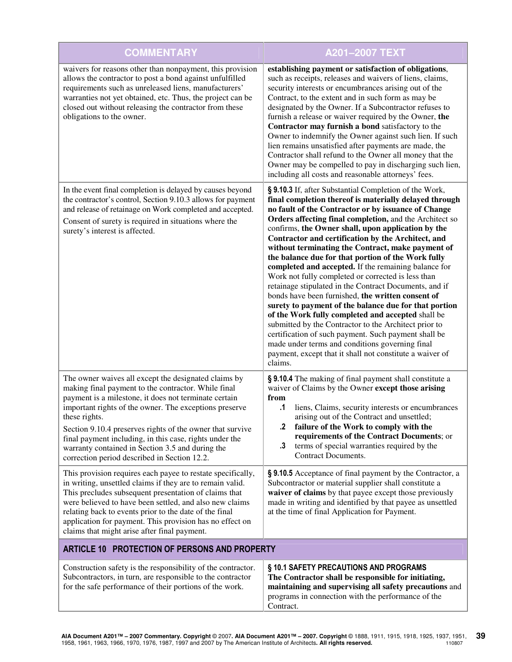| <b>COMMENTARY</b>                                                                                                                                                                                                                                                                                                                                                                                                                                                           | A201-2007 TEXT                                                                                                                                                                                                                                                                                                                                                                                                                                                                                                                                                                                                                                                                                                                                                                                                                                                                                                                                                                                                                                  |
|-----------------------------------------------------------------------------------------------------------------------------------------------------------------------------------------------------------------------------------------------------------------------------------------------------------------------------------------------------------------------------------------------------------------------------------------------------------------------------|-------------------------------------------------------------------------------------------------------------------------------------------------------------------------------------------------------------------------------------------------------------------------------------------------------------------------------------------------------------------------------------------------------------------------------------------------------------------------------------------------------------------------------------------------------------------------------------------------------------------------------------------------------------------------------------------------------------------------------------------------------------------------------------------------------------------------------------------------------------------------------------------------------------------------------------------------------------------------------------------------------------------------------------------------|
| waivers for reasons other than nonpayment, this provision<br>allows the contractor to post a bond against unfulfilled<br>requirements such as unreleased liens, manufacturers'<br>warranties not yet obtained, etc. Thus, the project can be<br>closed out without releasing the contractor from these<br>obligations to the owner.                                                                                                                                         | establishing payment or satisfaction of obligations,<br>such as receipts, releases and waivers of liens, claims,<br>security interests or encumbrances arising out of the<br>Contract, to the extent and in such form as may be<br>designated by the Owner. If a Subcontractor refuses to<br>furnish a release or waiver required by the Owner, the<br>Contractor may furnish a bond satisfactory to the<br>Owner to indemnify the Owner against such lien. If such<br>lien remains unsatisfied after payments are made, the<br>Contractor shall refund to the Owner all money that the<br>Owner may be compelled to pay in discharging such lien,<br>including all costs and reasonable attorneys' fees.                                                                                                                                                                                                                                                                                                                                       |
| In the event final completion is delayed by causes beyond<br>the contractor's control, Section 9.10.3 allows for payment<br>and release of retainage on Work completed and accepted.<br>Consent of surety is required in situations where the<br>surety's interest is affected.                                                                                                                                                                                             | § 9.10.3 If, after Substantial Completion of the Work,<br>final completion thereof is materially delayed through<br>no fault of the Contractor or by issuance of Change<br>Orders affecting final completion, and the Architect so<br>confirms, the Owner shall, upon application by the<br>Contractor and certification by the Architect, and<br>without terminating the Contract, make payment of<br>the balance due for that portion of the Work fully<br>completed and accepted. If the remaining balance for<br>Work not fully completed or corrected is less than<br>retainage stipulated in the Contract Documents, and if<br>bonds have been furnished, the written consent of<br>surety to payment of the balance due for that portion<br>of the Work fully completed and accepted shall be<br>submitted by the Contractor to the Architect prior to<br>certification of such payment. Such payment shall be<br>made under terms and conditions governing final<br>payment, except that it shall not constitute a waiver of<br>claims. |
| The owner waives all except the designated claims by<br>making final payment to the contractor. While final<br>payment is a milestone, it does not terminate certain<br>important rights of the owner. The exceptions preserve<br>these rights.<br>Section 9.10.4 preserves rights of the owner that survive<br>final payment including, in this case, rights under the<br>warranty contained in Section 3.5 and during the<br>correction period described in Section 12.2. | § 9.10.4 The making of final payment shall constitute a<br>waiver of Claims by the Owner except those arising<br>from<br>$\cdot$ 1<br>liens, Claims, security interests or encumbrances<br>arising out of the Contract and unsettled;<br>failure of the Work to comply with the<br>.2<br>requirements of the Contract Documents; or<br>.3<br>terms of special warranties required by the<br><b>Contract Documents.</b>                                                                                                                                                                                                                                                                                                                                                                                                                                                                                                                                                                                                                          |
| This provision requires each payee to restate specifically,<br>in writing, unsettled claims if they are to remain valid.<br>This precludes subsequent presentation of claims that<br>were believed to have been settled, and also new claims<br>relating back to events prior to the date of the final<br>application for payment. This provision has no effect on<br>claims that might arise after final payment.                                                          | § 9.10.5 Acceptance of final payment by the Contractor, a<br>Subcontractor or material supplier shall constitute a<br>waiver of claims by that payee except those previously<br>made in writing and identified by that payee as unsettled<br>at the time of final Application for Payment.                                                                                                                                                                                                                                                                                                                                                                                                                                                                                                                                                                                                                                                                                                                                                      |
| ARTICLE 10 PROTECTION OF PERSONS AND PROPERTY                                                                                                                                                                                                                                                                                                                                                                                                                               |                                                                                                                                                                                                                                                                                                                                                                                                                                                                                                                                                                                                                                                                                                                                                                                                                                                                                                                                                                                                                                                 |
| Construction safety is the responsibility of the contractor.<br>Subcontractors, in turn, are responsible to the contractor<br>for the safe performance of their portions of the work.                                                                                                                                                                                                                                                                                       | § 10.1 SAFETY PRECAUTIONS AND PROGRAMS<br>The Contractor shall be responsible for initiating,<br>maintaining and supervising all safety precautions and<br>programs in connection with the performance of the<br>Contract.                                                                                                                                                                                                                                                                                                                                                                                                                                                                                                                                                                                                                                                                                                                                                                                                                      |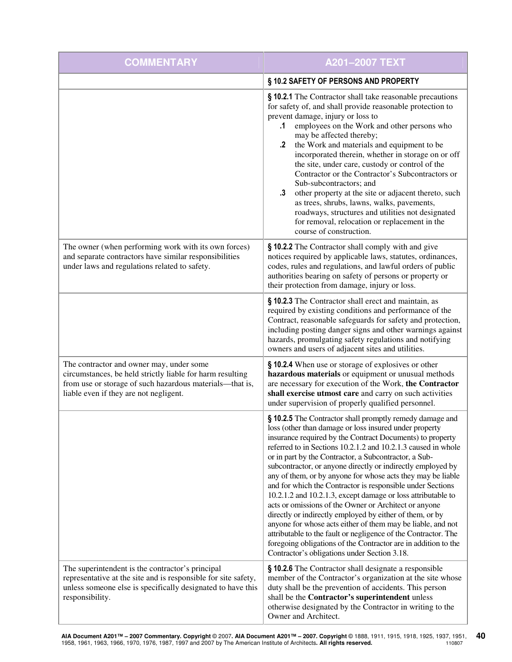| <b>COMMENTARY</b>                                                                                                                                                                                           | A201-2007 TEXT                                                                                                                                                                                                                                                                                                                                                                                                                                                                                                                                                                                                                                                                                                                                                                                                                                                                                                                                |
|-------------------------------------------------------------------------------------------------------------------------------------------------------------------------------------------------------------|-----------------------------------------------------------------------------------------------------------------------------------------------------------------------------------------------------------------------------------------------------------------------------------------------------------------------------------------------------------------------------------------------------------------------------------------------------------------------------------------------------------------------------------------------------------------------------------------------------------------------------------------------------------------------------------------------------------------------------------------------------------------------------------------------------------------------------------------------------------------------------------------------------------------------------------------------|
|                                                                                                                                                                                                             | § 10.2 SAFETY OF PERSONS AND PROPERTY                                                                                                                                                                                                                                                                                                                                                                                                                                                                                                                                                                                                                                                                                                                                                                                                                                                                                                         |
|                                                                                                                                                                                                             | § 10.2.1 The Contractor shall take reasonable precautions<br>for safety of, and shall provide reasonable protection to<br>prevent damage, injury or loss to<br>employees on the Work and other persons who<br>.1<br>may be affected thereby;<br>the Work and materials and equipment to be<br>$\cdot$<br>incorporated therein, whether in storage on or off<br>the site, under care, custody or control of the<br>Contractor or the Contractor's Subcontractors or<br>Sub-subcontractors; and<br>$\cdot$<br>other property at the site or adjacent thereto, such<br>as trees, shrubs, lawns, walks, pavements,<br>roadways, structures and utilities not designated<br>for removal, relocation or replacement in the<br>course of construction.                                                                                                                                                                                               |
| The owner (when performing work with its own forces)<br>and separate contractors have similar responsibilities<br>under laws and regulations related to safety.                                             | § 10.2.2 The Contractor shall comply with and give<br>notices required by applicable laws, statutes, ordinances,<br>codes, rules and regulations, and lawful orders of public<br>authorities bearing on safety of persons or property or<br>their protection from damage, injury or loss.                                                                                                                                                                                                                                                                                                                                                                                                                                                                                                                                                                                                                                                     |
|                                                                                                                                                                                                             | § 10.2.3 The Contractor shall erect and maintain, as<br>required by existing conditions and performance of the<br>Contract, reasonable safeguards for safety and protection,<br>including posting danger signs and other warnings against<br>hazards, promulgating safety regulations and notifying<br>owners and users of adjacent sites and utilities.                                                                                                                                                                                                                                                                                                                                                                                                                                                                                                                                                                                      |
| The contractor and owner may, under some<br>circumstances, be held strictly liable for harm resulting<br>from use or storage of such hazardous materials-that is,<br>liable even if they are not negligent. | § 10.2.4 When use or storage of explosives or other<br>hazardous materials or equipment or unusual methods<br>are necessary for execution of the Work, the Contractor<br>shall exercise utmost care and carry on such activities<br>under supervision of properly qualified personnel.                                                                                                                                                                                                                                                                                                                                                                                                                                                                                                                                                                                                                                                        |
|                                                                                                                                                                                                             | § 10.2.5 The Contractor shall promptly remedy damage and<br>loss (other than damage or loss insured under property<br>insurance required by the Contract Documents) to property<br>referred to in Sections 10.2.1.2 and 10.2.1.3 caused in whole<br>or in part by the Contractor, a Subcontractor, a Sub-<br>subcontractor, or anyone directly or indirectly employed by<br>any of them, or by anyone for whose acts they may be liable<br>and for which the Contractor is responsible under Sections<br>10.2.1.2 and 10.2.1.3, except damage or loss attributable to<br>acts or omissions of the Owner or Architect or anyone<br>directly or indirectly employed by either of them, or by<br>anyone for whose acts either of them may be liable, and not<br>attributable to the fault or negligence of the Contractor. The<br>foregoing obligations of the Contractor are in addition to the<br>Contractor's obligations under Section 3.18. |
| The superintendent is the contractor's principal<br>representative at the site and is responsible for site safety,<br>unless someone else is specifically designated to have this<br>responsibility.        | § 10.2.6 The Contractor shall designate a responsible<br>member of the Contractor's organization at the site whose<br>duty shall be the prevention of accidents. This person<br>shall be the Contractor's superintendent unless<br>otherwise designated by the Contractor in writing to the<br>Owner and Architect.                                                                                                                                                                                                                                                                                                                                                                                                                                                                                                                                                                                                                           |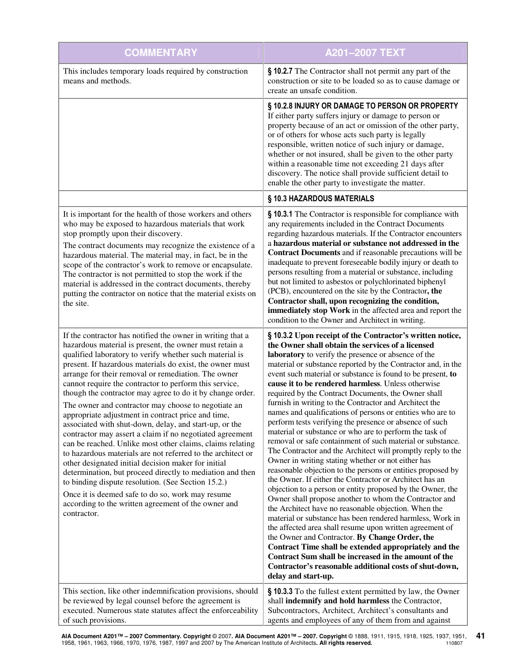| <b>COMMENTARY</b>                                                                                                                                                                                                                                                                                                                                                                                                                                                                                                                                                                                                                                                                                                                                                                                                                                                                                                                                                                                                                                                                            | A201-2007 TEXT                                                                                                                                                                                                                                                                                                                                                                                                                                                                                                                                                                                                                                                                                                                                                                                                                                                                                                                                                                                                                                                                                                                                                                                                                                                                                                                                                                                                                                                                                                                            |
|----------------------------------------------------------------------------------------------------------------------------------------------------------------------------------------------------------------------------------------------------------------------------------------------------------------------------------------------------------------------------------------------------------------------------------------------------------------------------------------------------------------------------------------------------------------------------------------------------------------------------------------------------------------------------------------------------------------------------------------------------------------------------------------------------------------------------------------------------------------------------------------------------------------------------------------------------------------------------------------------------------------------------------------------------------------------------------------------|-------------------------------------------------------------------------------------------------------------------------------------------------------------------------------------------------------------------------------------------------------------------------------------------------------------------------------------------------------------------------------------------------------------------------------------------------------------------------------------------------------------------------------------------------------------------------------------------------------------------------------------------------------------------------------------------------------------------------------------------------------------------------------------------------------------------------------------------------------------------------------------------------------------------------------------------------------------------------------------------------------------------------------------------------------------------------------------------------------------------------------------------------------------------------------------------------------------------------------------------------------------------------------------------------------------------------------------------------------------------------------------------------------------------------------------------------------------------------------------------------------------------------------------------|
| This includes temporary loads required by construction<br>means and methods.                                                                                                                                                                                                                                                                                                                                                                                                                                                                                                                                                                                                                                                                                                                                                                                                                                                                                                                                                                                                                 | § 10.2.7 The Contractor shall not permit any part of the<br>construction or site to be loaded so as to cause damage or<br>create an unsafe condition.                                                                                                                                                                                                                                                                                                                                                                                                                                                                                                                                                                                                                                                                                                                                                                                                                                                                                                                                                                                                                                                                                                                                                                                                                                                                                                                                                                                     |
|                                                                                                                                                                                                                                                                                                                                                                                                                                                                                                                                                                                                                                                                                                                                                                                                                                                                                                                                                                                                                                                                                              | § 10.2.8 INJURY OR DAMAGE TO PERSON OR PROPERTY<br>If either party suffers injury or damage to person or<br>property because of an act or omission of the other party,<br>or of others for whose acts such party is legally<br>responsible, written notice of such injury or damage,<br>whether or not insured, shall be given to the other party<br>within a reasonable time not exceeding 21 days after<br>discovery. The notice shall provide sufficient detail to<br>enable the other party to investigate the matter.                                                                                                                                                                                                                                                                                                                                                                                                                                                                                                                                                                                                                                                                                                                                                                                                                                                                                                                                                                                                                |
|                                                                                                                                                                                                                                                                                                                                                                                                                                                                                                                                                                                                                                                                                                                                                                                                                                                                                                                                                                                                                                                                                              | § 10.3 HAZARDOUS MATERIALS                                                                                                                                                                                                                                                                                                                                                                                                                                                                                                                                                                                                                                                                                                                                                                                                                                                                                                                                                                                                                                                                                                                                                                                                                                                                                                                                                                                                                                                                                                                |
| It is important for the health of those workers and others<br>who may be exposed to hazardous materials that work<br>stop promptly upon their discovery.<br>The contract documents may recognize the existence of a<br>hazardous material. The material may, in fact, be in the<br>scope of the contractor's work to remove or encapsulate.<br>The contractor is not permitted to stop the work if the<br>material is addressed in the contract documents, thereby<br>putting the contractor on notice that the material exists on<br>the site.                                                                                                                                                                                                                                                                                                                                                                                                                                                                                                                                              | § 10.3.1 The Contractor is responsible for compliance with<br>any requirements included in the Contract Documents<br>regarding hazardous materials. If the Contractor encounters<br>a hazardous material or substance not addressed in the<br>Contract Documents and if reasonable precautions will be<br>inadequate to prevent foreseeable bodily injury or death to<br>persons resulting from a material or substance, including<br>but not limited to asbestos or polychlorinated biphenyl<br>(PCB), encountered on the site by the Contractor, the<br>Contractor shall, upon recognizing the condition,<br>immediately stop Work in the affected area and report the<br>condition to the Owner and Architect in writing.                                                                                                                                                                                                                                                                                                                                                                                                                                                                                                                                                                                                                                                                                                                                                                                                              |
| If the contractor has notified the owner in writing that a<br>hazardous material is present, the owner must retain a<br>qualified laboratory to verify whether such material is<br>present. If hazardous materials do exist, the owner must<br>arrange for their removal or remediation. The owner<br>cannot require the contractor to perform this service,<br>though the contractor may agree to do it by change order.<br>The owner and contractor may choose to negotiate an<br>appropriate adjustment in contract price and time,<br>associated with shut-down, delay, and start-up, or the<br>contractor may assert a claim if no negotiated agreement<br>can be reached. Unlike most other claims, claims relating<br>to hazardous materials are not referred to the architect or<br>other designated initial decision maker for initial<br>determination, but proceed directly to mediation and then<br>to binding dispute resolution. (See Section 15.2.)<br>Once it is deemed safe to do so, work may resume<br>according to the written agreement of the owner and<br>contractor. | § 10.3.2 Upon receipt of the Contractor's written notice,<br>the Owner shall obtain the services of a licensed<br>laboratory to verify the presence or absence of the<br>material or substance reported by the Contractor and, in the<br>event such material or substance is found to be present, to<br>cause it to be rendered harmless. Unless otherwise<br>required by the Contract Documents, the Owner shall<br>furnish in writing to the Contractor and Architect the<br>names and qualifications of persons or entities who are to<br>perform tests verifying the presence or absence of such<br>material or substance or who are to perform the task of<br>removal or safe containment of such material or substance.<br>The Contractor and the Architect will promptly reply to the<br>Owner in writing stating whether or not either has<br>reasonable objection to the persons or entities proposed by<br>the Owner. If either the Contractor or Architect has an<br>objection to a person or entity proposed by the Owner, the<br>Owner shall propose another to whom the Contractor and<br>the Architect have no reasonable objection. When the<br>material or substance has been rendered harmless, Work in<br>the affected area shall resume upon written agreement of<br>the Owner and Contractor. By Change Order, the<br>Contract Time shall be extended appropriately and the<br>Contract Sum shall be increased in the amount of the<br>Contractor's reasonable additional costs of shut-down,<br>delay and start-up. |
| This section, like other indemnification provisions, should<br>be reviewed by legal counsel before the agreement is<br>executed. Numerous state statutes affect the enforceability<br>of such provisions.                                                                                                                                                                                                                                                                                                                                                                                                                                                                                                                                                                                                                                                                                                                                                                                                                                                                                    | § 10.3.3 To the fullest extent permitted by law, the Owner<br>shall indemnify and hold harmless the Contractor,<br>Subcontractors, Architect, Architect's consultants and<br>agents and employees of any of them from and against                                                                                                                                                                                                                                                                                                                                                                                                                                                                                                                                                                                                                                                                                                                                                                                                                                                                                                                                                                                                                                                                                                                                                                                                                                                                                                         |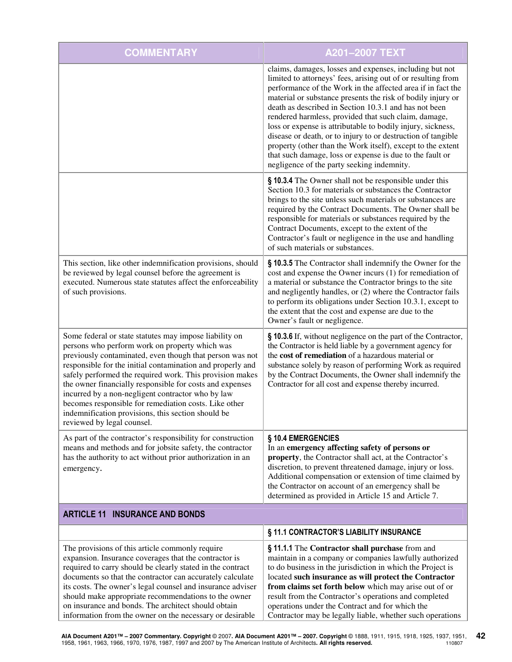| <b>COMMENTARY</b>                                                                                                                                                                                                                                                                                                                                                                                                                                                                                                                                            | A201-2007 TEXT                                                                                                                                                                                                                                                                                                                                                                                                                                                                                                                                                                                                                                                                 |
|--------------------------------------------------------------------------------------------------------------------------------------------------------------------------------------------------------------------------------------------------------------------------------------------------------------------------------------------------------------------------------------------------------------------------------------------------------------------------------------------------------------------------------------------------------------|--------------------------------------------------------------------------------------------------------------------------------------------------------------------------------------------------------------------------------------------------------------------------------------------------------------------------------------------------------------------------------------------------------------------------------------------------------------------------------------------------------------------------------------------------------------------------------------------------------------------------------------------------------------------------------|
|                                                                                                                                                                                                                                                                                                                                                                                                                                                                                                                                                              | claims, damages, losses and expenses, including but not<br>limited to attorneys' fees, arising out of or resulting from<br>performance of the Work in the affected area if in fact the<br>material or substance presents the risk of bodily injury or<br>death as described in Section 10.3.1 and has not been<br>rendered harmless, provided that such claim, damage,<br>loss or expense is attributable to bodily injury, sickness,<br>disease or death, or to injury to or destruction of tangible<br>property (other than the Work itself), except to the extent<br>that such damage, loss or expense is due to the fault or<br>negligence of the party seeking indemnity. |
|                                                                                                                                                                                                                                                                                                                                                                                                                                                                                                                                                              | § 10.3.4 The Owner shall not be responsible under this<br>Section 10.3 for materials or substances the Contractor<br>brings to the site unless such materials or substances are<br>required by the Contract Documents. The Owner shall be<br>responsible for materials or substances required by the<br>Contract Documents, except to the extent of the<br>Contractor's fault or negligence in the use and handling<br>of such materials or substances.                                                                                                                                                                                                                        |
| This section, like other indemnification provisions, should<br>be reviewed by legal counsel before the agreement is<br>executed. Numerous state statutes affect the enforceability<br>of such provisions.                                                                                                                                                                                                                                                                                                                                                    | § 10.3.5 The Contractor shall indemnify the Owner for the<br>cost and expense the Owner incurs (1) for remediation of<br>a material or substance the Contractor brings to the site<br>and negligently handles, or (2) where the Contractor fails<br>to perform its obligations under Section 10.3.1, except to<br>the extent that the cost and expense are due to the<br>Owner's fault or negligence.                                                                                                                                                                                                                                                                          |
| Some federal or state statutes may impose liability on<br>persons who perform work on property which was<br>previously contaminated, even though that person was not<br>responsible for the initial contamination and properly and<br>safely performed the required work. This provision makes<br>the owner financially responsible for costs and expenses<br>incurred by a non-negligent contractor who by law<br>becomes responsible for remediation costs. Like other<br>indemnification provisions, this section should be<br>reviewed by legal counsel. | § 10.3.6 If, without negligence on the part of the Contractor,<br>the Contractor is held liable by a government agency for<br>the cost of remediation of a hazardous material or<br>substance solely by reason of performing Work as required<br>by the Contract Documents, the Owner shall indemnify the<br>Contractor for all cost and expense thereby incurred.                                                                                                                                                                                                                                                                                                             |
| As part of the contractor's responsibility for construction<br>means and methods and for jobsite safety, the contractor<br>has the authority to act without prior authorization in an<br>emergency.                                                                                                                                                                                                                                                                                                                                                          | § 10.4 EMERGENCIES<br>In an emergency affecting safety of persons or<br>property, the Contractor shall act, at the Contractor's<br>discretion, to prevent threatened damage, injury or loss.<br>Additional compensation or extension of time claimed by<br>the Contractor on account of an emergency shall be<br>determined as provided in Article 15 and Article 7.                                                                                                                                                                                                                                                                                                           |
| <b>ARTICLE 11 INSURANCE AND BONDS</b>                                                                                                                                                                                                                                                                                                                                                                                                                                                                                                                        |                                                                                                                                                                                                                                                                                                                                                                                                                                                                                                                                                                                                                                                                                |
|                                                                                                                                                                                                                                                                                                                                                                                                                                                                                                                                                              | § 11.1 CONTRACTOR'S LIABILITY INSURANCE                                                                                                                                                                                                                                                                                                                                                                                                                                                                                                                                                                                                                                        |
| The provisions of this article commonly require<br>expansion. Insurance coverages that the contractor is<br>required to carry should be clearly stated in the contract<br>documents so that the contractor can accurately calculate<br>its costs. The owner's legal counsel and insurance adviser<br>should make appropriate recommendations to the owner<br>on insurance and bonds. The architect should obtain<br>information from the owner on the necessary or desirable                                                                                 | § 11.1.1 The Contractor shall purchase from and<br>maintain in a company or companies lawfully authorized<br>to do business in the jurisdiction in which the Project is<br>located such insurance as will protect the Contractor<br>from claims set forth below which may arise out of or<br>result from the Contractor's operations and completed<br>operations under the Contract and for which the<br>Contractor may be legally liable, whether such operations                                                                                                                                                                                                             |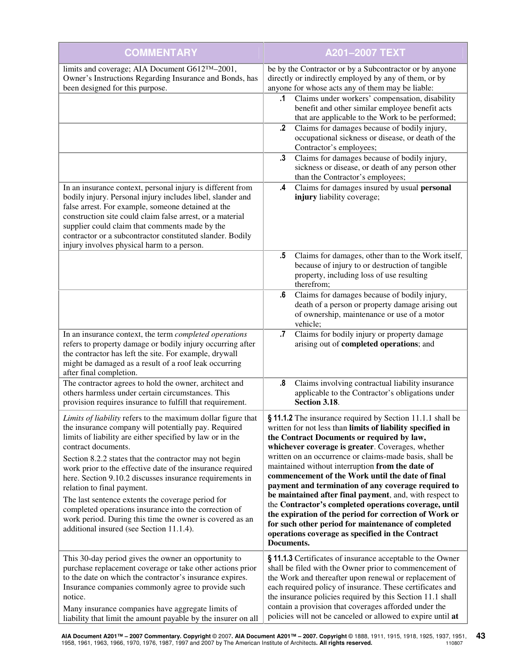| <b>COMMENTARY</b>                                                                                                                                                                                                                                                                                                                                                                                        | A201-2007 TEXT                                                                                                                                                                                                                                                                                                                                                                                                                    |
|----------------------------------------------------------------------------------------------------------------------------------------------------------------------------------------------------------------------------------------------------------------------------------------------------------------------------------------------------------------------------------------------------------|-----------------------------------------------------------------------------------------------------------------------------------------------------------------------------------------------------------------------------------------------------------------------------------------------------------------------------------------------------------------------------------------------------------------------------------|
| limits and coverage; AIA Document G612 <sup>TM</sup> -2001,<br>Owner's Instructions Regarding Insurance and Bonds, has<br>been designed for this purpose.                                                                                                                                                                                                                                                | be by the Contractor or by a Subcontractor or by anyone<br>directly or indirectly employed by any of them, or by<br>anyone for whose acts any of them may be liable:                                                                                                                                                                                                                                                              |
|                                                                                                                                                                                                                                                                                                                                                                                                          | Claims under workers' compensation, disability<br>.1<br>benefit and other similar employee benefit acts<br>that are applicable to the Work to be performed;                                                                                                                                                                                                                                                                       |
|                                                                                                                                                                                                                                                                                                                                                                                                          | Claims for damages because of bodily injury,<br>$\cdot$<br>occupational sickness or disease, or death of the<br>Contractor's employees;                                                                                                                                                                                                                                                                                           |
|                                                                                                                                                                                                                                                                                                                                                                                                          | Claims for damages because of bodily injury,<br>$\cdot$ 3<br>sickness or disease, or death of any person other<br>than the Contractor's employees;                                                                                                                                                                                                                                                                                |
| In an insurance context, personal injury is different from<br>bodily injury. Personal injury includes libel, slander and<br>false arrest. For example, someone detained at the<br>construction site could claim false arrest, or a material<br>supplier could claim that comments made by the<br>contractor or a subcontractor constituted slander. Bodily<br>injury involves physical harm to a person. | Claims for damages insured by usual personal<br>.4<br>injury liability coverage;                                                                                                                                                                                                                                                                                                                                                  |
|                                                                                                                                                                                                                                                                                                                                                                                                          | Claims for damages, other than to the Work itself,<br>.5<br>because of injury to or destruction of tangible<br>property, including loss of use resulting<br>therefrom;                                                                                                                                                                                                                                                            |
|                                                                                                                                                                                                                                                                                                                                                                                                          | Claims for damages because of bodily injury,<br>.6<br>death of a person or property damage arising out<br>of ownership, maintenance or use of a motor<br>vehicle;                                                                                                                                                                                                                                                                 |
| In an insurance context, the term completed operations<br>refers to property damage or bodily injury occurring after<br>the contractor has left the site. For example, drywall<br>might be damaged as a result of a roof leak occurring<br>after final completion.                                                                                                                                       | Claims for bodily injury or property damage<br>.7<br>arising out of completed operations; and                                                                                                                                                                                                                                                                                                                                     |
| The contractor agrees to hold the owner, architect and<br>others harmless under certain circumstances. This<br>provision requires insurance to fulfill that requirement.                                                                                                                                                                                                                                 | Claims involving contractual liability insurance<br>.8<br>applicable to the Contractor's obligations under<br>Section 3.18.                                                                                                                                                                                                                                                                                                       |
| Limits of liability refers to the maximum dollar figure that<br>the insurance company will potentially pay. Required<br>limits of liability are either specified by law or in the<br>contract documents.<br>Section 8.2.2 states that the contractor may not begin                                                                                                                                       | § 11.1.2 The insurance required by Section 11.1.1 shall be<br>written for not less than limits of liability specified in<br>the Contract Documents or required by law,<br>whichever coverage is greater. Coverages, whether<br>written on an occurrence or claims-made basis, shall be                                                                                                                                            |
| work prior to the effective date of the insurance required<br>here. Section 9.10.2 discusses insurance requirements in<br>relation to final payment.                                                                                                                                                                                                                                                     | maintained without interruption from the date of<br>commencement of the Work until the date of final<br>payment and termination of any coverage required to                                                                                                                                                                                                                                                                       |
| The last sentence extents the coverage period for<br>completed operations insurance into the correction of<br>work period. During this time the owner is covered as an<br>additional insured (see Section 11.1.4).                                                                                                                                                                                       | be maintained after final payment, and, with respect to<br>the Contractor's completed operations coverage, until<br>the expiration of the period for correction of Work or<br>for such other period for maintenance of completed<br>operations coverage as specified in the Contract<br>Documents.                                                                                                                                |
| This 30-day period gives the owner an opportunity to<br>purchase replacement coverage or take other actions prior<br>to the date on which the contractor's insurance expires.<br>Insurance companies commonly agree to provide such<br>notice.<br>Many insurance companies have aggregate limits of<br>liability that limit the amount payable by the insurer on all                                     | § 11.1.3 Certificates of insurance acceptable to the Owner<br>shall be filed with the Owner prior to commencement of<br>the Work and thereafter upon renewal or replacement of<br>each required policy of insurance. These certificates and<br>the insurance policies required by this Section 11.1 shall<br>contain a provision that coverages afforded under the<br>policies will not be canceled or allowed to expire until at |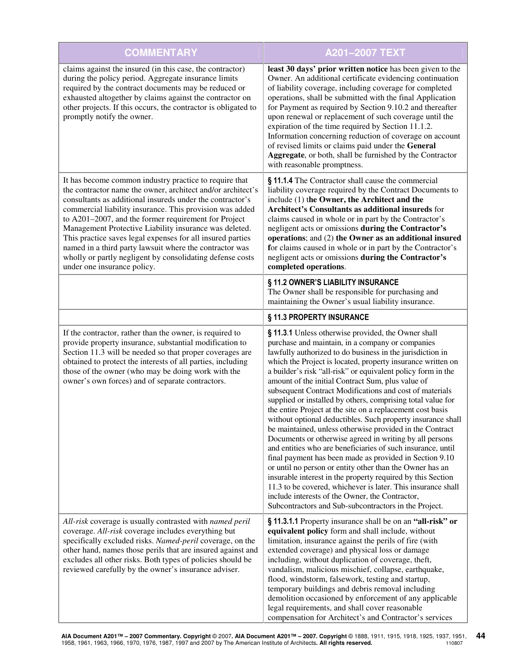| <b>COMMENTARY</b>                                                                                                                                                                                                                                                                                                                                                                                                                                                                                                                                                                     | A201-2007 TEXT                                                                                                                                                                                                                                                                                                                                                                                                                                                                                                                                                                                                                                                                                                                                                                                                                                                                                                                                                                                                                                                                                                                                                          |
|---------------------------------------------------------------------------------------------------------------------------------------------------------------------------------------------------------------------------------------------------------------------------------------------------------------------------------------------------------------------------------------------------------------------------------------------------------------------------------------------------------------------------------------------------------------------------------------|-------------------------------------------------------------------------------------------------------------------------------------------------------------------------------------------------------------------------------------------------------------------------------------------------------------------------------------------------------------------------------------------------------------------------------------------------------------------------------------------------------------------------------------------------------------------------------------------------------------------------------------------------------------------------------------------------------------------------------------------------------------------------------------------------------------------------------------------------------------------------------------------------------------------------------------------------------------------------------------------------------------------------------------------------------------------------------------------------------------------------------------------------------------------------|
| claims against the insured (in this case, the contractor)<br>during the policy period. Aggregate insurance limits<br>required by the contract documents may be reduced or<br>exhausted altogether by claims against the contractor on<br>other projects. If this occurs, the contractor is obligated to<br>promptly notify the owner.                                                                                                                                                                                                                                                 | least 30 days' prior written notice has been given to the<br>Owner. An additional certificate evidencing continuation<br>of liability coverage, including coverage for completed<br>operations, shall be submitted with the final Application<br>for Payment as required by Section 9.10.2 and thereafter<br>upon renewal or replacement of such coverage until the<br>expiration of the time required by Section 11.1.2.<br>Information concerning reduction of coverage on account<br>of revised limits or claims paid under the General<br>Aggregate, or both, shall be furnished by the Contractor<br>with reasonable promptness.                                                                                                                                                                                                                                                                                                                                                                                                                                                                                                                                   |
| It has become common industry practice to require that<br>the contractor name the owner, architect and/or architect's<br>consultants as additional insureds under the contractor's<br>commercial liability insurance. This provision was added<br>to A201-2007, and the former requirement for Project<br>Management Protective Liability insurance was deleted.<br>This practice saves legal expenses for all insured parties<br>named in a third party lawsuit where the contractor was<br>wholly or partly negligent by consolidating defense costs<br>under one insurance policy. | § 11.1.4 The Contractor shall cause the commercial<br>liability coverage required by the Contract Documents to<br>include (1) the Owner, the Architect and the<br>Architect's Consultants as additional insureds for<br>claims caused in whole or in part by the Contractor's<br>negligent acts or omissions during the Contractor's<br>operations; and (2) the Owner as an additional insured<br>for claims caused in whole or in part by the Contractor's<br>negligent acts or omissions during the Contractor's<br>completed operations.                                                                                                                                                                                                                                                                                                                                                                                                                                                                                                                                                                                                                             |
|                                                                                                                                                                                                                                                                                                                                                                                                                                                                                                                                                                                       | § 11.2 OWNER'S LIABILITY INSURANCE<br>The Owner shall be responsible for purchasing and<br>maintaining the Owner's usual liability insurance.                                                                                                                                                                                                                                                                                                                                                                                                                                                                                                                                                                                                                                                                                                                                                                                                                                                                                                                                                                                                                           |
|                                                                                                                                                                                                                                                                                                                                                                                                                                                                                                                                                                                       | § 11.3 PROPERTY INSURANCE                                                                                                                                                                                                                                                                                                                                                                                                                                                                                                                                                                                                                                                                                                                                                                                                                                                                                                                                                                                                                                                                                                                                               |
| If the contractor, rather than the owner, is required to<br>provide property insurance, substantial modification to<br>Section 11.3 will be needed so that proper coverages are<br>obtained to protect the interests of all parties, including<br>those of the owner (who may be doing work with the<br>owner's own forces) and of separate contractors.                                                                                                                                                                                                                              | § 11.3.1 Unless otherwise provided, the Owner shall<br>purchase and maintain, in a company or companies<br>lawfully authorized to do business in the jurisdiction in<br>which the Project is located, property insurance written on<br>a builder's risk "all-risk" or equivalent policy form in the<br>amount of the initial Contract Sum, plus value of<br>subsequent Contract Modifications and cost of materials<br>supplied or installed by others, comprising total value for<br>the entire Project at the site on a replacement cost basis<br>without optional deductibles. Such property insurance shall<br>be maintained, unless otherwise provided in the Contract<br>Documents or otherwise agreed in writing by all persons<br>and entities who are beneficiaries of such insurance, until<br>final payment has been made as provided in Section 9.10<br>or until no person or entity other than the Owner has an<br>insurable interest in the property required by this Section<br>11.3 to be covered, whichever is later. This insurance shall<br>include interests of the Owner, the Contractor,<br>Subcontractors and Sub-subcontractors in the Project. |
| All-risk coverage is usually contrasted with named peril<br>coverage. All-risk coverage includes everything but<br>specifically excluded risks. Named-peril coverage, on the<br>other hand, names those perils that are insured against and<br>excludes all other risks. Both types of policies should be<br>reviewed carefully by the owner's insurance adviser.                                                                                                                                                                                                                     | § 11.3.1.1 Property insurance shall be on an "all-risk" or<br>equivalent policy form and shall include, without<br>limitation, insurance against the perils of fire (with<br>extended coverage) and physical loss or damage<br>including, without duplication of coverage, theft,<br>vandalism, malicious mischief, collapse, earthquake,<br>flood, windstorm, falsework, testing and startup,<br>temporary buildings and debris removal including<br>demolition occasioned by enforcement of any applicable<br>legal requirements, and shall cover reasonable<br>compensation for Architect's and Contractor's services                                                                                                                                                                                                                                                                                                                                                                                                                                                                                                                                                |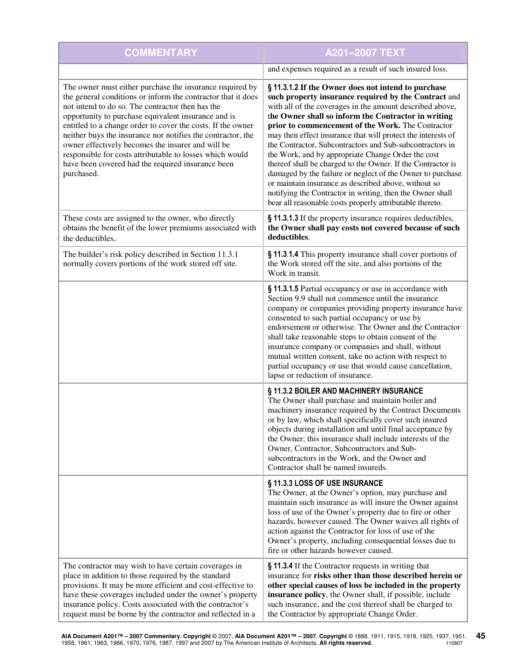| <b>COMMENTARY</b>                                                                                                                                                                                                                                                                                                                                                                                                                                                                                                                                     | A201-2007 TEXT                                                                                                                                                                                                                                                                                                                                                                                                                                                                                                                                                                                                                                                                                                                                                                      |
|-------------------------------------------------------------------------------------------------------------------------------------------------------------------------------------------------------------------------------------------------------------------------------------------------------------------------------------------------------------------------------------------------------------------------------------------------------------------------------------------------------------------------------------------------------|-------------------------------------------------------------------------------------------------------------------------------------------------------------------------------------------------------------------------------------------------------------------------------------------------------------------------------------------------------------------------------------------------------------------------------------------------------------------------------------------------------------------------------------------------------------------------------------------------------------------------------------------------------------------------------------------------------------------------------------------------------------------------------------|
|                                                                                                                                                                                                                                                                                                                                                                                                                                                                                                                                                       | and expenses required as a result of such insured loss.                                                                                                                                                                                                                                                                                                                                                                                                                                                                                                                                                                                                                                                                                                                             |
| The owner must either purchase the insurance required by<br>the general conditions or inform the contractor that it does<br>not intend to do so. The contractor then has the<br>opportunity to purchase equivalent insurance and is<br>entitled to a change order to cover the costs. If the owner<br>neither buys the insurance nor notifies the contractor, the<br>owner effectively becomes the insurer and will be<br>responsible for costs attributable to losses which would<br>have been covered had the required insurance been<br>purchased. | § 11.3.1.2 If the Owner does not intend to purchase<br>such property insurance required by the Contract and<br>with all of the coverages in the amount described above,<br>the Owner shall so inform the Contractor in writing<br>prior to commencement of the Work. The Contractor<br>may then effect insurance that will protect the interests of<br>the Contractor, Subcontractors and Sub-subcontractors in<br>the Work, and by appropriate Change Order the cost<br>thereof shall be charged to the Owner. If the Contractor is<br>damaged by the failure or neglect of the Owner to purchase<br>or maintain insurance as described above, without so<br>notifying the Contractor in writing, then the Owner shall<br>bear all reasonable costs properly attributable thereto. |
| These costs are assigned to the owner, who directly<br>obtains the benefit of the lower premiums associated with<br>the deductibles.                                                                                                                                                                                                                                                                                                                                                                                                                  | § 11.3.1.3 If the property insurance requires deductibles,<br>the Owner shall pay costs not covered because of such<br>deductibles.                                                                                                                                                                                                                                                                                                                                                                                                                                                                                                                                                                                                                                                 |
| The builder's risk policy described in Section 11.3.1<br>normally covers portions of the work stored off site.                                                                                                                                                                                                                                                                                                                                                                                                                                        | § 11.3.1.4 This property insurance shall cover portions of<br>the Work stored off the site, and also portions of the<br>Work in transit.                                                                                                                                                                                                                                                                                                                                                                                                                                                                                                                                                                                                                                            |
|                                                                                                                                                                                                                                                                                                                                                                                                                                                                                                                                                       | § 11.3.1.5 Partial occupancy or use in accordance with<br>Section 9.9 shall not commence until the insurance<br>company or companies providing property insurance have<br>consented to such partial occupancy or use by<br>endorsement or otherwise. The Owner and the Contractor<br>shall take reasonable steps to obtain consent of the<br>insurance company or companies and shall, without<br>mutual written consent, take no action with respect to<br>partial occupancy or use that would cause cancellation,<br>lapse or reduction of insurance.                                                                                                                                                                                                                             |
|                                                                                                                                                                                                                                                                                                                                                                                                                                                                                                                                                       | § 11.3.2 BOILER AND MACHINERY INSURANCE<br>The Owner shall purchase and maintain boiler and<br>machinery insurance required by the Contract Documents<br>or by law, which shall specifically cover such insured<br>objects during installation and until final acceptance by<br>the Owner; this insurance shall include interests of the<br>Owner, Contractor, Subcontractors and Sub-<br>subcontractors in the Work, and the Owner and<br>Contractor shall be named insureds.                                                                                                                                                                                                                                                                                                      |
|                                                                                                                                                                                                                                                                                                                                                                                                                                                                                                                                                       | § 11.3.3 LOSS OF USE INSURANCE<br>The Owner, at the Owner's option, may purchase and<br>maintain such insurance as will insure the Owner against<br>loss of use of the Owner's property due to fire or other<br>hazards, however caused. The Owner waives all rights of<br>action against the Contractor for loss of use of the<br>Owner's property, including consequential losses due to<br>fire or other hazards however caused.                                                                                                                                                                                                                                                                                                                                                 |
| The contractor may wish to have certain coverages in<br>place in addition to those required by the standard<br>provisions. It may be more efficient and cost-effective to<br>have these coverages included under the owner's property<br>insurance policy. Costs associated with the contractor's<br>request must be borne by the contractor and reflected in a                                                                                                                                                                                       | § 11.3.4 If the Contractor requests in writing that<br>insurance for risks other than those described herein or<br>other special causes of loss be included in the property<br>insurance policy, the Owner shall, if possible, include<br>such insurance, and the cost thereof shall be charged to<br>the Contractor by appropriate Change Order.                                                                                                                                                                                                                                                                                                                                                                                                                                   |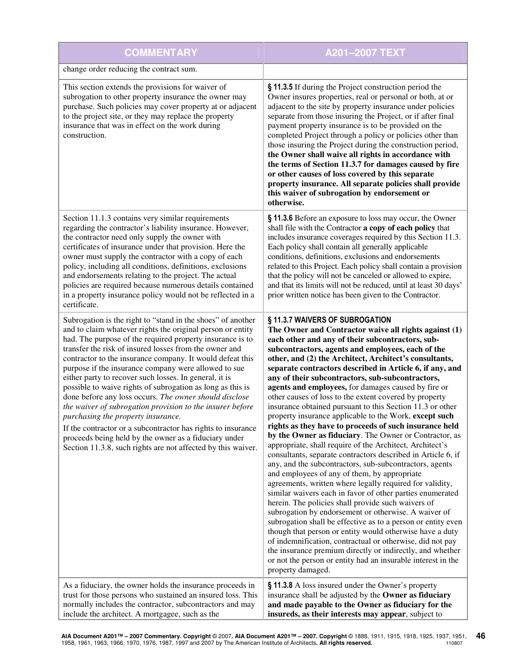| <b>COMMENTARY</b>                                                                                                                                                                                                                                                                                                                                                                                                                                                                                                                                                                                                                                                                                                                                                                                                                                   | A201-2007 TEXT                                                                                                                                                                                                                                                                                                                                                                                                                                                                                                                                                                                                                                                                                                                                                                                                                                                                                                                                                                                                                                                                                                                                                                                                                                                                                                                                                                                                                                                                                                                                                   |
|-----------------------------------------------------------------------------------------------------------------------------------------------------------------------------------------------------------------------------------------------------------------------------------------------------------------------------------------------------------------------------------------------------------------------------------------------------------------------------------------------------------------------------------------------------------------------------------------------------------------------------------------------------------------------------------------------------------------------------------------------------------------------------------------------------------------------------------------------------|------------------------------------------------------------------------------------------------------------------------------------------------------------------------------------------------------------------------------------------------------------------------------------------------------------------------------------------------------------------------------------------------------------------------------------------------------------------------------------------------------------------------------------------------------------------------------------------------------------------------------------------------------------------------------------------------------------------------------------------------------------------------------------------------------------------------------------------------------------------------------------------------------------------------------------------------------------------------------------------------------------------------------------------------------------------------------------------------------------------------------------------------------------------------------------------------------------------------------------------------------------------------------------------------------------------------------------------------------------------------------------------------------------------------------------------------------------------------------------------------------------------------------------------------------------------|
| change order reducing the contract sum.                                                                                                                                                                                                                                                                                                                                                                                                                                                                                                                                                                                                                                                                                                                                                                                                             |                                                                                                                                                                                                                                                                                                                                                                                                                                                                                                                                                                                                                                                                                                                                                                                                                                                                                                                                                                                                                                                                                                                                                                                                                                                                                                                                                                                                                                                                                                                                                                  |
| This section extends the provisions for waiver of<br>subrogation to other property insurance the owner may<br>purchase. Such policies may cover property at or adjacent<br>to the project site, or they may replace the property<br>insurance that was in effect on the work during<br>construction.                                                                                                                                                                                                                                                                                                                                                                                                                                                                                                                                                | § 11.3.5 If during the Project construction period the<br>Owner insures properties, real or personal or both, at or<br>adjacent to the site by property insurance under policies<br>separate from those insuring the Project, or if after final<br>payment property insurance is to be provided on the<br>completed Project through a policy or policies other than<br>those insuring the Project during the construction period,<br>the Owner shall waive all rights in accordance with<br>the terms of Section 11.3.7 for damages caused by fire<br>or other causes of loss covered by this separate<br>property insurance. All separate policies shall provide<br>this waiver of subrogation by endorsement or<br>otherwise.                                                                                                                                                                                                                                                                                                                                                                                                                                                                                                                                                                                                                                                                                                                                                                                                                                  |
| Section 11.1.3 contains very similar requirements<br>regarding the contractor's liability insurance. However,<br>the contractor need only supply the owner with<br>certificates of insurance under that provision. Here the<br>owner must supply the contractor with a copy of each<br>policy, including all conditions, definitions, exclusions<br>and endorsements relating to the project. The actual<br>policies are required because numerous details contained<br>in a property insurance policy would not be reflected in a<br>certificate.                                                                                                                                                                                                                                                                                                  | §11.3.6 Before an exposure to loss may occur, the Owner<br>shall file with the Contractor a copy of each policy that<br>includes insurance coverages required by this Section 11.3.<br>Each policy shall contain all generally applicable<br>conditions, definitions, exclusions and endorsements<br>related to this Project. Each policy shall contain a provision<br>that the policy will not be canceled or allowed to expire,<br>and that its limits will not be reduced, until at least 30 days'<br>prior written notice has been given to the Contractor.                                                                                                                                                                                                                                                                                                                                                                                                                                                                                                                                                                                                                                                                                                                                                                                                                                                                                                                                                                                                  |
| Subrogation is the right to "stand in the shoes" of another<br>and to claim whatever rights the original person or entity<br>had. The purpose of the required property insurance is to<br>transfer the risk of insured losses from the owner and<br>contractor to the insurance company. It would defeat this<br>purpose if the insurance company were allowed to sue<br>either party to recover such losses. In general, it is<br>possible to waive rights of subrogation as long as this is<br>done before any loss occurs. The owner should disclose<br>the waiver of subrogation provision to the insurer before<br>purchasing the property insurance.<br>If the contractor or a subcontractor has rights to insurance<br>proceeds being held by the owner as a fiduciary under<br>Section 11.3.8, such rights are not affected by this waiver. | § 11.3.7 WAIVERS OF SUBROGATION<br>The Owner and Contractor waive all rights against (1)<br>each other and any of their subcontractors, sub-<br>subcontractors, agents and employees, each of the<br>other, and (2) the Architect, Architect's consultants,<br>separate contractors described in Article 6, if any, and<br>any of their subcontractors, sub-subcontractors,<br>agents and employees, for damages caused by fire or<br>other causes of loss to the extent covered by property<br>insurance obtained pursuant to this Section 11.3 or other<br>property insurance applicable to the Work, except such<br>rights as they have to proceeds of such insurance held<br>by the Owner as fiduciary. The Owner or Contractor, as<br>appropriate, shall require of the Architect, Architect's<br>consultants, separate contractors described in Article 6, if<br>any, and the subcontractors, sub-subcontractors, agents<br>and employees of any of them, by appropriate<br>agreements, written where legally required for validity,<br>similar waivers each in favor of other parties enumerated<br>herein. The policies shall provide such waivers of<br>subrogation by endorsement or otherwise. A waiver of<br>subrogation shall be effective as to a person or entity even<br>though that person or entity would otherwise have a duty<br>of indemnification, contractual or otherwise, did not pay<br>the insurance premium directly or indirectly, and whether<br>or not the person or entity had an insurable interest in the<br>property damaged. |
| As a fiduciary, the owner holds the insurance proceeds in<br>trust for those persons who sustained an insured loss. This<br>normally includes the contractor, subcontractors and may<br>include the architect. A mortgagee, such as the                                                                                                                                                                                                                                                                                                                                                                                                                                                                                                                                                                                                             | §11.3.8 A loss insured under the Owner's property<br>insurance shall be adjusted by the Owner as fiduciary<br>and made payable to the Owner as fiduciary for the<br>insureds, as their interests may appear, subject to                                                                                                                                                                                                                                                                                                                                                                                                                                                                                                                                                                                                                                                                                                                                                                                                                                                                                                                                                                                                                                                                                                                                                                                                                                                                                                                                          |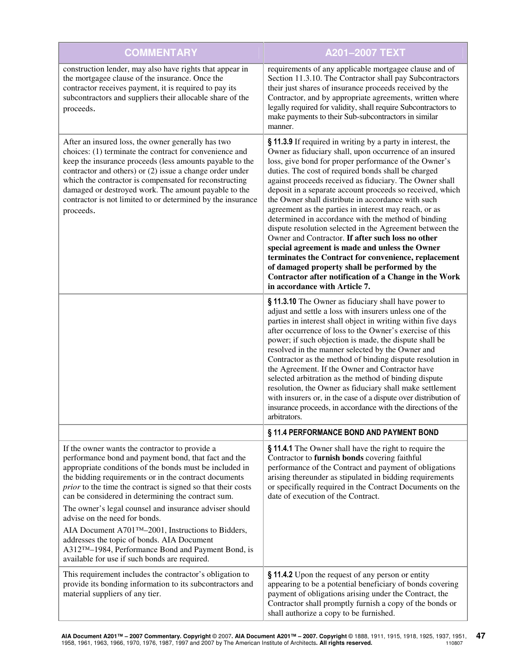| <b>COMMENTARY</b>                                                                                                                                                                                                                                                                                                                                                                                                                                                                                                                                                                                                                                    | A201-2007 TEXT                                                                                                                                                                                                                                                                                                                                                                                                                                                                                                                                                                                                                                                                                                                                                                                                                                                                                             |
|------------------------------------------------------------------------------------------------------------------------------------------------------------------------------------------------------------------------------------------------------------------------------------------------------------------------------------------------------------------------------------------------------------------------------------------------------------------------------------------------------------------------------------------------------------------------------------------------------------------------------------------------------|------------------------------------------------------------------------------------------------------------------------------------------------------------------------------------------------------------------------------------------------------------------------------------------------------------------------------------------------------------------------------------------------------------------------------------------------------------------------------------------------------------------------------------------------------------------------------------------------------------------------------------------------------------------------------------------------------------------------------------------------------------------------------------------------------------------------------------------------------------------------------------------------------------|
| construction lender, may also have rights that appear in<br>the mortgagee clause of the insurance. Once the<br>contractor receives payment, it is required to pay its<br>subcontractors and suppliers their allocable share of the<br>proceeds.                                                                                                                                                                                                                                                                                                                                                                                                      | requirements of any applicable mortgagee clause and of<br>Section 11.3.10. The Contractor shall pay Subcontractors<br>their just shares of insurance proceeds received by the<br>Contractor, and by appropriate agreements, written where<br>legally required for validity, shall require Subcontractors to<br>make payments to their Sub-subcontractors in similar<br>manner.                                                                                                                                                                                                                                                                                                                                                                                                                                                                                                                             |
| After an insured loss, the owner generally has two<br>choices: (1) terminate the contract for convenience and<br>keep the insurance proceeds (less amounts payable to the<br>contractor and others) or (2) issue a change order under<br>which the contractor is compensated for reconstructing<br>damaged or destroyed work. The amount payable to the<br>contractor is not limited to or determined by the insurance<br>proceeds.                                                                                                                                                                                                                  | § 11.3.9 If required in writing by a party in interest, the<br>Owner as fiduciary shall, upon occurrence of an insured<br>loss, give bond for proper performance of the Owner's<br>duties. The cost of required bonds shall be charged<br>against proceeds received as fiduciary. The Owner shall<br>deposit in a separate account proceeds so received, which<br>the Owner shall distribute in accordance with such<br>agreement as the parties in interest may reach, or as<br>determined in accordance with the method of binding<br>dispute resolution selected in the Agreement between the<br>Owner and Contractor. If after such loss no other<br>special agreement is made and unless the Owner<br>terminates the Contract for convenience, replacement<br>of damaged property shall be performed by the<br>Contractor after notification of a Change in the Work<br>in accordance with Article 7. |
|                                                                                                                                                                                                                                                                                                                                                                                                                                                                                                                                                                                                                                                      | § 11.3.10 The Owner as fiduciary shall have power to<br>adjust and settle a loss with insurers unless one of the<br>parties in interest shall object in writing within five days<br>after occurrence of loss to the Owner's exercise of this<br>power; if such objection is made, the dispute shall be<br>resolved in the manner selected by the Owner and<br>Contractor as the method of binding dispute resolution in<br>the Agreement. If the Owner and Contractor have<br>selected arbitration as the method of binding dispute<br>resolution, the Owner as fiduciary shall make settlement<br>with insurers or, in the case of a dispute over distribution of<br>insurance proceeds, in accordance with the directions of the<br>arbitrators.                                                                                                                                                         |
|                                                                                                                                                                                                                                                                                                                                                                                                                                                                                                                                                                                                                                                      | § 11.4 PERFORMANCE BOND AND PAYMENT BOND                                                                                                                                                                                                                                                                                                                                                                                                                                                                                                                                                                                                                                                                                                                                                                                                                                                                   |
| If the owner wants the contractor to provide a<br>performance bond and payment bond, that fact and the<br>appropriate conditions of the bonds must be included in<br>the bidding requirements or in the contract documents<br>prior to the time the contract is signed so that their costs<br>can be considered in determining the contract sum.<br>The owner's legal counsel and insurance adviser should<br>advise on the need for bonds.<br>AIA Document A701™-2001, Instructions to Bidders,<br>addresses the topic of bonds. AIA Document<br>A312™-1984, Performance Bond and Payment Bond, is<br>available for use if such bonds are required. | § 11.4.1 The Owner shall have the right to require the<br>Contractor to furnish bonds covering faithful<br>performance of the Contract and payment of obligations<br>arising thereunder as stipulated in bidding requirements<br>or specifically required in the Contract Documents on the<br>date of execution of the Contract.                                                                                                                                                                                                                                                                                                                                                                                                                                                                                                                                                                           |
| This requirement includes the contractor's obligation to<br>provide its bonding information to its subcontractors and<br>material suppliers of any tier.                                                                                                                                                                                                                                                                                                                                                                                                                                                                                             | § 11.4.2 Upon the request of any person or entity<br>appearing to be a potential beneficiary of bonds covering<br>payment of obligations arising under the Contract, the<br>Contractor shall promptly furnish a copy of the bonds or<br>shall authorize a copy to be furnished.                                                                                                                                                                                                                                                                                                                                                                                                                                                                                                                                                                                                                            |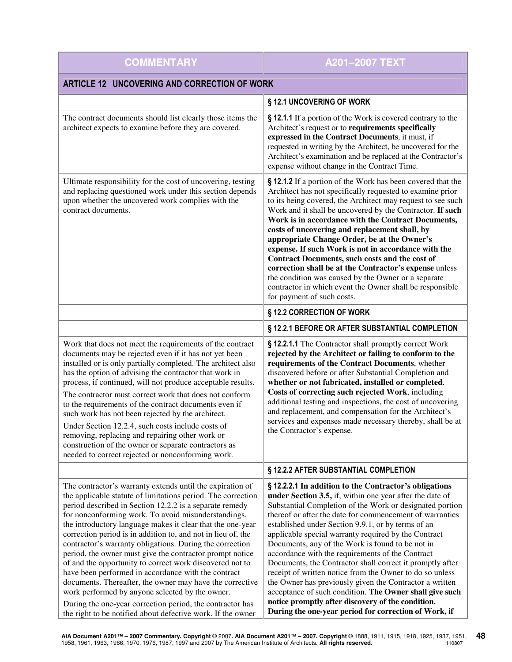| <b>COMMENTARY</b>                                                                                                                                                                                                                                                                                                                                                                                                                                                                                                                                                                                                                                                                                                                                                                                                                                               | A201-2007 TEXT                                                                                                                                                                                                                                                                                                                                                                                                                                                                                                                                                                                                                                                                                                                                                                                                                |
|-----------------------------------------------------------------------------------------------------------------------------------------------------------------------------------------------------------------------------------------------------------------------------------------------------------------------------------------------------------------------------------------------------------------------------------------------------------------------------------------------------------------------------------------------------------------------------------------------------------------------------------------------------------------------------------------------------------------------------------------------------------------------------------------------------------------------------------------------------------------|-------------------------------------------------------------------------------------------------------------------------------------------------------------------------------------------------------------------------------------------------------------------------------------------------------------------------------------------------------------------------------------------------------------------------------------------------------------------------------------------------------------------------------------------------------------------------------------------------------------------------------------------------------------------------------------------------------------------------------------------------------------------------------------------------------------------------------|
| ARTICLE 12 UNCOVERING AND CORRECTION OF WORK                                                                                                                                                                                                                                                                                                                                                                                                                                                                                                                                                                                                                                                                                                                                                                                                                    |                                                                                                                                                                                                                                                                                                                                                                                                                                                                                                                                                                                                                                                                                                                                                                                                                               |
|                                                                                                                                                                                                                                                                                                                                                                                                                                                                                                                                                                                                                                                                                                                                                                                                                                                                 | § 12.1 UNCOVERING OF WORK                                                                                                                                                                                                                                                                                                                                                                                                                                                                                                                                                                                                                                                                                                                                                                                                     |
| The contract documents should list clearly those items the<br>architect expects to examine before they are covered.                                                                                                                                                                                                                                                                                                                                                                                                                                                                                                                                                                                                                                                                                                                                             | § 12.1.1 If a portion of the Work is covered contrary to the<br>Architect's request or to requirements specifically<br>expressed in the Contract Documents, it must, if<br>requested in writing by the Architect, be uncovered for the<br>Architect's examination and be replaced at the Contractor's<br>expense without change in the Contract Time.                                                                                                                                                                                                                                                                                                                                                                                                                                                                         |
| Ultimate responsibility for the cost of uncovering, testing<br>and replacing questioned work under this section depends<br>upon whether the uncovered work complies with the<br>contract documents.                                                                                                                                                                                                                                                                                                                                                                                                                                                                                                                                                                                                                                                             | § 12.1.2 If a portion of the Work has been covered that the<br>Architect has not specifically requested to examine prior<br>to its being covered, the Architect may request to see such<br>Work and it shall be uncovered by the Contractor. If such<br>Work is in accordance with the Contract Documents,<br>costs of uncovering and replacement shall, by<br>appropriate Change Order, be at the Owner's<br>expense. If such Work is not in accordance with the<br>Contract Documents, such costs and the cost of<br>correction shall be at the Contractor's expense unless<br>the condition was caused by the Owner or a separate<br>contractor in which event the Owner shall be responsible<br>for payment of such costs.                                                                                                |
|                                                                                                                                                                                                                                                                                                                                                                                                                                                                                                                                                                                                                                                                                                                                                                                                                                                                 | § 12.2 CORRECTION OF WORK                                                                                                                                                                                                                                                                                                                                                                                                                                                                                                                                                                                                                                                                                                                                                                                                     |
|                                                                                                                                                                                                                                                                                                                                                                                                                                                                                                                                                                                                                                                                                                                                                                                                                                                                 | § 12.2.1 BEFORE OR AFTER SUBSTANTIAL COMPLETION                                                                                                                                                                                                                                                                                                                                                                                                                                                                                                                                                                                                                                                                                                                                                                               |
| Work that does not meet the requirements of the contract<br>documents may be rejected even if it has not yet been<br>installed or is only partially completed. The architect also<br>has the option of advising the contractor that work in<br>process, if continued, will not produce acceptable results.<br>The contractor must correct work that does not conform<br>to the requirements of the contract documents even if<br>such work has not been rejected by the architect.<br>Under Section 12.2.4, such costs include costs of<br>removing, replacing and repairing other work or<br>construction of the owner or separate contractors as<br>needed to correct rejected or nonconforming work.                                                                                                                                                         | § 12.2.1.1 The Contractor shall promptly correct Work<br>rejected by the Architect or failing to conform to the<br>requirements of the Contract Documents, whether<br>discovered before or after Substantial Completion and<br>whether or not fabricated, installed or completed.<br>Costs of correcting such rejected Work, including<br>additional testing and inspections, the cost of uncovering<br>and replacement, and compensation for the Architect's<br>services and expenses made necessary thereby, shall be at<br>the Contractor's expense.                                                                                                                                                                                                                                                                       |
|                                                                                                                                                                                                                                                                                                                                                                                                                                                                                                                                                                                                                                                                                                                                                                                                                                                                 | § 12.2.2 AFTER SUBSTANTIAL COMPLETION                                                                                                                                                                                                                                                                                                                                                                                                                                                                                                                                                                                                                                                                                                                                                                                         |
| The contractor's warranty extends until the expiration of<br>the applicable statute of limitations period. The correction<br>period described in Section 12.2.2 is a separate remedy<br>for nonconforming work. To avoid misunderstandings,<br>the introductory language makes it clear that the one-year<br>correction period is in addition to, and not in lieu of, the<br>contractor's warranty obligations. During the correction<br>period, the owner must give the contractor prompt notice<br>of and the opportunity to correct work discovered not to<br>have been performed in accordance with the contract<br>documents. Thereafter, the owner may have the corrective<br>work performed by anyone selected by the owner.<br>During the one-year correction period, the contractor has<br>the right to be notified about defective work. If the owner | § 12.2.2.1 In addition to the Contractor's obligations<br>under Section 3.5, if, within one year after the date of<br>Substantial Completion of the Work or designated portion<br>thereof or after the date for commencement of warranties<br>established under Section 9.9.1, or by terms of an<br>applicable special warranty required by the Contract<br>Documents, any of the Work is found to be not in<br>accordance with the requirements of the Contract<br>Documents, the Contractor shall correct it promptly after<br>receipt of written notice from the Owner to do so unless<br>the Owner has previously given the Contractor a written<br>acceptance of such condition. The Owner shall give such<br>notice promptly after discovery of the condition.<br>During the one-year period for correction of Work, if |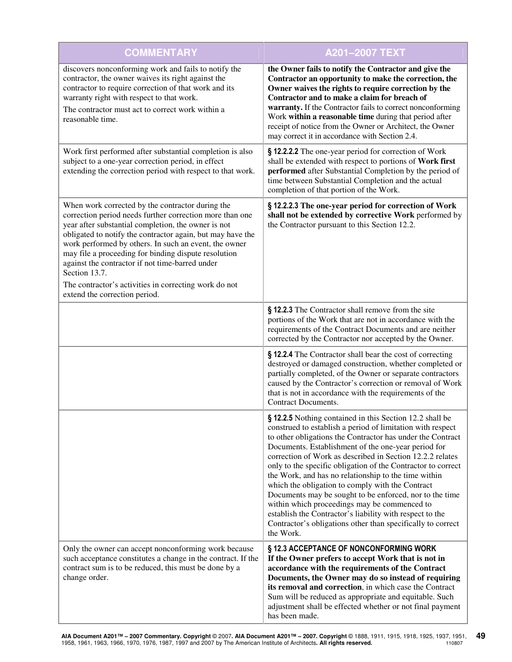| <b>COMMENTARY</b>                                                                                                                                                                                                                                                                                                                                                                                                                                                                                                | A201-2007 TEXT                                                                                                                                                                                                                                                                                                                                                                                                                                                                                                                                                                                                                                                                                                                          |
|------------------------------------------------------------------------------------------------------------------------------------------------------------------------------------------------------------------------------------------------------------------------------------------------------------------------------------------------------------------------------------------------------------------------------------------------------------------------------------------------------------------|-----------------------------------------------------------------------------------------------------------------------------------------------------------------------------------------------------------------------------------------------------------------------------------------------------------------------------------------------------------------------------------------------------------------------------------------------------------------------------------------------------------------------------------------------------------------------------------------------------------------------------------------------------------------------------------------------------------------------------------------|
| discovers nonconforming work and fails to notify the<br>contractor, the owner waives its right against the<br>contractor to require correction of that work and its<br>warranty right with respect to that work.<br>The contractor must act to correct work within a<br>reasonable time.                                                                                                                                                                                                                         | the Owner fails to notify the Contractor and give the<br>Contractor an opportunity to make the correction, the<br>Owner waives the rights to require correction by the<br>Contractor and to make a claim for breach of<br>warranty. If the Contractor fails to correct nonconforming<br>Work within a reasonable time during that period after<br>receipt of notice from the Owner or Architect, the Owner<br>may correct it in accordance with Section 2.4.                                                                                                                                                                                                                                                                            |
| Work first performed after substantial completion is also<br>subject to a one-year correction period, in effect<br>extending the correction period with respect to that work.                                                                                                                                                                                                                                                                                                                                    | § 12.2.2.2 The one-year period for correction of Work<br>shall be extended with respect to portions of Work first<br>performed after Substantial Completion by the period of<br>time between Substantial Completion and the actual<br>completion of that portion of the Work.                                                                                                                                                                                                                                                                                                                                                                                                                                                           |
| When work corrected by the contractor during the<br>correction period needs further correction more than one<br>year after substantial completion, the owner is not<br>obligated to notify the contractor again, but may have the<br>work performed by others. In such an event, the owner<br>may file a proceeding for binding dispute resolution<br>against the contractor if not time-barred under<br>Section 13.7.<br>The contractor's activities in correcting work do not<br>extend the correction period. | § 12.2.2.3 The one-year period for correction of Work<br>shall not be extended by corrective Work performed by<br>the Contractor pursuant to this Section 12.2.                                                                                                                                                                                                                                                                                                                                                                                                                                                                                                                                                                         |
|                                                                                                                                                                                                                                                                                                                                                                                                                                                                                                                  | § 12.2.3 The Contractor shall remove from the site<br>portions of the Work that are not in accordance with the<br>requirements of the Contract Documents and are neither<br>corrected by the Contractor nor accepted by the Owner.                                                                                                                                                                                                                                                                                                                                                                                                                                                                                                      |
|                                                                                                                                                                                                                                                                                                                                                                                                                                                                                                                  | § 12.2.4 The Contractor shall bear the cost of correcting<br>destroyed or damaged construction, whether completed or<br>partially completed, of the Owner or separate contractors<br>caused by the Contractor's correction or removal of Work<br>that is not in accordance with the requirements of the<br><b>Contract Documents.</b>                                                                                                                                                                                                                                                                                                                                                                                                   |
|                                                                                                                                                                                                                                                                                                                                                                                                                                                                                                                  | § 12.2.5 Nothing contained in this Section 12.2 shall be<br>construed to establish a period of limitation with respect<br>to other obligations the Contractor has under the Contract<br>Documents. Establishment of the one-year period for<br>correction of Work as described in Section 12.2.2 relates<br>only to the specific obligation of the Contractor to correct<br>the Work, and has no relationship to the time within<br>which the obligation to comply with the Contract<br>Documents may be sought to be enforced, nor to the time<br>within which proceedings may be commenced to<br>establish the Contractor's liability with respect to the<br>Contractor's obligations other than specifically to correct<br>the Work. |
| Only the owner can accept nonconforming work because<br>such acceptance constitutes a change in the contract. If the<br>contract sum is to be reduced, this must be done by a<br>change order.                                                                                                                                                                                                                                                                                                                   | § 12.3 ACCEPTANCE OF NONCONFORMING WORK<br>If the Owner prefers to accept Work that is not in<br>accordance with the requirements of the Contract<br>Documents, the Owner may do so instead of requiring<br>its removal and correction, in which case the Contract<br>Sum will be reduced as appropriate and equitable. Such<br>adjustment shall be effected whether or not final payment<br>has been made.                                                                                                                                                                                                                                                                                                                             |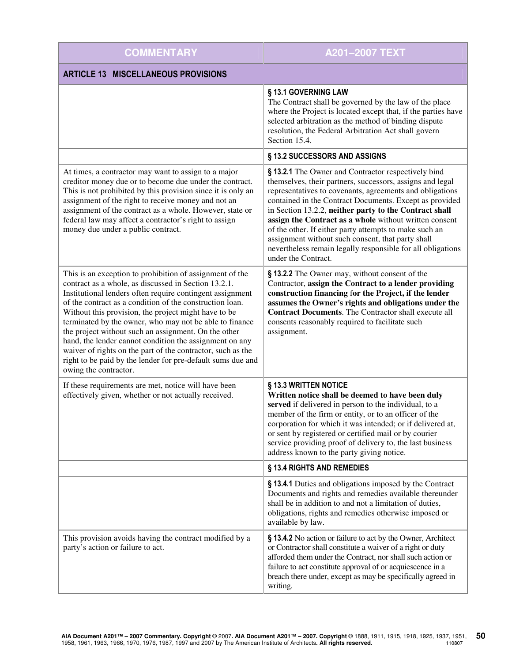| <b>COMMENTARY</b>                                                                                                                                                                                                                                                                                                                                                                                                                                                                                                                                                                                                                      | A201-2007 TEXT                                                                                                                                                                                                                                                                                                                                                                                                                                                                                                                                                   |
|----------------------------------------------------------------------------------------------------------------------------------------------------------------------------------------------------------------------------------------------------------------------------------------------------------------------------------------------------------------------------------------------------------------------------------------------------------------------------------------------------------------------------------------------------------------------------------------------------------------------------------------|------------------------------------------------------------------------------------------------------------------------------------------------------------------------------------------------------------------------------------------------------------------------------------------------------------------------------------------------------------------------------------------------------------------------------------------------------------------------------------------------------------------------------------------------------------------|
| <b>ARTICLE 13 MISCELLANEOUS PROVISIONS</b>                                                                                                                                                                                                                                                                                                                                                                                                                                                                                                                                                                                             |                                                                                                                                                                                                                                                                                                                                                                                                                                                                                                                                                                  |
|                                                                                                                                                                                                                                                                                                                                                                                                                                                                                                                                                                                                                                        | § 13.1 GOVERNING LAW<br>The Contract shall be governed by the law of the place<br>where the Project is located except that, if the parties have<br>selected arbitration as the method of binding dispute<br>resolution, the Federal Arbitration Act shall govern<br>Section 15.4.                                                                                                                                                                                                                                                                                |
|                                                                                                                                                                                                                                                                                                                                                                                                                                                                                                                                                                                                                                        | § 13.2 SUCCESSORS AND ASSIGNS                                                                                                                                                                                                                                                                                                                                                                                                                                                                                                                                    |
| At times, a contractor may want to assign to a major<br>creditor money due or to become due under the contract.<br>This is not prohibited by this provision since it is only an<br>assignment of the right to receive money and not an<br>assignment of the contract as a whole. However, state or<br>federal law may affect a contractor's right to assign<br>money due under a public contract.                                                                                                                                                                                                                                      | § 13.2.1 The Owner and Contractor respectively bind<br>themselves, their partners, successors, assigns and legal<br>representatives to covenants, agreements and obligations<br>contained in the Contract Documents. Except as provided<br>in Section 13.2.2, neither party to the Contract shall<br>assign the Contract as a whole without written consent<br>of the other. If either party attempts to make such an<br>assignment without such consent, that party shall<br>nevertheless remain legally responsible for all obligations<br>under the Contract. |
| This is an exception to prohibition of assignment of the<br>contract as a whole, as discussed in Section 13.2.1.<br>Institutional lenders often require contingent assignment<br>of the contract as a condition of the construction loan.<br>Without this provision, the project might have to be<br>terminated by the owner, who may not be able to finance<br>the project without such an assignment. On the other<br>hand, the lender cannot condition the assignment on any<br>waiver of rights on the part of the contractor, such as the<br>right to be paid by the lender for pre-default sums due and<br>owing the contractor. | § 13.2.2 The Owner may, without consent of the<br>Contractor, assign the Contract to a lender providing<br>construction financing for the Project, if the lender<br>assumes the Owner's rights and obligations under the<br><b>Contract Documents</b> . The Contractor shall execute all<br>consents reasonably required to facilitate such<br>assignment.                                                                                                                                                                                                       |
| If these requirements are met, notice will have been<br>effectively given, whether or not actually received.                                                                                                                                                                                                                                                                                                                                                                                                                                                                                                                           | § 13.3 WRITTEN NOTICE<br>Written notice shall be deemed to have been duly<br>served if delivered in person to the individual, to a<br>member of the firm or entity, or to an officer of the<br>corporation for which it was intended; or if delivered at,<br>or sent by registered or certified mail or by courier<br>service providing proof of delivery to, the last business<br>address known to the party giving notice.                                                                                                                                     |
|                                                                                                                                                                                                                                                                                                                                                                                                                                                                                                                                                                                                                                        | § 13.4 RIGHTS AND REMEDIES                                                                                                                                                                                                                                                                                                                                                                                                                                                                                                                                       |
|                                                                                                                                                                                                                                                                                                                                                                                                                                                                                                                                                                                                                                        | § 13.4.1 Duties and obligations imposed by the Contract<br>Documents and rights and remedies available thereunder<br>shall be in addition to and not a limitation of duties,<br>obligations, rights and remedies otherwise imposed or<br>available by law.                                                                                                                                                                                                                                                                                                       |
| This provision avoids having the contract modified by a<br>party's action or failure to act.                                                                                                                                                                                                                                                                                                                                                                                                                                                                                                                                           | § 13.4.2 No action or failure to act by the Owner, Architect<br>or Contractor shall constitute a waiver of a right or duty<br>afforded them under the Contract, nor shall such action or<br>failure to act constitute approval of or acquiescence in a<br>breach there under, except as may be specifically agreed in<br>writing.                                                                                                                                                                                                                                |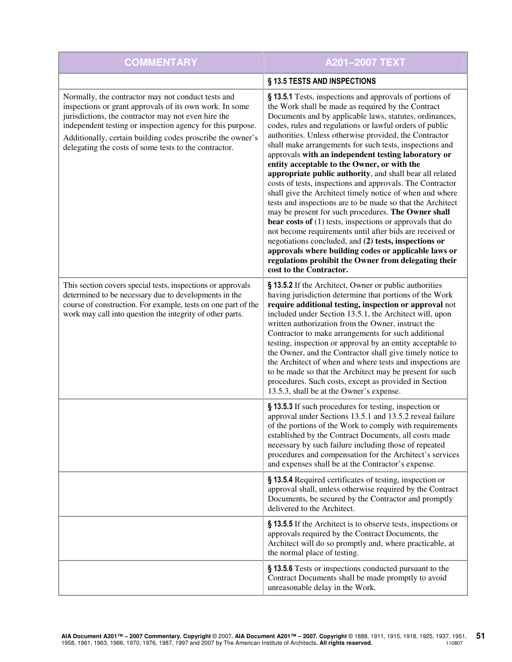| <b>COMMENTARY</b>                                                                                                                                                                                                                                                                                                                                         | A201-2007 TEXT                                                                                                                                                                                                                                                                                                                                                                                                                                                                                                                                                                                                                                                                                                                                                                                                                                                                                                                                                                                                                                                                                                  |
|-----------------------------------------------------------------------------------------------------------------------------------------------------------------------------------------------------------------------------------------------------------------------------------------------------------------------------------------------------------|-----------------------------------------------------------------------------------------------------------------------------------------------------------------------------------------------------------------------------------------------------------------------------------------------------------------------------------------------------------------------------------------------------------------------------------------------------------------------------------------------------------------------------------------------------------------------------------------------------------------------------------------------------------------------------------------------------------------------------------------------------------------------------------------------------------------------------------------------------------------------------------------------------------------------------------------------------------------------------------------------------------------------------------------------------------------------------------------------------------------|
|                                                                                                                                                                                                                                                                                                                                                           | § 13.5 TESTS AND INSPECTIONS                                                                                                                                                                                                                                                                                                                                                                                                                                                                                                                                                                                                                                                                                                                                                                                                                                                                                                                                                                                                                                                                                    |
| Normally, the contractor may not conduct tests and<br>inspections or grant approvals of its own work. In some<br>jurisdictions, the contractor may not even hire the<br>independent testing or inspection agency for this purpose.<br>Additionally, certain building codes proscribe the owner's<br>delegating the costs of some tests to the contractor. | § 13.5.1 Tests, inspections and approvals of portions of<br>the Work shall be made as required by the Contract<br>Documents and by applicable laws, statutes, ordinances,<br>codes, rules and regulations or lawful orders of public<br>authorities. Unless otherwise provided, the Contractor<br>shall make arrangements for such tests, inspections and<br>approvals with an independent testing laboratory or<br>entity acceptable to the Owner, or with the<br>appropriate public authority, and shall bear all related<br>costs of tests, inspections and approvals. The Contractor<br>shall give the Architect timely notice of when and where<br>tests and inspections are to be made so that the Architect<br>may be present for such procedures. The Owner shall<br><b>bear costs of</b> $(1)$ tests, inspections or approvals that do<br>not become requirements until after bids are received or<br>negotiations concluded, and (2) tests, inspections or<br>approvals where building codes or applicable laws or<br>regulations prohibit the Owner from delegating their<br>cost to the Contractor. |
| This section covers special tests, inspections or approvals<br>determined to be necessary due to developments in the<br>course of construction. For example, tests on one part of the<br>work may call into question the integrity of other parts.                                                                                                        | § 13.5.2 If the Architect, Owner or public authorities<br>having jurisdiction determine that portions of the Work<br>require additional testing, inspection or approval not<br>included under Section 13.5.1, the Architect will, upon<br>written authorization from the Owner, instruct the<br>Contractor to make arrangements for such additional<br>testing, inspection or approval by an entity acceptable to<br>the Owner, and the Contractor shall give timely notice to<br>the Architect of when and where tests and inspections are<br>to be made so that the Architect may be present for such<br>procedures. Such costs, except as provided in Section<br>13.5.3, shall be at the Owner's expense.                                                                                                                                                                                                                                                                                                                                                                                                    |
|                                                                                                                                                                                                                                                                                                                                                           | § 13.5.3 If such procedures for testing, inspection or<br>approval under Sections 13.5.1 and 13.5.2 reveal failure<br>of the portions of the Work to comply with requirements<br>established by the Contract Documents, all costs made<br>necessary by such failure including those of repeated<br>procedures and compensation for the Architect's services<br>and expenses shall be at the Contractor's expense.                                                                                                                                                                                                                                                                                                                                                                                                                                                                                                                                                                                                                                                                                               |
|                                                                                                                                                                                                                                                                                                                                                           | § 13.5.4 Required certificates of testing, inspection or<br>approval shall, unless otherwise required by the Contract<br>Documents, be secured by the Contractor and promptly<br>delivered to the Architect.                                                                                                                                                                                                                                                                                                                                                                                                                                                                                                                                                                                                                                                                                                                                                                                                                                                                                                    |
|                                                                                                                                                                                                                                                                                                                                                           | § 13.5.5 If the Architect is to observe tests, inspections or<br>approvals required by the Contract Documents, the<br>Architect will do so promptly and, where practicable, at<br>the normal place of testing.                                                                                                                                                                                                                                                                                                                                                                                                                                                                                                                                                                                                                                                                                                                                                                                                                                                                                                  |
|                                                                                                                                                                                                                                                                                                                                                           | § 13.5.6 Tests or inspections conducted pursuant to the<br>Contract Documents shall be made promptly to avoid<br>unreasonable delay in the Work.                                                                                                                                                                                                                                                                                                                                                                                                                                                                                                                                                                                                                                                                                                                                                                                                                                                                                                                                                                |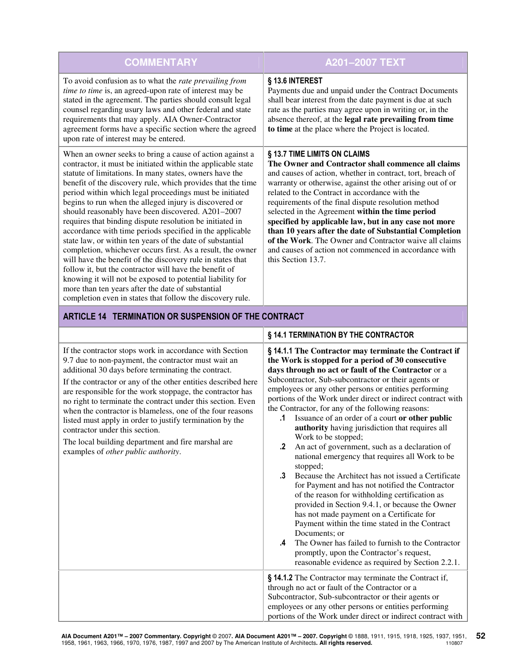| <b>COMMENTARY</b>                                                                                                                                                                                                                                                                                                                                                                                                                                                                                                                                                                                                                                                                                                                                                                                                                                                                                                                                                                      | A201-2007 TEXT                                                                                                                                                                                                                                                                                                                                                                                                                                                                                                                                                                                                                          |
|----------------------------------------------------------------------------------------------------------------------------------------------------------------------------------------------------------------------------------------------------------------------------------------------------------------------------------------------------------------------------------------------------------------------------------------------------------------------------------------------------------------------------------------------------------------------------------------------------------------------------------------------------------------------------------------------------------------------------------------------------------------------------------------------------------------------------------------------------------------------------------------------------------------------------------------------------------------------------------------|-----------------------------------------------------------------------------------------------------------------------------------------------------------------------------------------------------------------------------------------------------------------------------------------------------------------------------------------------------------------------------------------------------------------------------------------------------------------------------------------------------------------------------------------------------------------------------------------------------------------------------------------|
| To avoid confusion as to what the <i>rate prevailing from</i><br>time to time is, an agreed-upon rate of interest may be<br>stated in the agreement. The parties should consult legal<br>counsel regarding usury laws and other federal and state<br>requirements that may apply. AIA Owner-Contractor<br>agreement forms have a specific section where the agreed<br>upon rate of interest may be entered.                                                                                                                                                                                                                                                                                                                                                                                                                                                                                                                                                                            | § 13.6 INTEREST<br>Payments due and unpaid under the Contract Documents<br>shall bear interest from the date payment is due at such<br>rate as the parties may agree upon in writing or, in the<br>absence thereof, at the legal rate prevailing from time<br>to time at the place where the Project is located.                                                                                                                                                                                                                                                                                                                        |
| When an owner seeks to bring a cause of action against a<br>contractor, it must be initiated within the applicable state<br>statute of limitations. In many states, owners have the<br>benefit of the discovery rule, which provides that the time<br>period within which legal proceedings must be initiated<br>begins to run when the alleged injury is discovered or<br>should reasonably have been discovered. A201-2007<br>requires that binding dispute resolution be initiated in<br>accordance with time periods specified in the applicable<br>state law, or within ten years of the date of substantial<br>completion, whichever occurs first. As a result, the owner<br>will have the benefit of the discovery rule in states that<br>follow it, but the contractor will have the benefit of<br>knowing it will not be exposed to potential liability for<br>more than ten years after the date of substantial<br>completion even in states that follow the discovery rule. | § 13.7 TIME LIMITS ON CLAIMS<br>The Owner and Contractor shall commence all claims<br>and causes of action, whether in contract, tort, breach of<br>warranty or otherwise, against the other arising out of or<br>related to the Contract in accordance with the<br>requirements of the final dispute resolution method<br>selected in the Agreement within the time period<br>specified by applicable law, but in any case not more<br>than 10 years after the date of Substantial Completion<br>of the Work. The Owner and Contractor waive all claims<br>and causes of action not commenced in accordance with<br>this Section 13.7. |

#### ARTICLE 14 TERMINATION OR SUSPENSION OF THE CONTRACT

|                                                                                                                                                                                                                                                                                                                                                                                                                                                                                                                                                                                                                            | § 14.1 TERMINATION BY THE CONTRACTOR                                                                                                                                                                                                                                                                                                                                                                                                                                                                                                                                                                                                                                                                                                                                                                                                                                                                                                                                                                                                                                                                                                                                         |
|----------------------------------------------------------------------------------------------------------------------------------------------------------------------------------------------------------------------------------------------------------------------------------------------------------------------------------------------------------------------------------------------------------------------------------------------------------------------------------------------------------------------------------------------------------------------------------------------------------------------------|------------------------------------------------------------------------------------------------------------------------------------------------------------------------------------------------------------------------------------------------------------------------------------------------------------------------------------------------------------------------------------------------------------------------------------------------------------------------------------------------------------------------------------------------------------------------------------------------------------------------------------------------------------------------------------------------------------------------------------------------------------------------------------------------------------------------------------------------------------------------------------------------------------------------------------------------------------------------------------------------------------------------------------------------------------------------------------------------------------------------------------------------------------------------------|
| If the contractor stops work in accordance with Section<br>9.7 due to non-payment, the contractor must wait an<br>additional 30 days before terminating the contract.<br>If the contractor or any of the other entities described here<br>are responsible for the work stoppage, the contractor has<br>no right to terminate the contract under this section. Even<br>when the contractor is blameless, one of the four reasons<br>listed must apply in order to justify termination by the<br>contractor under this section.<br>The local building department and fire marshal are<br>examples of other public authority. | § 14.1.1 The Contractor may terminate the Contract if<br>the Work is stopped for a period of 30 consecutive<br>days through no act or fault of the Contractor or a<br>Subcontractor, Sub-subcontractor or their agents or<br>employees or any other persons or entities performing<br>portions of the Work under direct or indirect contract with<br>the Contractor, for any of the following reasons:<br>Issuance of an order of a court or other public<br>.1<br>authority having jurisdiction that requires all<br>Work to be stopped;<br>An act of government, such as a declaration of<br>$\cdot$<br>national emergency that requires all Work to be<br>stopped;<br>$\cdot$ 3<br>Because the Architect has not issued a Certificate<br>for Payment and has not notified the Contractor<br>of the reason for withholding certification as<br>provided in Section 9.4.1, or because the Owner<br>has not made payment on a Certificate for<br>Payment within the time stated in the Contract<br>Documents; or<br>The Owner has failed to furnish to the Contractor<br>.4<br>promptly, upon the Contractor's request,<br>reasonable evidence as required by Section 2.2.1. |
|                                                                                                                                                                                                                                                                                                                                                                                                                                                                                                                                                                                                                            | § 14.1.2 The Contractor may terminate the Contract if,<br>through no act or fault of the Contractor or a<br>Subcontractor, Sub-subcontractor or their agents or<br>employees or any other persons or entities performing<br>portions of the Work under direct or indirect contract with                                                                                                                                                                                                                                                                                                                                                                                                                                                                                                                                                                                                                                                                                                                                                                                                                                                                                      |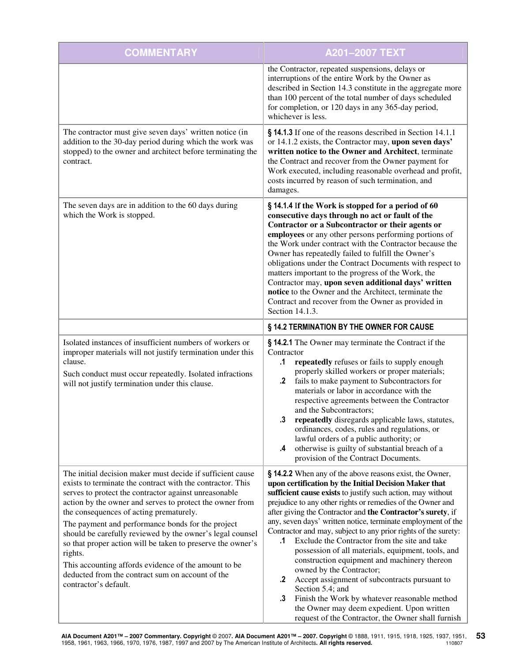| <b>COMMENTARY</b>                                                                                                                                                                                                                                                                                                                                                                                                                                                                                                                                                                                                         | A201-2007 TEXT                                                                                                                                                                                                                                                                                                                                                                                                                                                                                                                                                                                                                                                                                                                                                                                                                                                                                   |
|---------------------------------------------------------------------------------------------------------------------------------------------------------------------------------------------------------------------------------------------------------------------------------------------------------------------------------------------------------------------------------------------------------------------------------------------------------------------------------------------------------------------------------------------------------------------------------------------------------------------------|--------------------------------------------------------------------------------------------------------------------------------------------------------------------------------------------------------------------------------------------------------------------------------------------------------------------------------------------------------------------------------------------------------------------------------------------------------------------------------------------------------------------------------------------------------------------------------------------------------------------------------------------------------------------------------------------------------------------------------------------------------------------------------------------------------------------------------------------------------------------------------------------------|
|                                                                                                                                                                                                                                                                                                                                                                                                                                                                                                                                                                                                                           | the Contractor, repeated suspensions, delays or<br>interruptions of the entire Work by the Owner as<br>described in Section 14.3 constitute in the aggregate more<br>than 100 percent of the total number of days scheduled<br>for completion, or 120 days in any 365-day period,<br>whichever is less.                                                                                                                                                                                                                                                                                                                                                                                                                                                                                                                                                                                          |
| The contractor must give seven days' written notice (in<br>addition to the 30-day period during which the work was<br>stopped) to the owner and architect before terminating the<br>contract.                                                                                                                                                                                                                                                                                                                                                                                                                             | § 14.1.3 If one of the reasons described in Section 14.1.1<br>or 14.1.2 exists, the Contractor may, upon seven days'<br>written notice to the Owner and Architect, terminate<br>the Contract and recover from the Owner payment for<br>Work executed, including reasonable overhead and profit,<br>costs incurred by reason of such termination, and<br>damages.                                                                                                                                                                                                                                                                                                                                                                                                                                                                                                                                 |
| The seven days are in addition to the 60 days during<br>which the Work is stopped.                                                                                                                                                                                                                                                                                                                                                                                                                                                                                                                                        | § 14.1.4 If the Work is stopped for a period of 60<br>consecutive days through no act or fault of the<br>Contractor or a Subcontractor or their agents or<br>employees or any other persons performing portions of<br>the Work under contract with the Contractor because the<br>Owner has repeatedly failed to fulfill the Owner's<br>obligations under the Contract Documents with respect to<br>matters important to the progress of the Work, the<br>Contractor may, upon seven additional days' written<br>notice to the Owner and the Architect, terminate the<br>Contract and recover from the Owner as provided in<br>Section 14.1.3.                                                                                                                                                                                                                                                    |
|                                                                                                                                                                                                                                                                                                                                                                                                                                                                                                                                                                                                                           | § 14.2 TERMINATION BY THE OWNER FOR CAUSE                                                                                                                                                                                                                                                                                                                                                                                                                                                                                                                                                                                                                                                                                                                                                                                                                                                        |
| Isolated instances of insufficient numbers of workers or<br>improper materials will not justify termination under this<br>clause.<br>Such conduct must occur repeatedly. Isolated infractions<br>will not justify termination under this clause.                                                                                                                                                                                                                                                                                                                                                                          | § 14.2.1 The Owner may terminate the Contract if the<br>Contractor<br>$\cdot$ 1<br>repeatedly refuses or fails to supply enough<br>properly skilled workers or proper materials;<br>fails to make payment to Subcontractors for<br>$\cdot$<br>materials or labor in accordance with the<br>respective agreements between the Contractor<br>and the Subcontractors;<br>repeatedly disregards applicable laws, statutes,<br>ordinances, codes, rules and regulations, or<br>lawful orders of a public authority; or<br>otherwise is guilty of substantial breach of a<br>$\cdot$<br>provision of the Contract Documents.                                                                                                                                                                                                                                                                           |
| The initial decision maker must decide if sufficient cause<br>exists to terminate the contract with the contractor. This<br>serves to protect the contractor against unreasonable<br>action by the owner and serves to protect the owner from<br>the consequences of acting prematurely.<br>The payment and performance bonds for the project<br>should be carefully reviewed by the owner's legal counsel<br>so that proper action will be taken to preserve the owner's<br>rights.<br>This accounting affords evidence of the amount to be<br>deducted from the contract sum on account of the<br>contractor's default. | § 14.2.2 When any of the above reasons exist, the Owner,<br>upon certification by the Initial Decision Maker that<br>sufficient cause exists to justify such action, may without<br>prejudice to any other rights or remedies of the Owner and<br>after giving the Contractor and the Contractor's surety, if<br>any, seven days' written notice, terminate employment of the<br>Contractor and may, subject to any prior rights of the surety:<br>Exclude the Contractor from the site and take<br>.1<br>possession of all materials, equipment, tools, and<br>construction equipment and machinery thereon<br>owned by the Contractor;<br>$\cdot$<br>Accept assignment of subcontracts pursuant to<br>Section 5.4; and<br>Finish the Work by whatever reasonable method<br>$.3\phantom{0}$<br>the Owner may deem expedient. Upon written<br>request of the Contractor, the Owner shall furnish |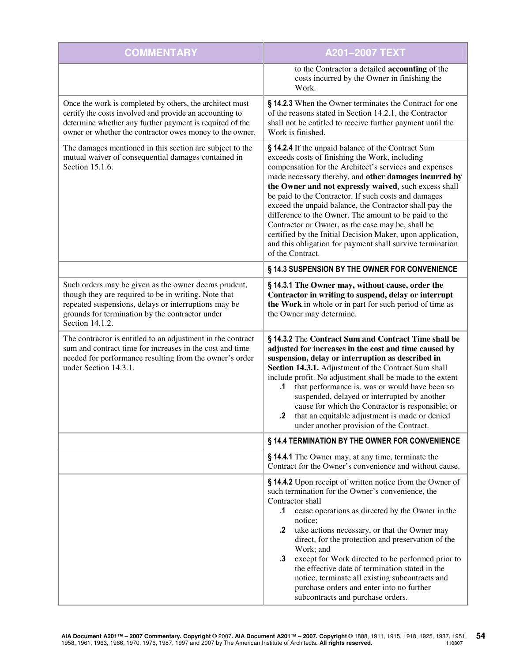| <b>COMMENTARY</b>                                                                                                                                                                                                                           | A201-2007 TEXT                                                                                                                                                                                                                                                                                                                                                                                                                                                                                                                                                                                                                                                   |
|---------------------------------------------------------------------------------------------------------------------------------------------------------------------------------------------------------------------------------------------|------------------------------------------------------------------------------------------------------------------------------------------------------------------------------------------------------------------------------------------------------------------------------------------------------------------------------------------------------------------------------------------------------------------------------------------------------------------------------------------------------------------------------------------------------------------------------------------------------------------------------------------------------------------|
|                                                                                                                                                                                                                                             | to the Contractor a detailed <b>accounting</b> of the<br>costs incurred by the Owner in finishing the<br>Work.                                                                                                                                                                                                                                                                                                                                                                                                                                                                                                                                                   |
| Once the work is completed by others, the architect must<br>certify the costs involved and provide an accounting to<br>determine whether any further payment is required of the<br>owner or whether the contractor owes money to the owner. | § 14.2.3 When the Owner terminates the Contract for one<br>of the reasons stated in Section 14.2.1, the Contractor<br>shall not be entitled to receive further payment until the<br>Work is finished.                                                                                                                                                                                                                                                                                                                                                                                                                                                            |
| The damages mentioned in this section are subject to the<br>mutual waiver of consequential damages contained in<br>Section 15.1.6.                                                                                                          | § 14.2.4 If the unpaid balance of the Contract Sum<br>exceeds costs of finishing the Work, including<br>compensation for the Architect's services and expenses<br>made necessary thereby, and other damages incurred by<br>the Owner and not expressly waived, such excess shall<br>be paid to the Contractor. If such costs and damages<br>exceed the unpaid balance, the Contractor shall pay the<br>difference to the Owner. The amount to be paid to the<br>Contractor or Owner, as the case may be, shall be<br>certified by the Initial Decision Maker, upon application,<br>and this obligation for payment shall survive termination<br>of the Contract. |
|                                                                                                                                                                                                                                             | § 14.3 SUSPENSION BY THE OWNER FOR CONVENIENCE                                                                                                                                                                                                                                                                                                                                                                                                                                                                                                                                                                                                                   |
| Such orders may be given as the owner deems prudent,<br>though they are required to be in writing. Note that<br>repeated suspensions, delays or interruptions may be<br>grounds for termination by the contractor under<br>Section 14.1.2.  | § 14.3.1 The Owner may, without cause, order the<br>Contractor in writing to suspend, delay or interrupt<br>the Work in whole or in part for such period of time as<br>the Owner may determine.                                                                                                                                                                                                                                                                                                                                                                                                                                                                  |
| The contractor is entitled to an adjustment in the contract<br>sum and contract time for increases in the cost and time<br>needed for performance resulting from the owner's order<br>under Section 14.3.1.                                 | § 14.3.2 The Contract Sum and Contract Time shall be<br>adjusted for increases in the cost and time caused by<br>suspension, delay or interruption as described in<br>Section 14.3.1. Adjustment of the Contract Sum shall<br>include profit. No adjustment shall be made to the extent<br>that performance is, was or would have been so<br>.1<br>suspended, delayed or interrupted by another<br>cause for which the Contractor is responsible; or<br>2. that an equitable adjustment is made or denied<br>under another provision of the Contract.                                                                                                            |
|                                                                                                                                                                                                                                             | § 14.4 TERMINATION BY THE OWNER FOR CONVENIENCE                                                                                                                                                                                                                                                                                                                                                                                                                                                                                                                                                                                                                  |
|                                                                                                                                                                                                                                             | § 14.4.1 The Owner may, at any time, terminate the<br>Contract for the Owner's convenience and without cause.                                                                                                                                                                                                                                                                                                                                                                                                                                                                                                                                                    |
|                                                                                                                                                                                                                                             | § 14.4.2 Upon receipt of written notice from the Owner of<br>such termination for the Owner's convenience, the<br>Contractor shall<br>cease operations as directed by the Owner in the<br>$\cdot$ 1<br>notice;<br>$\cdot$ 2<br>take actions necessary, or that the Owner may<br>direct, for the protection and preservation of the<br>Work; and<br>except for Work directed to be performed prior to<br>$\cdot$ 3<br>the effective date of termination stated in the<br>notice, terminate all existing subcontracts and<br>purchase orders and enter into no further<br>subcontracts and purchase orders.                                                        |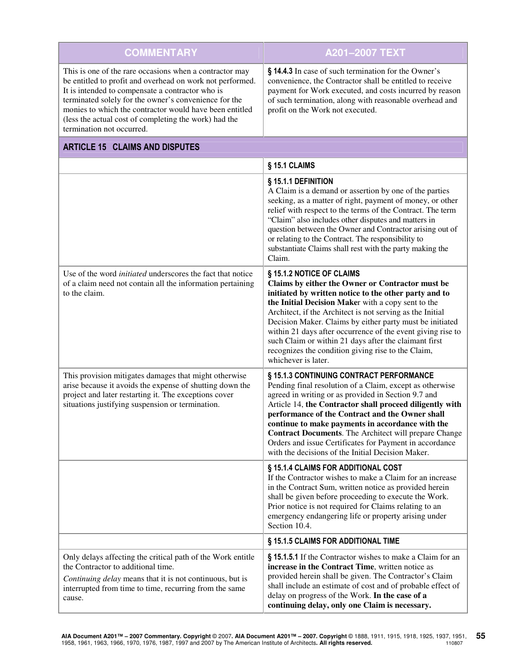| <b>COMMENTARY</b>                                                                                                                                                                                                                                                                                                                                                                  | A201-2007 TEXT                                                                                                                                                                                                                                                                                                                                                                                                                                                                                                             |
|------------------------------------------------------------------------------------------------------------------------------------------------------------------------------------------------------------------------------------------------------------------------------------------------------------------------------------------------------------------------------------|----------------------------------------------------------------------------------------------------------------------------------------------------------------------------------------------------------------------------------------------------------------------------------------------------------------------------------------------------------------------------------------------------------------------------------------------------------------------------------------------------------------------------|
| This is one of the rare occasions when a contractor may<br>be entitled to profit and overhead on work not performed.<br>It is intended to compensate a contractor who is<br>terminated solely for the owner's convenience for the<br>monies to which the contractor would have been entitled<br>(less the actual cost of completing the work) had the<br>termination not occurred. | § 14.4.3 In case of such termination for the Owner's<br>convenience, the Contractor shall be entitled to receive<br>payment for Work executed, and costs incurred by reason<br>of such termination, along with reasonable overhead and<br>profit on the Work not executed.                                                                                                                                                                                                                                                 |
| <b>ARTICLE 15 CLAIMS AND DISPUTES</b>                                                                                                                                                                                                                                                                                                                                              |                                                                                                                                                                                                                                                                                                                                                                                                                                                                                                                            |
|                                                                                                                                                                                                                                                                                                                                                                                    | § 15.1 CLAIMS                                                                                                                                                                                                                                                                                                                                                                                                                                                                                                              |
|                                                                                                                                                                                                                                                                                                                                                                                    | § 15.1.1 DEFINITION<br>A Claim is a demand or assertion by one of the parties<br>seeking, as a matter of right, payment of money, or other<br>relief with respect to the terms of the Contract. The term<br>"Claim" also includes other disputes and matters in<br>question between the Owner and Contractor arising out of<br>or relating to the Contract. The responsibility to<br>substantiate Claims shall rest with the party making the<br>Claim.                                                                    |
| Use of the word <i>initiated</i> underscores the fact that notice<br>of a claim need not contain all the information pertaining<br>to the claim.                                                                                                                                                                                                                                   | § 15.1.2 NOTICE OF CLAIMS<br>Claims by either the Owner or Contractor must be<br>initiated by written notice to the other party and to<br>the Initial Decision Maker with a copy sent to the<br>Architect, if the Architect is not serving as the Initial<br>Decision Maker. Claims by either party must be initiated<br>within 21 days after occurrence of the event giving rise to<br>such Claim or within 21 days after the claimant first<br>recognizes the condition giving rise to the Claim,<br>whichever is later. |
| This provision mitigates damages that might otherwise<br>arise because it avoids the expense of shutting down the<br>project and later restarting it. The exceptions cover<br>situations justifying suspension or termination.                                                                                                                                                     | § 15.1.3 CONTINUING CONTRACT PERFORMANCE<br>Pending final resolution of a Claim, except as otherwise<br>agreed in writing or as provided in Section 9.7 and<br>Article 14, the Contractor shall proceed diligently with<br>performance of the Contract and the Owner shall<br>continue to make payments in accordance with the<br><b>Contract Documents.</b> The Architect will prepare Change<br>Orders and issue Certificates for Payment in accordance<br>with the decisions of the Initial Decision Maker.             |
|                                                                                                                                                                                                                                                                                                                                                                                    | § 15.1.4 CLAIMS FOR ADDITIONAL COST<br>If the Contractor wishes to make a Claim for an increase<br>in the Contract Sum, written notice as provided herein<br>shall be given before proceeding to execute the Work.<br>Prior notice is not required for Claims relating to an<br>emergency endangering life or property arising under<br>Section 10.4.                                                                                                                                                                      |
|                                                                                                                                                                                                                                                                                                                                                                                    | § 15.1.5 CLAIMS FOR ADDITIONAL TIME                                                                                                                                                                                                                                                                                                                                                                                                                                                                                        |
| Only delays affecting the critical path of the Work entitle<br>the Contractor to additional time.<br>Continuing delay means that it is not continuous, but is<br>interrupted from time to time, recurring from the same<br>cause.                                                                                                                                                  | § 15.1.5.1 If the Contractor wishes to make a Claim for an<br>increase in the Contract Time, written notice as<br>provided herein shall be given. The Contractor's Claim<br>shall include an estimate of cost and of probable effect of<br>delay on progress of the Work. In the case of a<br>continuing delay, only one Claim is necessary.                                                                                                                                                                               |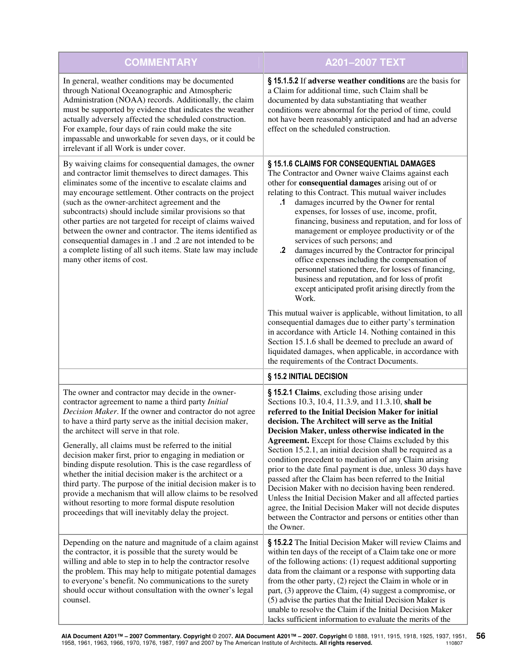| <b>COMMENTARY</b>                                                                                                                                                                                                                                                                                                                                                                                                                                                                                                                                                                                                                                                                                                                                                    | A201-2007 TEXT                                                                                                                                                                                                                                                                                                                                                                                                                                                                                                                                                                                                                                                                                                                                                                                                                               |
|----------------------------------------------------------------------------------------------------------------------------------------------------------------------------------------------------------------------------------------------------------------------------------------------------------------------------------------------------------------------------------------------------------------------------------------------------------------------------------------------------------------------------------------------------------------------------------------------------------------------------------------------------------------------------------------------------------------------------------------------------------------------|----------------------------------------------------------------------------------------------------------------------------------------------------------------------------------------------------------------------------------------------------------------------------------------------------------------------------------------------------------------------------------------------------------------------------------------------------------------------------------------------------------------------------------------------------------------------------------------------------------------------------------------------------------------------------------------------------------------------------------------------------------------------------------------------------------------------------------------------|
| In general, weather conditions may be documented<br>through National Oceanographic and Atmospheric<br>Administration (NOAA) records. Additionally, the claim<br>must be supported by evidence that indicates the weather<br>actually adversely affected the scheduled construction.<br>For example, four days of rain could make the site<br>impassable and unworkable for seven days, or it could be<br>irrelevant if all Work is under cover.                                                                                                                                                                                                                                                                                                                      | § 15.1.5.2 If adverse weather conditions are the basis for<br>a Claim for additional time, such Claim shall be<br>documented by data substantiating that weather<br>conditions were abnormal for the period of time, could<br>not have been reasonably anticipated and had an adverse<br>effect on the scheduled construction.                                                                                                                                                                                                                                                                                                                                                                                                                                                                                                               |
| By waiving claims for consequential damages, the owner<br>and contractor limit themselves to direct damages. This<br>eliminates some of the incentive to escalate claims and<br>may encourage settlement. Other contracts on the project<br>(such as the owner-architect agreement and the<br>subcontracts) should include similar provisions so that<br>other parties are not targeted for receipt of claims waived<br>between the owner and contractor. The items identified as<br>consequential damages in .1 and .2 are not intended to be<br>a complete listing of all such items. State law may include<br>many other items of cost.                                                                                                                           | § 15.1.6 CLAIMS FOR CONSEQUENTIAL DAMAGES<br>The Contractor and Owner waive Claims against each<br>other for consequential damages arising out of or<br>relating to this Contract. This mutual waiver includes<br>damages incurred by the Owner for rental<br>.1<br>expenses, for losses of use, income, profit,<br>financing, business and reputation, and for loss of<br>management or employee productivity or of the<br>services of such persons; and<br>damages incurred by the Contractor for principal<br>$\cdot$<br>office expenses including the compensation of<br>personnel stationed there, for losses of financing,<br>business and reputation, and for loss of profit<br>except anticipated profit arising directly from the<br>Work.                                                                                          |
|                                                                                                                                                                                                                                                                                                                                                                                                                                                                                                                                                                                                                                                                                                                                                                      | This mutual waiver is applicable, without limitation, to all<br>consequential damages due to either party's termination<br>in accordance with Article 14. Nothing contained in this<br>Section 15.1.6 shall be deemed to preclude an award of<br>liquidated damages, when applicable, in accordance with<br>the requirements of the Contract Documents.                                                                                                                                                                                                                                                                                                                                                                                                                                                                                      |
|                                                                                                                                                                                                                                                                                                                                                                                                                                                                                                                                                                                                                                                                                                                                                                      | § 15.2 INITIAL DECISION                                                                                                                                                                                                                                                                                                                                                                                                                                                                                                                                                                                                                                                                                                                                                                                                                      |
| The owner and contractor may decide in the owner-<br>contractor agreement to name a third party Initial<br>Decision Maker. If the owner and contractor do not agree<br>to have a third party serve as the initial decision maker,<br>the architect will serve in that role.<br>Generally, all claims must be referred to the initial<br>decision maker first, prior to engaging in mediation or<br>binding dispute resolution. This is the case regardless of<br>whether the initial decision maker is the architect or a<br>third party. The purpose of the initial decision maker is to<br>provide a mechanism that will allow claims to be resolved<br>without resorting to more formal dispute resolution<br>proceedings that will inevitably delay the project. | § 15.2.1 Claims, excluding those arising under<br>Sections 10.3, 10.4, 11.3.9, and 11.3.10, shall be<br>referred to the Initial Decision Maker for initial<br>decision. The Architect will serve as the Initial<br>Decision Maker, unless otherwise indicated in the<br>Agreement. Except for those Claims excluded by this<br>Section 15.2.1, an initial decision shall be required as a<br>condition precedent to mediation of any Claim arising<br>prior to the date final payment is due, unless 30 days have<br>passed after the Claim has been referred to the Initial<br>Decision Maker with no decision having been rendered.<br>Unless the Initial Decision Maker and all affected parties<br>agree, the Initial Decision Maker will not decide disputes<br>between the Contractor and persons or entities other than<br>the Owner. |
| Depending on the nature and magnitude of a claim against<br>the contractor, it is possible that the surety would be<br>willing and able to step in to help the contractor resolve<br>the problem. This may help to mitigate potential damages<br>to everyone's benefit. No communications to the surety<br>should occur without consultation with the owner's legal<br>counsel.                                                                                                                                                                                                                                                                                                                                                                                      | § 15.2.2 The Initial Decision Maker will review Claims and<br>within ten days of the receipt of a Claim take one or more<br>of the following actions: (1) request additional supporting<br>data from the claimant or a response with supporting data<br>from the other party, $(2)$ reject the Claim in whole or in<br>part, (3) approve the Claim, (4) suggest a compromise, or<br>(5) advise the parties that the Initial Decision Maker is<br>unable to resolve the Claim if the Initial Decision Maker<br>lacks sufficient information to evaluate the merits of the                                                                                                                                                                                                                                                                     |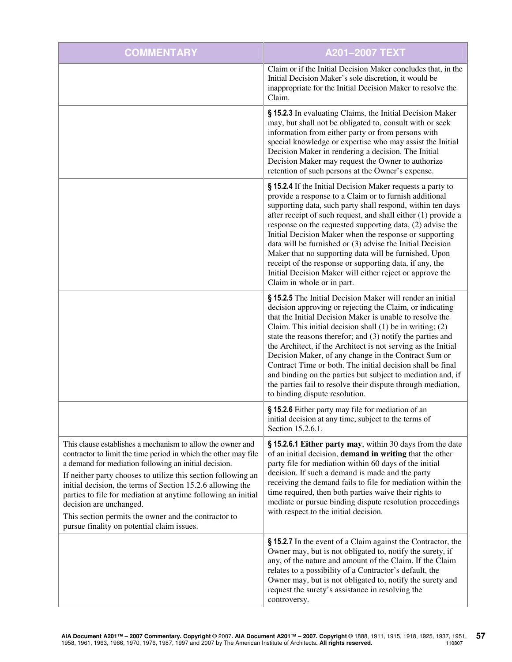| <b>COMMENTARY</b>                                                                                                                                                                                                                                                                                                                                                                                                                                                                                                       | A201-2007 TEXT                                                                                                                                                                                                                                                                                                                                                                                                                                                                                                                                                                                                                                                            |
|-------------------------------------------------------------------------------------------------------------------------------------------------------------------------------------------------------------------------------------------------------------------------------------------------------------------------------------------------------------------------------------------------------------------------------------------------------------------------------------------------------------------------|---------------------------------------------------------------------------------------------------------------------------------------------------------------------------------------------------------------------------------------------------------------------------------------------------------------------------------------------------------------------------------------------------------------------------------------------------------------------------------------------------------------------------------------------------------------------------------------------------------------------------------------------------------------------------|
|                                                                                                                                                                                                                                                                                                                                                                                                                                                                                                                         | Claim or if the Initial Decision Maker concludes that, in the<br>Initial Decision Maker's sole discretion, it would be<br>inappropriate for the Initial Decision Maker to resolve the<br>Claim.                                                                                                                                                                                                                                                                                                                                                                                                                                                                           |
|                                                                                                                                                                                                                                                                                                                                                                                                                                                                                                                         | § 15.2.3 In evaluating Claims, the Initial Decision Maker<br>may, but shall not be obligated to, consult with or seek<br>information from either party or from persons with<br>special knowledge or expertise who may assist the Initial<br>Decision Maker in rendering a decision. The Initial<br>Decision Maker may request the Owner to authorize<br>retention of such persons at the Owner's expense.                                                                                                                                                                                                                                                                 |
|                                                                                                                                                                                                                                                                                                                                                                                                                                                                                                                         | § 15.2.4 If the Initial Decision Maker requests a party to<br>provide a response to a Claim or to furnish additional<br>supporting data, such party shall respond, within ten days<br>after receipt of such request, and shall either (1) provide a<br>response on the requested supporting data, (2) advise the<br>Initial Decision Maker when the response or supporting<br>data will be furnished or (3) advise the Initial Decision<br>Maker that no supporting data will be furnished. Upon<br>receipt of the response or supporting data, if any, the<br>Initial Decision Maker will either reject or approve the<br>Claim in whole or in part.                     |
|                                                                                                                                                                                                                                                                                                                                                                                                                                                                                                                         | § 15.2.5 The Initial Decision Maker will render an initial<br>decision approving or rejecting the Claim, or indicating<br>that the Initial Decision Maker is unable to resolve the<br>Claim. This initial decision shall $(1)$ be in writing; $(2)$<br>state the reasons therefor; and (3) notify the parties and<br>the Architect, if the Architect is not serving as the Initial<br>Decision Maker, of any change in the Contract Sum or<br>Contract Time or both. The initial decision shall be final<br>and binding on the parties but subject to mediation and, if<br>the parties fail to resolve their dispute through mediation,<br>to binding dispute resolution. |
|                                                                                                                                                                                                                                                                                                                                                                                                                                                                                                                         | § 15.2.6 Either party may file for mediation of an<br>initial decision at any time, subject to the terms of<br>Section 15.2.6.1.                                                                                                                                                                                                                                                                                                                                                                                                                                                                                                                                          |
| This clause establishes a mechanism to allow the owner and<br>contractor to limit the time period in which the other may file<br>a demand for mediation following an initial decision.<br>If neither party chooses to utilize this section following an<br>initial decision, the terms of Section 15.2.6 allowing the<br>parties to file for mediation at anytime following an initial<br>decision are unchanged.<br>This section permits the owner and the contractor to<br>pursue finality on potential claim issues. | § 15.2.6.1 Either party may, within 30 days from the date<br>of an initial decision, demand in writing that the other<br>party file for mediation within 60 days of the initial<br>decision. If such a demand is made and the party<br>receiving the demand fails to file for mediation within the<br>time required, then both parties waive their rights to<br>mediate or pursue binding dispute resolution proceedings<br>with respect to the initial decision.                                                                                                                                                                                                         |
|                                                                                                                                                                                                                                                                                                                                                                                                                                                                                                                         | § 15.2.7 In the event of a Claim against the Contractor, the<br>Owner may, but is not obligated to, notify the surety, if<br>any, of the nature and amount of the Claim. If the Claim<br>relates to a possibility of a Contractor's default, the<br>Owner may, but is not obligated to, notify the surety and<br>request the surety's assistance in resolving the<br>controversy.                                                                                                                                                                                                                                                                                         |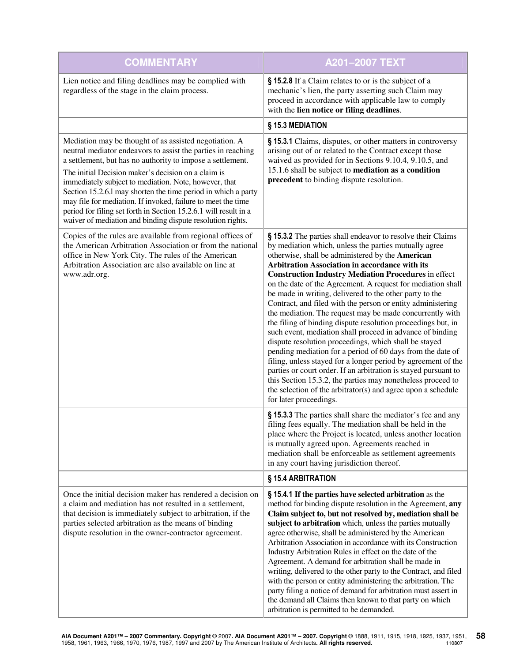| <b>COMMENTARY</b>                                                                                                                                                                                                                                                                                                                                                                                                                                                                                                                                                       | A201-2007 TEXT                                                                                                                                                                                                                                                                                                                                                                                                                                                                                                                                                                                                                                                                                                                                                                                                                                                                                                                                                                                                                                                                                  |
|-------------------------------------------------------------------------------------------------------------------------------------------------------------------------------------------------------------------------------------------------------------------------------------------------------------------------------------------------------------------------------------------------------------------------------------------------------------------------------------------------------------------------------------------------------------------------|-------------------------------------------------------------------------------------------------------------------------------------------------------------------------------------------------------------------------------------------------------------------------------------------------------------------------------------------------------------------------------------------------------------------------------------------------------------------------------------------------------------------------------------------------------------------------------------------------------------------------------------------------------------------------------------------------------------------------------------------------------------------------------------------------------------------------------------------------------------------------------------------------------------------------------------------------------------------------------------------------------------------------------------------------------------------------------------------------|
| Lien notice and filing deadlines may be complied with<br>regardless of the stage in the claim process.                                                                                                                                                                                                                                                                                                                                                                                                                                                                  | § 15.2.8 If a Claim relates to or is the subject of a<br>mechanic's lien, the party asserting such Claim may<br>proceed in accordance with applicable law to comply<br>with the lien notice or filing deadlines.                                                                                                                                                                                                                                                                                                                                                                                                                                                                                                                                                                                                                                                                                                                                                                                                                                                                                |
|                                                                                                                                                                                                                                                                                                                                                                                                                                                                                                                                                                         | § 15.3 MEDIATION                                                                                                                                                                                                                                                                                                                                                                                                                                                                                                                                                                                                                                                                                                                                                                                                                                                                                                                                                                                                                                                                                |
| Mediation may be thought of as assisted negotiation. A<br>neutral mediator endeavors to assist the parties in reaching<br>a settlement, but has no authority to impose a settlement.<br>The initial Decision maker's decision on a claim is<br>immediately subject to mediation. Note, however, that<br>Section 15.2.6.1 may shorten the time period in which a party<br>may file for mediation. If invoked, failure to meet the time<br>period for filing set forth in Section 15.2.6.1 will result in a<br>waiver of mediation and binding dispute resolution rights. | § 15.3.1 Claims, disputes, or other matters in controversy<br>arising out of or related to the Contract except those<br>waived as provided for in Sections 9.10.4, 9.10.5, and<br>15.1.6 shall be subject to mediation as a condition<br>precedent to binding dispute resolution.                                                                                                                                                                                                                                                                                                                                                                                                                                                                                                                                                                                                                                                                                                                                                                                                               |
| Copies of the rules are available from regional offices of<br>the American Arbitration Association or from the national<br>office in New York City. The rules of the American<br>Arbitration Association are also available on line at<br>www.adr.org.                                                                                                                                                                                                                                                                                                                  | § 15.3.2 The parties shall endeavor to resolve their Claims<br>by mediation which, unless the parties mutually agree<br>otherwise, shall be administered by the American<br>Arbitration Association in accordance with its<br><b>Construction Industry Mediation Procedures in effect</b><br>on the date of the Agreement. A request for mediation shall<br>be made in writing, delivered to the other party to the<br>Contract, and filed with the person or entity administering<br>the mediation. The request may be made concurrently with<br>the filing of binding dispute resolution proceedings but, in<br>such event, mediation shall proceed in advance of binding<br>dispute resolution proceedings, which shall be stayed<br>pending mediation for a period of 60 days from the date of<br>filing, unless stayed for a longer period by agreement of the<br>parties or court order. If an arbitration is stayed pursuant to<br>this Section 15.3.2, the parties may nonetheless proceed to<br>the selection of the arbitrator(s) and agree upon a schedule<br>for later proceedings. |
|                                                                                                                                                                                                                                                                                                                                                                                                                                                                                                                                                                         | § 15.3.3 The parties shall share the mediator's fee and any<br>filing fees equally. The mediation shall be held in the<br>place where the Project is located, unless another location<br>is mutually agreed upon. Agreements reached in<br>mediation shall be enforceable as settlement agreements<br>in any court having jurisdiction thereof.                                                                                                                                                                                                                                                                                                                                                                                                                                                                                                                                                                                                                                                                                                                                                 |
|                                                                                                                                                                                                                                                                                                                                                                                                                                                                                                                                                                         | § 15.4 ARBITRATION                                                                                                                                                                                                                                                                                                                                                                                                                                                                                                                                                                                                                                                                                                                                                                                                                                                                                                                                                                                                                                                                              |
| Once the initial decision maker has rendered a decision on<br>a claim and mediation has not resulted in a settlement,<br>that decision is immediately subject to arbitration, if the<br>parties selected arbitration as the means of binding<br>dispute resolution in the owner-contractor agreement.                                                                                                                                                                                                                                                                   | § 15.4.1 If the parties have selected arbitration as the<br>method for binding dispute resolution in the Agreement, any<br>Claim subject to, but not resolved by, mediation shall be<br>subject to arbitration which, unless the parties mutually<br>agree otherwise, shall be administered by the American<br>Arbitration Association in accordance with its Construction<br>Industry Arbitration Rules in effect on the date of the<br>Agreement. A demand for arbitration shall be made in<br>writing, delivered to the other party to the Contract, and filed<br>with the person or entity administering the arbitration. The<br>party filing a notice of demand for arbitration must assert in<br>the demand all Claims then known to that party on which<br>arbitration is permitted to be demanded.                                                                                                                                                                                                                                                                                      |